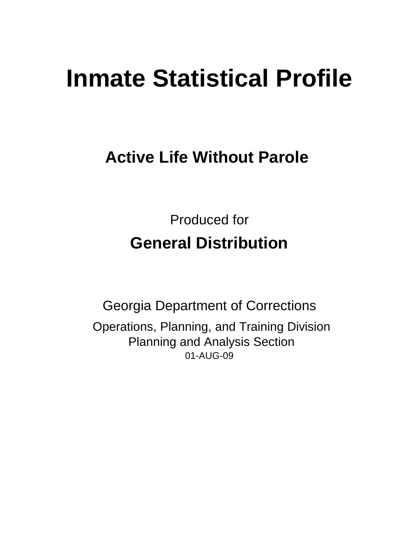# **Inmate Statistical Profile**

# **Active Life Without Parole**

Produced for **General Distribution**

01-AUG-09 Georgia Department of Corrections Operations, Planning, and Training Division Planning and Analysis Section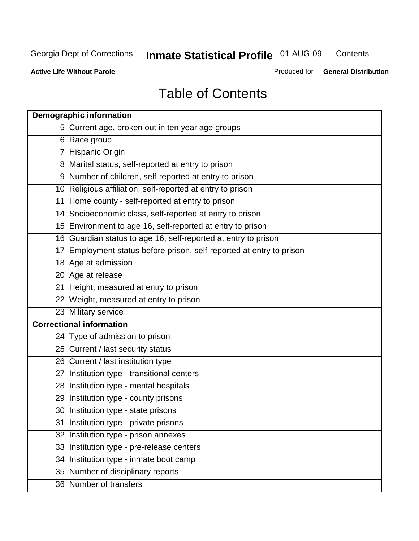**Contents** 

**Active Life Without Parole** 

Produced for **General Distribution**

# Table of Contents

| <b>Demographic information</b>                                       |
|----------------------------------------------------------------------|
| 5 Current age, broken out in ten year age groups                     |
| 6 Race group                                                         |
| 7 Hispanic Origin                                                    |
| 8 Marital status, self-reported at entry to prison                   |
| 9 Number of children, self-reported at entry to prison               |
| 10 Religious affiliation, self-reported at entry to prison           |
| 11 Home county - self-reported at entry to prison                    |
| 14 Socioeconomic class, self-reported at entry to prison             |
| 15 Environment to age 16, self-reported at entry to prison           |
| 16 Guardian status to age 16, self-reported at entry to prison       |
| 17 Employment status before prison, self-reported at entry to prison |
| 18 Age at admission                                                  |
| 20 Age at release                                                    |
| 21 Height, measured at entry to prison                               |
| 22 Weight, measured at entry to prison                               |
| 23 Military service                                                  |
| <b>Correctional information</b>                                      |
| 24 Type of admission to prison                                       |
| 25 Current / last security status                                    |
| 26 Current / last institution type                                   |
| 27 Institution type - transitional centers                           |
| 28 Institution type - mental hospitals                               |
| 29 Institution type - county prisons                                 |
| 30 Institution type - state prisons                                  |
| 31 Institution type - private prisons                                |
| 32 Institution type - prison annexes                                 |
| 33 Institution type - pre-release centers                            |
| 34 Institution type - inmate boot camp                               |
| 35 Number of disciplinary reports                                    |
| 36 Number of transfers                                               |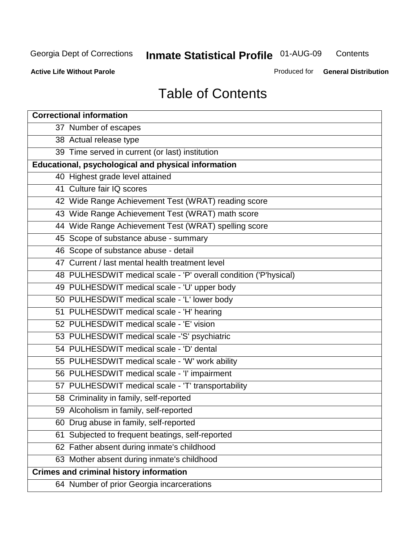**Contents** 

**Active Life Without Parole** 

Produced for **General Distribution**

# Table of Contents

| <b>Correctional information</b>                                  |
|------------------------------------------------------------------|
| 37 Number of escapes                                             |
| 38 Actual release type                                           |
| 39 Time served in current (or last) institution                  |
| Educational, psychological and physical information              |
| 40 Highest grade level attained                                  |
| 41 Culture fair IQ scores                                        |
| 42 Wide Range Achievement Test (WRAT) reading score              |
| 43 Wide Range Achievement Test (WRAT) math score                 |
| 44 Wide Range Achievement Test (WRAT) spelling score             |
| 45 Scope of substance abuse - summary                            |
| 46 Scope of substance abuse - detail                             |
| 47 Current / last mental health treatment level                  |
| 48 PULHESDWIT medical scale - 'P' overall condition ('P'hysical) |
| 49 PULHESDWIT medical scale - 'U' upper body                     |
| 50 PULHESDWIT medical scale - 'L' lower body                     |
| 51 PULHESDWIT medical scale - 'H' hearing                        |
| 52 PULHESDWIT medical scale - 'E' vision                         |
| 53 PULHESDWIT medical scale -'S' psychiatric                     |
| 54 PULHESDWIT medical scale - 'D' dental                         |
| 55 PULHESDWIT medical scale - 'W' work ability                   |
| 56 PULHESDWIT medical scale - 'I' impairment                     |
| 57 PULHESDWIT medical scale - 'T' transportability               |
| 58 Criminality in family, self-reported                          |
| 59 Alcoholism in family, self-reported                           |
| 60 Drug abuse in family, self-reported                           |
| Subjected to frequent beatings, self-reported<br>61              |
| 62 Father absent during inmate's childhood                       |
| 63 Mother absent during inmate's childhood                       |
| <b>Crimes and criminal history information</b>                   |
| 64 Number of prior Georgia incarcerations                        |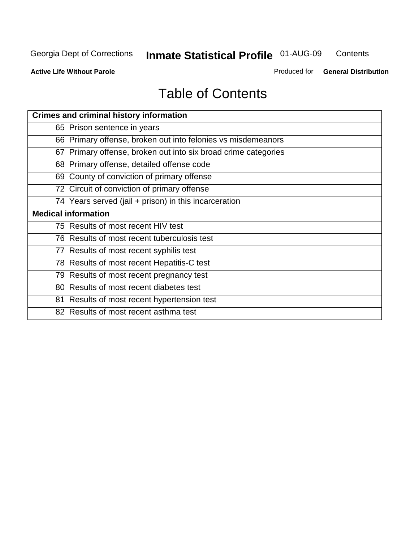**Contents** 

**Active Life Without Parole** 

Produced for **General Distribution**

# Table of Contents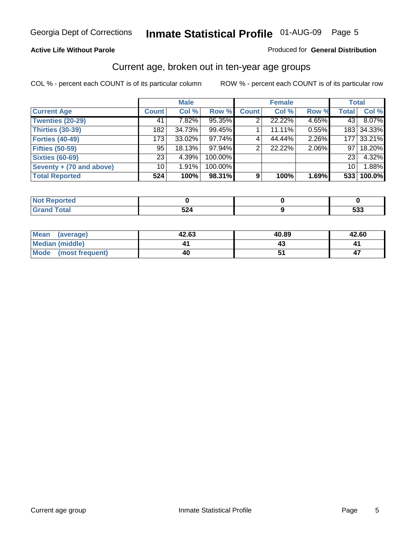#### **Active Life Without Parole**

#### Produced for **General Distribution**

#### Current age, broken out in ten-year age groups

|                          |                 | <b>Male</b> |         |              | <b>Female</b> |       | <b>Total</b>    |            |
|--------------------------|-----------------|-------------|---------|--------------|---------------|-------|-----------------|------------|
| <b>Current Age</b>       | <b>Count</b>    | Col %       | Row %   | <b>Count</b> | Col %         | Row % | <b>Total</b>    | Col %      |
| <b>Twenties (20-29)</b>  | 41              | 7.82%       | 95.35%  |              | 22.22%        | 4.65% | 43              | 8.07%      |
| <b>Thirties (30-39)</b>  | 182             | 34.73%      | 99.45%  |              | 11.11%        | 0.55% |                 | 183 34.33% |
| <b>Forties (40-49)</b>   | 173             | 33.02%      | 97.74%  | 4            | 44.44%        | 2.26% | 177             | 33.21%     |
| <b>Fifties (50-59)</b>   | 95              | 18.13%      | 97.94%  | 2            | 22.22%        | 2.06% | 97 <sub>1</sub> | 18.20%     |
| <b>Sixties (60-69)</b>   | 23 <sub>1</sub> | 4.39%       | 100.00% |              |               |       | 23              | 4.32%      |
| Seventy + (70 and above) | 10              | 1.91%       | 100.00% |              |               |       | 10 <sup>1</sup> | 1.88%      |
| <b>Total Reported</b>    | 524             | 100%        | 98.31%  | 9            | 100%          | 1.69% | 533             | 100.0%     |

| <b>Not Reported</b> |      |            |
|---------------------|------|------------|
| <b>Total</b>        | EO.  | ran        |
| $\mathbf{v}$ and    | JZ4. | <u>ააა</u> |

| Mean (average)       | 42.63 | 40.89 | 42.60 |
|----------------------|-------|-------|-------|
| Median (middle)      |       |       |       |
| Mode (most frequent) | 40    |       |       |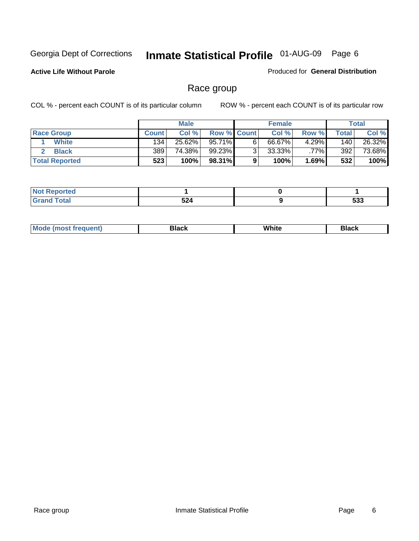**Active Life Without Parole** 

Produced for **General Distribution**

### Race group

|                       |              | <b>Male</b> |                    |   | <b>Female</b> |          |       | <b>Total</b> |
|-----------------------|--------------|-------------|--------------------|---|---------------|----------|-------|--------------|
| <b>Race Group</b>     | <b>Count</b> | Col %       | <b>Row % Count</b> |   | Col %         | Row %    | Total | Col %        |
| <b>White</b>          | 134          | 25.62%      | 95.71%             | 6 | 66.67%        | $4.29\%$ | 140   | 26.32%       |
| <b>Black</b>          | 389          | 74.38%      | 99.23%             | ◠ | $33.33\%$     | $.77\%$  | 392   | 73.68%       |
| <b>Total Reported</b> | 523          | 100%        | 98.31%             |   | 100%          | 1.69%    | 532   | 100%         |

| eported<br>$\sim$ . The set of $\sim$ |     |     |
|---------------------------------------|-----|-----|
| $\mathcal{L}$ and $\mathcal{L}$       | ちつん | につつ |
| $ -$                                  | JZ4 | უკ  |

| $^1$ Mo. | Rlack | White | 3lack |
|----------|-------|-------|-------|
| .        |       |       |       |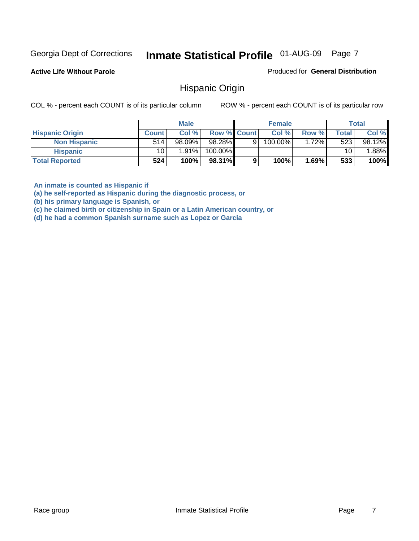**Active Life Without Parole** 

Produced for **General Distribution**

#### Hispanic Origin

COL % - percent each COUNT is of its particular column ROW % - percent each COUNT is of its particular row

|                        |                 | <b>Male</b> |                    |   | <b>Female</b> |         |              | <b>Total</b> |
|------------------------|-----------------|-------------|--------------------|---|---------------|---------|--------------|--------------|
| <b>Hispanic Origin</b> | <b>Count</b>    | Col %       | <b>Row % Count</b> |   | Col %         | Row %   | <b>Total</b> | Col %        |
| <b>Non Hispanic</b>    | 514             | $98.09\%$   | 98.28%             | 9 | $100.00\%$    | $.72\%$ | 523          | 98.12%       |
| <b>Hispanic</b>        | 10 <sub>1</sub> | $1.91\%$    | 100.00%            |   |               |         | 10           | $.88\%$      |
| <b>Total Reported</b>  | 524             | 100%        | 98.31%             | 9 | 100%          | 1.69%   | 533          | 100%         |

**An inmate is counted as Hispanic if** 

**(a) he self-reported as Hispanic during the diagnostic process, or** 

**(b) his primary language is Spanish, or** 

**(c) he claimed birth or citizenship in Spain or a Latin American country, or** 

**(d) he had a common Spanish surname such as Lopez or Garcia**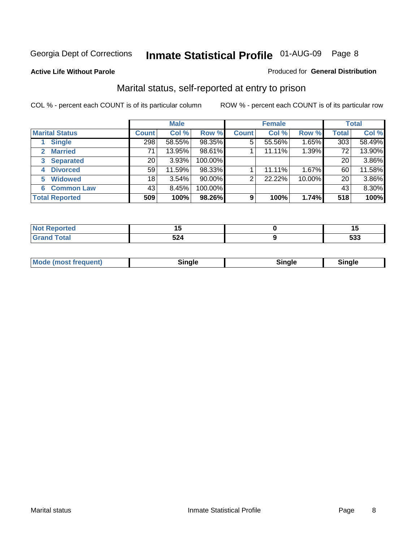#### **Active Life Without Parole**

#### Produced for **General Distribution**

### Marital status, self-reported at entry to prison

|                                | <b>Male</b>     |          |         | <b>Female</b>  |        |        | <b>Total</b> |        |
|--------------------------------|-----------------|----------|---------|----------------|--------|--------|--------------|--------|
| <b>Marital Status</b>          | <b>Count</b>    | Col %    | Row %   | <b>Count</b>   | Col %  | Row %  | <b>Total</b> | Col %  |
| <b>Single</b>                  | 298             | 58.55%   | 98.35%  | $\overline{5}$ | 55.56% | 1.65%  | 303          | 58.49% |
| <b>Married</b><br>$\mathbf{2}$ | 71              | 13.95%   | 98.61%  |                | 11.11% | 1.39%  | 72           | 13.90% |
| <b>Separated</b><br>3          | 20              | 3.93%    | 100.00% |                |        |        | 20           | 3.86%  |
| <b>Divorced</b><br>4           | 59              | 11.59%   | 98.33%  |                | 11.11% | 1.67%  | 60           | 11.58% |
| <b>Widowed</b><br>5            | 18 <sub>1</sub> | $3.54\%$ | 90.00%  | 2              | 22.22% | 10.00% | 20           | 3.86%  |
| <b>Common Law</b><br>6         | 43              | 8.45%    | 100.00% |                |        |        | 43           | 8.30%  |
| <b>Total Reported</b>          | 509             | 100%     | 98.26%  | 9              | 100%   | 1.74%  | 518          | 100%   |

|                  | . .   |
|------------------|-------|
| <b>ro</b><br>◡▴┭ | $-00$ |

| <b>Mode (most frequent)</b><br>Sinale<br>≒ınale |
|-------------------------------------------------|
|-------------------------------------------------|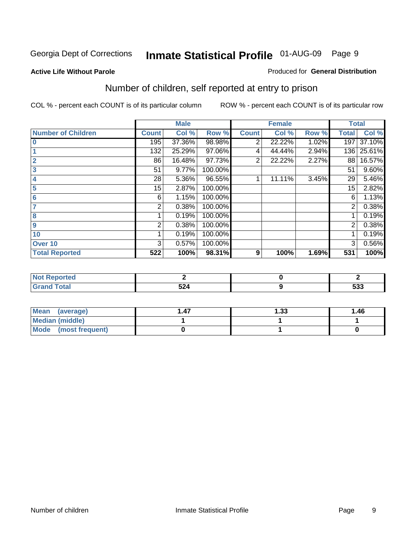#### **Active Life Without Parole**

#### Produced for **General Distribution**

### Number of children, self reported at entry to prison

|                           |                | <b>Male</b> |         |              | <b>Female</b> |       | <b>Total</b>   |        |
|---------------------------|----------------|-------------|---------|--------------|---------------|-------|----------------|--------|
| <b>Number of Children</b> | <b>Count</b>   | Col %       | Row %   | <b>Count</b> | Col %         | Row % | <b>Total</b>   | Col %  |
| $\bf{0}$                  | 195            | 37.36%      | 98.98%  | 2            | 22.22%        | 1.02% | 197            | 37.10% |
|                           | 132            | 25.29%      | 97.06%  | 4            | 44.44%        | 2.94% | 136            | 25.61% |
| $\overline{2}$            | 86             | 16.48%      | 97.73%  | 2            | 22.22%        | 2.27% | 88             | 16.57% |
| 3                         | 51             | 9.77%       | 100.00% |              |               |       | 51             | 9.60%  |
| 4                         | 28             | 5.36%       | 96.55%  |              | 11.11%        | 3.45% | 29             | 5.46%  |
| 5                         | 15             | 2.87%       | 100.00% |              |               |       | 15             | 2.82%  |
| $6\phantom{a}$            | 6              | 1.15%       | 100.00% |              |               |       | 6              | 1.13%  |
| 7                         | 2              | 0.38%       | 100.00% |              |               |       | 2              | 0.38%  |
| 8                         |                | 0.19%       | 100.00% |              |               |       |                | 0.19%  |
| 9                         | $\overline{2}$ | 0.38%       | 100.00% |              |               |       | $\overline{2}$ | 0.38%  |
| 10                        |                | 0.19%       | 100.00% |              |               |       |                | 0.19%  |
| Over 10                   | 3              | 0.57%       | 100.00% |              |               |       | 3              | 0.56%  |
| <b>Total Reported</b>     | 522            | 100%        | 98.31%  | 9            | 100%          | 1.69% | 531            | 100%   |

| nrteu<br>.               |     |            |
|--------------------------|-----|------------|
| <b>otal</b>              | -0  | <b>roo</b> |
| $\sim$ . $\sim$ . $\sim$ | JZ4 | <u>ააა</u> |

| <b>Mean</b><br>(average) | .47 | 33. ا | 1.46 |
|--------------------------|-----|-------|------|
| <b>Median (middle)</b>   |     |       |      |
| Mode (most frequent)     |     |       |      |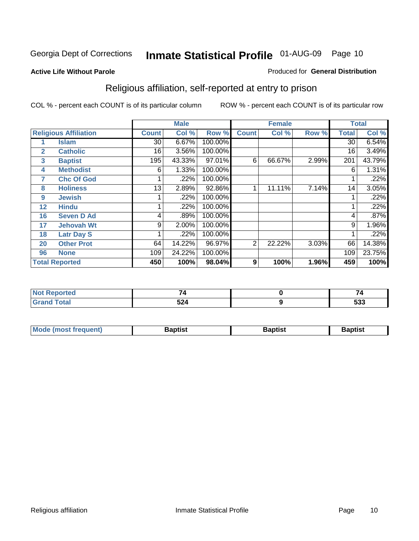#### **Active Life Without Parole**

#### Produced for **General Distribution**

### Religious affiliation, self-reported at entry to prison

|              |                              |              | <b>Male</b> |         |                | <b>Female</b> |       |              | <b>Total</b> |
|--------------|------------------------------|--------------|-------------|---------|----------------|---------------|-------|--------------|--------------|
|              | <b>Religious Affiliation</b> | <b>Count</b> | Col %       | Row %   | <b>Count</b>   | Col %         | Row % | <b>Total</b> | Col %        |
|              | <b>Islam</b>                 | 30           | 6.67%       | 100.00% |                |               |       | 30           | 6.54%        |
| $\mathbf{2}$ | <b>Catholic</b>              | 16           | 3.56%       | 100.00% |                |               |       | 16           | 3.49%        |
| 3            | <b>Baptist</b>               | 195          | 43.33%      | 97.01%  | 6              | 66.67%        | 2.99% | 201          | 43.79%       |
| 4            | <b>Methodist</b>             | 6            | 1.33%       | 100.00% |                |               |       | 6            | 1.31%        |
| 7            | <b>Chc Of God</b>            |              | .22%        | 100.00% |                |               |       |              | .22%         |
| 8            | <b>Holiness</b>              | 13           | 2.89%       | 92.86%  |                | 11.11%        | 7.14% | 14           | 3.05%        |
| 9            | <b>Jewish</b>                |              | .22%        | 100.00% |                |               |       |              | .22%         |
| 12           | <b>Hindu</b>                 |              | .22%        | 100.00% |                |               |       |              | .22%         |
| 16           | <b>Seven D Ad</b>            | 4            | .89%        | 100.00% |                |               |       | 4            | .87%         |
| 17           | <b>Jehovah Wt</b>            | 9            | 2.00%       | 100.00% |                |               |       | 9            | 1.96%        |
| 18           | <b>Latr Day S</b>            |              | .22%        | 100.00% |                |               |       |              | .22%         |
| 20           | <b>Other Prot</b>            | 64           | 14.22%      | 96.97%  | $\overline{2}$ | 22.22%        | 3.03% | 66           | 14.38%       |
| 96           | <b>None</b>                  | 109          | 24.22%      | 100.00% |                |               |       | 109          | 23.75%       |
|              | <b>Total Reported</b>        | 450          | 100%        | 98.04%  | 9              | 100%          | 1.96% | 459          | 100%         |

| <b>Reported</b> |               |     |
|-----------------|---------------|-----|
| <b>otal</b>     | 5 9 Л<br>,,,, | 533 |

| <b>Mode (most frequent)</b><br>3aptist<br>3aptisi<br>Baptist |  |  |
|--------------------------------------------------------------|--|--|
|                                                              |  |  |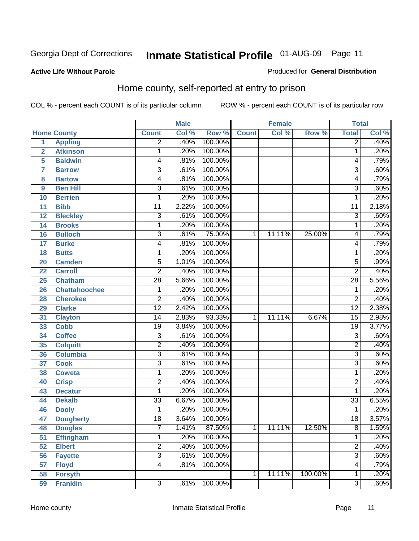#### **Active Life Without Parole**

#### Produced for **General Distribution**

### Home county, self-reported at entry to prison

|                |                      |                         | <b>Male</b> |         |              | <b>Female</b> |         | <b>Total</b>    |       |
|----------------|----------------------|-------------------------|-------------|---------|--------------|---------------|---------|-----------------|-------|
|                | <b>Home County</b>   | <b>Count</b>            | Col %       | Row %   | <b>Count</b> | Col %         | Row %   | <b>Total</b>    | Col % |
| $\overline{1}$ | <b>Appling</b>       | $\overline{2}$          | .40%        | 100.00% |              |               |         | $\overline{2}$  | .40%  |
| $\overline{2}$ | <b>Atkinson</b>      | 1                       | .20%        | 100.00% |              |               |         | 1               | .20%  |
| 5              | <b>Baldwin</b>       | 4                       | .81%        | 100.00% |              |               |         | 4               | .79%  |
| 7              | <b>Barrow</b>        | 3                       | .61%        | 100.00% |              |               |         | $\overline{3}$  | .60%  |
| 8              | <b>Bartow</b>        | 4                       | .81%        | 100.00% |              |               |         | 4               | .79%  |
| 9              | <b>Ben Hill</b>      | $\overline{3}$          | .61%        | 100.00% |              |               |         | $\overline{3}$  | .60%  |
| 10             | <b>Berrien</b>       | 1                       | .20%        | 100.00% |              |               |         | 1               | .20%  |
| 11             | <b>Bibb</b>          | 11                      | 2.22%       | 100.00% |              |               |         | 11              | 2.18% |
| 12             | <b>Bleckley</b>      | $\overline{3}$          | .61%        | 100.00% |              |               |         | 3               | .60%  |
| 14             | <b>Brooks</b>        | 1                       | .20%        | 100.00% |              |               |         | 1               | .20%  |
| 16             | <b>Bulloch</b>       | $\overline{3}$          | .61%        | 75.00%  | 1            | 11.11%        | 25.00%  | 4               | .79%  |
| 17             | <b>Burke</b>         | 4                       | .81%        | 100.00% |              |               |         | 4               | .79%  |
| 18             | <b>Butts</b>         | 1                       | .20%        | 100.00% |              |               |         | 1               | .20%  |
| 20             | <b>Camden</b>        | $\overline{5}$          | 1.01%       | 100.00% |              |               |         | $\overline{5}$  | .99%  |
| 22             | <b>Carroll</b>       | $\overline{2}$          | .40%        | 100.00% |              |               |         | $\overline{2}$  | .40%  |
| 25             | <b>Chatham</b>       | 28                      | 5.66%       | 100.00% |              |               |         | $\overline{28}$ | 5.56% |
| 26             | <b>Chattahoochee</b> | 1                       | .20%        | 100.00% |              |               |         | 1               | .20%  |
| 28             | <b>Cherokee</b>      | $\overline{2}$          | .40%        | 100.00% |              |               |         | $\overline{2}$  | .40%  |
| 29             | <b>Clarke</b>        | $\overline{12}$         | 2.42%       | 100.00% |              |               |         | $\overline{12}$ | 2.38% |
| 31             | <b>Clayton</b>       | 14                      | 2.83%       | 93.33%  | 1            | 11.11%        | 6.67%   | $\overline{15}$ | 2.98% |
| 33             | <b>Cobb</b>          | $\overline{19}$         | 3.84%       | 100.00% |              |               |         | $\overline{19}$ | 3.77% |
| 34             | <b>Coffee</b>        | 3                       | .61%        | 100.00% |              |               |         | $\overline{3}$  | .60%  |
| 35             | <b>Colquitt</b>      | $\overline{\mathbf{c}}$ | .40%        | 100.00% |              |               |         | $\overline{2}$  | .40%  |
| 36             | <b>Columbia</b>      | $\overline{3}$          | .61%        | 100.00% |              |               |         | $\overline{3}$  | .60%  |
| 37             | <b>Cook</b>          | $\overline{3}$          | .61%        | 100.00% |              |               |         | $\overline{3}$  | .60%  |
| 38             | <b>Coweta</b>        | 1                       | .20%        | 100.00% |              |               |         | 1               | .20%  |
| 40             | <b>Crisp</b>         | 2                       | .40%        | 100.00% |              |               |         | $\overline{2}$  | .40%  |
| 43             | <b>Decatur</b>       | 1                       | .20%        | 100.00% |              |               |         | 1               | .20%  |
| 44             | <b>Dekalb</b>        | $\overline{33}$         | 6.67%       | 100.00% |              |               |         | $\overline{33}$ | 6.55% |
| 46             | <b>Dooly</b>         | 1                       | .20%        | 100.00% |              |               |         | 1               | .20%  |
| 47             | <b>Dougherty</b>     | $\overline{18}$         | 3.64%       | 100.00% |              |               |         | $\overline{18}$ | 3.57% |
| 48             | <b>Douglas</b>       | 7                       | 1.41%       | 87.50%  | 1            | 11.11%        | 12.50%  | 8               | 1.59% |
| 51             | <b>Effingham</b>     | 1                       | .20%        | 100.00% |              |               |         | 1               | .20%  |
| 52             | <b>Elbert</b>        | $\overline{2}$          | .40%        | 100.00% |              |               |         | $\overline{2}$  | .40%  |
| 56             | <b>Fayette</b>       | $\overline{3}$          | .61%        | 100.00% |              |               |         | $\overline{3}$  | .60%  |
| 57             | <b>Floyd</b>         | 4                       | .81%        | 100.00% |              |               |         | 4               | .79%  |
| 58             | <b>Forsyth</b>       |                         |             |         | $\mathbf{1}$ | 11.11%        | 100.00% | 1               | .20%  |
| 59             | <b>Franklin</b>      | $\overline{3}$          | .61%        | 100.00% |              |               |         | $\overline{3}$  | .60%  |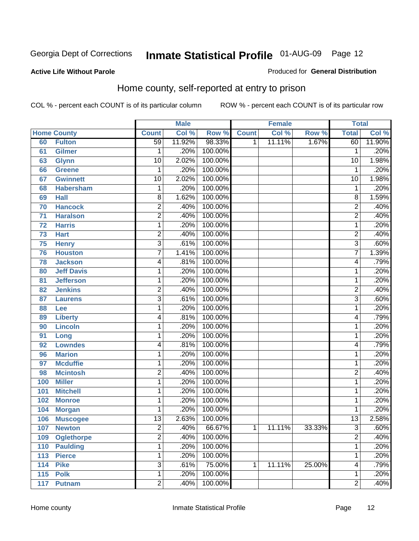#### **Active Life Without Parole**

#### Produced for **General Distribution**

### Home county, self-reported at entry to prison

|     |                    |                 | <b>Male</b> |         |              | <b>Female</b> |        | <b>Total</b>            |        |
|-----|--------------------|-----------------|-------------|---------|--------------|---------------|--------|-------------------------|--------|
|     | <b>Home County</b> | <b>Count</b>    | Col %       | Row %   | <b>Count</b> | Col %         | Row %  | <b>Total</b>            | Col %  |
| 60  | <b>Fulton</b>      | $\overline{59}$ | 11.92%      | 98.33%  | 1            | 11.11%        | 1.67%  | 60                      | 11.90% |
| 61  | <b>Gilmer</b>      | 1               | .20%        | 100.00% |              |               |        | 1                       | .20%   |
| 63  | <b>Glynn</b>       | 10              | 2.02%       | 100.00% |              |               |        | $\overline{10}$         | 1.98%  |
| 66  | <b>Greene</b>      | 1               | .20%        | 100.00% |              |               |        | 1                       | .20%   |
| 67  | <b>Gwinnett</b>    | 10              | 2.02%       | 100.00% |              |               |        | $\overline{10}$         | 1.98%  |
| 68  | <b>Habersham</b>   | 1               | .20%        | 100.00% |              |               |        | 1                       | .20%   |
| 69  | <b>Hall</b>        | 8               | 1.62%       | 100.00% |              |               |        | 8                       | 1.59%  |
| 70  | <b>Hancock</b>     | $\overline{2}$  | .40%        | 100.00% |              |               |        | $\overline{2}$          | .40%   |
| 71  | <b>Haralson</b>    | 2               | .40%        | 100.00% |              |               |        | 2                       | .40%   |
| 72  | <b>Harris</b>      | 1               | .20%        | 100.00% |              |               |        | 1                       | .20%   |
| 73  | <b>Hart</b>        | 2               | .40%        | 100.00% |              |               |        | $\overline{2}$          | .40%   |
| 75  | <b>Henry</b>       | $\overline{3}$  | .61%        | 100.00% |              |               |        | $\overline{3}$          | .60%   |
| 76  | <b>Houston</b>     | $\overline{7}$  | 1.41%       | 100.00% |              |               |        | 7                       | 1.39%  |
| 78  | <b>Jackson</b>     | 4               | .81%        | 100.00% |              |               |        | $\overline{\mathbf{4}}$ | .79%   |
| 80  | <b>Jeff Davis</b>  | 1               | .20%        | 100.00% |              |               |        | 1                       | .20%   |
| 81  | <b>Jefferson</b>   | 1               | .20%        | 100.00% |              |               |        | 1                       | .20%   |
| 82  | <b>Jenkins</b>     | $\overline{2}$  | .40%        | 100.00% |              |               |        | 2                       | .40%   |
| 87  | <b>Laurens</b>     | $\overline{3}$  | .61%        | 100.00% |              |               |        | $\overline{3}$          | .60%   |
| 88  | Lee                | 1               | .20%        | 100.00% |              |               |        | 1                       | .20%   |
| 89  | <b>Liberty</b>     | 4               | .81%        | 100.00% |              |               |        | 4                       | .79%   |
| 90  | <b>Lincoln</b>     | 1               | .20%        | 100.00% |              |               |        | 1                       | .20%   |
| 91  | Long               | 1               | .20%        | 100.00% |              |               |        | 1                       | .20%   |
| 92  | <b>Lowndes</b>     | 4               | .81%        | 100.00% |              |               |        | 4                       | .79%   |
| 96  | <b>Marion</b>      | 1               | .20%        | 100.00% |              |               |        | 1                       | .20%   |
| 97  | <b>Mcduffie</b>    | 1               | .20%        | 100.00% |              |               |        | 1                       | .20%   |
| 98  | <b>Mcintosh</b>    | $\overline{2}$  | .40%        | 100.00% |              |               |        | $\overline{2}$          | .40%   |
| 100 | <b>Miller</b>      | $\mathbf{1}$    | .20%        | 100.00% |              |               |        | 1                       | .20%   |
| 101 | <b>Mitchell</b>    | 1               | .20%        | 100.00% |              |               |        | 1                       | .20%   |
| 102 | <b>Monroe</b>      | 1               | .20%        | 100.00% |              |               |        | 1                       | .20%   |
| 104 | <b>Morgan</b>      | 1               | .20%        | 100.00% |              |               |        | 1                       | .20%   |
| 106 | <b>Muscogee</b>    | $\overline{13}$ | 2.63%       | 100.00% |              |               |        | $\overline{13}$         | 2.58%  |
| 107 | <b>Newton</b>      | 2               | .40%        | 66.67%  | 1            | 11.11%        | 33.33% | 3                       | .60%   |
| 109 | <b>Oglethorpe</b>  | $\overline{2}$  | .40%        | 100.00% |              |               |        | $\overline{2}$          | .40%   |
| 110 | <b>Paulding</b>    | 1               | .20%        | 100.00% |              |               |        | 1                       | .20%   |
| 113 | <b>Pierce</b>      | 1               | .20%        | 100.00% |              |               |        | 1                       | .20%   |
| 114 | <b>Pike</b>        | $\overline{3}$  | .61%        | 75.00%  | 1            | 11.11%        | 25.00% | 4                       | .79%   |
| 115 | <b>Polk</b>        | 1               | .20%        | 100.00% |              |               |        | 1                       | .20%   |
| 117 | <b>Putnam</b>      | $\overline{2}$  | .40%        | 100.00% |              |               |        | $\overline{2}$          | .40%   |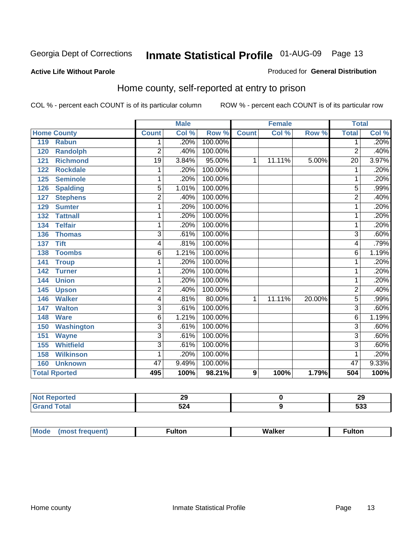#### **Active Life Without Parole**

#### Produced for **General Distribution**

### Home county, self-reported at entry to prison

|     |                      |                 | <b>Male</b> |         |                | <b>Female</b> |        | <b>Total</b>    |          |
|-----|----------------------|-----------------|-------------|---------|----------------|---------------|--------|-----------------|----------|
|     | <b>Home County</b>   | <b>Count</b>    | Col %       | Row %   | <b>Count</b>   | Col %         | Row %  | <b>Total</b>    | Col %    |
| 119 | <b>Rabun</b>         | 1               | .20%        | 100.00% |                |               |        | 1               | .20%     |
| 120 | <b>Randolph</b>      | $\overline{2}$  | .40%        | 100.00% |                |               |        | $\overline{2}$  | .40%     |
| 121 | <b>Richmond</b>      | $\overline{19}$ | 3.84%       | 95.00%  | 1              | 11.11%        | 5.00%  | $\overline{20}$ | 3.97%    |
| 122 | <b>Rockdale</b>      | 1               | .20%        | 100.00% |                |               |        | 1               | .20%     |
| 125 | <b>Seminole</b>      | 1               | .20%        | 100.00% |                |               |        |                 | .20%     |
| 126 | <b>Spalding</b>      | $\overline{5}$  | 1.01%       | 100.00% |                |               |        | $\overline{5}$  | .99%     |
| 127 | <b>Stephens</b>      | 2               | .40%        | 100.00% |                |               |        | $\overline{2}$  | .40%     |
| 129 | <b>Sumter</b>        | 1               | .20%        | 100.00% |                |               |        | 1               | .20%     |
| 132 | <b>Tattnall</b>      | 1               | .20%        | 100.00% |                |               |        | 1               | .20%     |
| 134 | <b>Telfair</b>       | 1               | .20%        | 100.00% |                |               |        | 1               | .20%     |
| 136 | <b>Thomas</b>        | $\overline{3}$  | .61%        | 100.00% |                |               |        | 3               | .60%     |
| 137 | <b>Tift</b>          | 4               | .81%        | 100.00% |                |               |        | $\overline{4}$  | .79%     |
| 138 | <b>Toombs</b>        | 6               | 1.21%       | 100.00% |                |               |        | 6               | 1.19%    |
| 141 | <b>Troup</b>         | 1               | .20%        | 100.00% |                |               |        | 1               | .20%     |
| 142 | <b>Turner</b>        | 1               | .20%        | 100.00% |                |               |        | 1               | .20%     |
| 144 | <b>Union</b>         | 1               | .20%        | 100.00% |                |               |        | 1               | .20%     |
| 145 | <b>Upson</b>         | $\overline{2}$  | .40%        | 100.00% |                |               |        | 2               | .40%     |
| 146 | <b>Walker</b>        | 4               | .81%        | 80.00%  | 1              | 11.11%        | 20.00% | $\overline{5}$  | .99%     |
| 147 | <b>Walton</b>        | $\overline{3}$  | .61%        | 100.00% |                |               |        | $\overline{3}$  | .60%     |
| 148 | <b>Ware</b>          | 6               | 1.21%       | 100.00% |                |               |        | 6               | 1.19%    |
| 150 | <b>Washington</b>    | $\overline{3}$  | .61%        | 100.00% |                |               |        | $\overline{3}$  | .60%     |
| 151 | <b>Wayne</b>         | $\overline{3}$  | .61%        | 100.00% |                |               |        | $\overline{3}$  | .60%     |
| 155 | <b>Whitfield</b>     | 3               | .61%        | 100.00% |                |               |        | 3               | .60%     |
| 158 | <b>Wilkinson</b>     | 1               | .20%        | 100.00% |                |               |        | 1               | .20%     |
| 160 | <b>Unknown</b>       | 47              | 9.49%       | 100.00% |                |               |        | 47              | $9.33\%$ |
|     | <b>Total Rported</b> | 495             | 100%        | 98.21%  | $\overline{9}$ | 100%          | 1.79%  | 504             | 100%     |

| τeα<br>. | ~<br>__   | 29           |
|----------|-----------|--------------|
|          | 524<br>-- | r n n<br>ააა |

| Mode | (most frequent) | <b>ulton</b> | <b>Walker</b><br>_____ | <b>ulton</b> |
|------|-----------------|--------------|------------------------|--------------|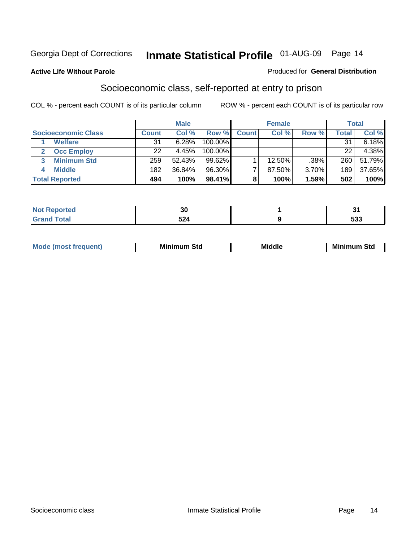#### **Active Life Without Parole**

#### Produced for **General Distribution**

### Socioeconomic class, self-reported at entry to prison

|                            |              | <b>Male</b> |            |              | <b>Female</b> |       |              | <b>Total</b> |
|----------------------------|--------------|-------------|------------|--------------|---------------|-------|--------------|--------------|
| <b>Socioeconomic Class</b> | <b>Count</b> | Col %       | Row %      | <b>Count</b> | Col %         | Row % | <b>Total</b> | Col %        |
| <b>Welfare</b>             | 31           | 6.28%       | 100.00%    |              |               |       | 31           | 6.18%        |
| <b>Occ Employ</b>          | 22           | 4.45%       | $100.00\%$ |              |               |       | 22           | 4.38%        |
| <b>Minimum Std</b>         | 259          | 52.43%      | $99.62\%$  |              | 12.50%        | .38%  | 260          | 51.79%       |
| <b>Middle</b>              | 182          | 36.84%      | 96.30%     |              | 87.50%        | 3.70% | 189          | 37.65%       |
| <b>Total Reported</b>      | 494          | 100%        | 98.41%     |              | 100%          | 1.59% | 502          | 100%         |

|          | $\sim$<br>ึงเ |                   |
|----------|---------------|-------------------|
| $-1 - 1$ | $-0.4$<br>524 | rno<br><u>ააა</u> |

| M<br>Mir<br>Mi<br><b>Middle</b><br><b>C</b> ta<br>Sta<br>oτu<br>.<br>the contract of the contract of the contract of the contract of the contract of the contract of the contract of<br>- - - - |
|-------------------------------------------------------------------------------------------------------------------------------------------------------------------------------------------------|
|-------------------------------------------------------------------------------------------------------------------------------------------------------------------------------------------------|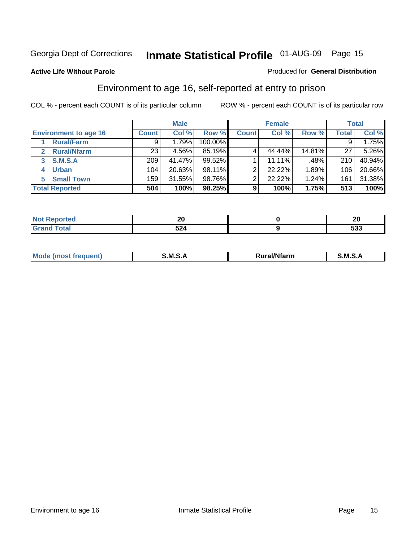#### **Active Life Without Parole**

#### Produced for **General Distribution**

### Environment to age 16, self-reported at entry to prison

|                                    |                  | <b>Male</b> |         |              | <b>Female</b> |        |              | <b>Total</b> |
|------------------------------------|------------------|-------------|---------|--------------|---------------|--------|--------------|--------------|
| <b>Environment to age 16</b>       | <b>Count</b>     | Col %       | Row %   | <b>Count</b> | Col %         | Row %  | <b>Total</b> | Col %        |
| <b>Rural/Farm</b>                  | 9                | 1.79%       | 100.00% |              |               |        |              | 1.75%        |
| <b>Rural/Nfarm</b><br>$\mathbf{z}$ | 23               | 4.56%       | 85.19%  |              | 44.44%        | 14.81% | 27           | 5.26%        |
| <b>S.M.S.A</b><br>3                | 209 <sub>1</sub> | 41.47%      | 99.52%  |              | 11.11%        | .48%   | 210          | 40.94%       |
| <b>Urban</b><br>4                  | 104              | 20.63%      | 98.11%  |              | 22.22%        | 1.89%  | 106          | 20.66%       |
| <b>Small Town</b><br>5             | 159              | 31.55%      | 98.76%  | ⌒            | 22.22%        | 1.24%  | 161          | 31.38%       |
| <b>Total Reported</b>              | 504              | 100%        | 98.25%  | 9            | 100%          | 1.75%  | 513          | 100%         |

| <b>rted</b>           | ZV  | $\sim$<br>ZU        |
|-----------------------|-----|---------------------|
| <b>Total</b><br>Grand | 524 | r <u>n</u> n<br>ააა |

| Mo<br><b>CONTRACTOR</b><br>. M S<br>M<br>---<br>Nfarn<br>.<br>_____<br>______ |  |  |
|-------------------------------------------------------------------------------|--|--|
|                                                                               |  |  |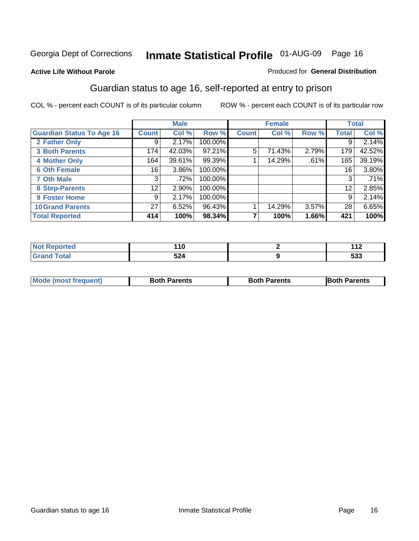#### **Active Life Without Parole**

#### Produced for **General Distribution**

### Guardian status to age 16, self-reported at entry to prison

|                                  |              | <b>Male</b> |         |              | <b>Female</b> |       |              | <b>Total</b> |
|----------------------------------|--------------|-------------|---------|--------------|---------------|-------|--------------|--------------|
| <b>Guardian Status To Age 16</b> | <b>Count</b> | Col %       | Row %   | <b>Count</b> | Col %         | Row % | <b>Total</b> | Col %        |
| 2 Father Only                    | 9            | 2.17%       | 100.00% |              |               |       | 9            | 2.14%        |
| <b>3 Both Parents</b>            | 174          | 42.03%      | 97.21%  | 5            | 71.43%        | 2.79% | 179          | 42.52%       |
| <b>4 Mother Only</b>             | 164          | 39.61%      | 99.39%  |              | 14.29%        | .61%  | 165          | 39.19%       |
| <b>6 Oth Female</b>              | 16           | 3.86%       | 100.00% |              |               |       | 16           | 3.80%        |
| <b>7 Oth Male</b>                | 3            | .72%        | 100.00% |              |               |       | 3            | .71%         |
| 8 Step-Parents                   | 12           | 2.90%       | 100.00% |              |               |       | 12           | 2.85%        |
| 9 Foster Home                    | 9            | 2.17%       | 100.00% |              |               |       | 9            | 2.14%        |
| <b>10 Grand Parents</b>          | 27           | 6.52%       | 96.43%  |              | 14.29%        | 3.57% | 28           | 6.65%        |
| <b>Total Reported</b>            | 414          | 100%        | 98.34%  | ⇁            | 100%          | 1.66% | 421          | 100%         |

| $\overline{10}$<br>u<br>$\sim$ | 119<br>. .        |
|--------------------------------|-------------------|
| -^*<br>JL-T                    | <b>EOO</b><br>უკკ |

| <b>Mode (most frequent)</b> | <b>Both Parents</b> | <b>Both Parents</b> | <b>IBoth I</b><br>Parents |
|-----------------------------|---------------------|---------------------|---------------------------|
|                             |                     |                     |                           |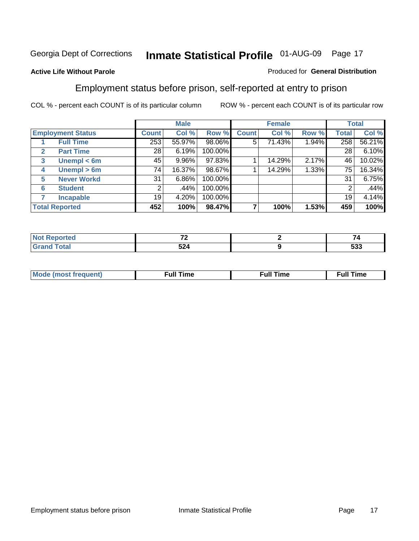#### **Active Life Without Parole**

#### Produced for **General Distribution**

### Employment status before prison, self-reported at entry to prison

|              |                          |              | <b>Male</b> |         |              | <b>Female</b> |       |       | <b>Total</b> |
|--------------|--------------------------|--------------|-------------|---------|--------------|---------------|-------|-------|--------------|
|              | <b>Employment Status</b> | <b>Count</b> | Col %       | Row %   | <b>Count</b> | Col %         | Row % | Total | Col %        |
|              | <b>Full Time</b>         | 253          | 55.97%      | 98.06%  | 5            | 71.43%        | 1.94% | 258   | 56.21%       |
| $\mathbf{2}$ | <b>Part Time</b>         | 28           | 6.19%       | 100.00% |              |               |       | 28    | 6.10%        |
| 3            | Unempl $<$ 6m            | 45           | 9.96%       | 97.83%  |              | 14.29%        | 2.17% | 46    | 10.02%       |
| 4            | Unempl > 6m              | 74           | 16.37%      | 98.67%  |              | 14.29%        | 1.33% | 75    | 16.34%       |
| 5            | <b>Never Workd</b>       | 31           | 6.86%       | 100.00% |              |               |       | 31    | 6.75%        |
| 6            | <b>Student</b>           | 2            | .44%        | 100.00% |              |               |       | 2     | .44%         |
|              | <b>Incapable</b>         | 19           | 4.20%       | 100.00% |              |               |       | 19    | 4.14%        |
|              | <b>Total Reported</b>    | 452          | 100%        | 98.47%  |              | 100%          | 1.53% | 459   | 100%         |

| тео.                     | 70<br>$\mathbf{r}$ | $-$ |
|--------------------------|--------------------|-----|
| <b>Coto</b> "<br>_______ | 59 A<br>JZ4        | 533 |

| Mo<br>reouem | ш | ،me<br>uı<br>the contract of the contract of the contract of the contract of the contract of the contract of the contract of | ⊺ime<br>้นเ |
|--------------|---|------------------------------------------------------------------------------------------------------------------------------|-------------|
|              |   |                                                                                                                              |             |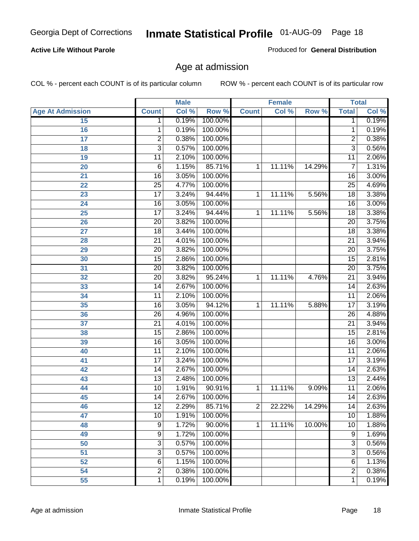#### **Active Life Without Parole**

Produced for **General Distribution**

### Age at admission

|                         |                 | <b>Male</b> |         |                | <b>Female</b> |        |                 | <b>Total</b> |
|-------------------------|-----------------|-------------|---------|----------------|---------------|--------|-----------------|--------------|
| <b>Age At Admission</b> | <b>Count</b>    | Col %       | Row %   | <b>Count</b>   | Col %         | Row %  | <b>Total</b>    | Col %        |
| 15                      | 1               | 0.19%       | 100.00% |                |               |        | 1               | 0.19%        |
| 16                      | 1               | 0.19%       | 100.00% |                |               |        | 1               | 0.19%        |
| $\overline{17}$         | $\overline{c}$  | 0.38%       | 100.00% |                |               |        | 2               | 0.38%        |
| 18                      | $\overline{3}$  | 0.57%       | 100.00% |                |               |        | $\overline{3}$  | 0.56%        |
| 19                      | 11              | 2.10%       | 100.00% |                |               |        | 11              | 2.06%        |
| 20                      | $\overline{6}$  | 1.15%       | 85.71%  | 1              | 11.11%        | 14.29% | $\overline{7}$  | 1.31%        |
| 21                      | $\overline{16}$ | 3.05%       | 100.00% |                |               |        | 16              | 3.00%        |
| 22                      | 25              | 4.77%       | 100.00% |                |               |        | $\overline{25}$ | 4.69%        |
| 23                      | $\overline{17}$ | 3.24%       | 94.44%  | 1              | 11.11%        | 5.56%  | 18              | 3.38%        |
| 24                      | $\overline{16}$ | 3.05%       | 100.00% |                |               |        | 16              | 3.00%        |
| 25                      | $\overline{17}$ | 3.24%       | 94.44%  | 1              | 11.11%        | 5.56%  | $\overline{18}$ | 3.38%        |
| 26                      | $\overline{20}$ | 3.82%       | 100.00% |                |               |        | $\overline{20}$ | 3.75%        |
| 27                      | $\overline{18}$ | 3.44%       | 100.00% |                |               |        | 18              | 3.38%        |
| 28                      | $\overline{21}$ | 4.01%       | 100.00% |                |               |        | $\overline{21}$ | 3.94%        |
| 29                      | $\overline{20}$ | 3.82%       | 100.00% |                |               |        | $\overline{20}$ | 3.75%        |
| 30                      | $\overline{15}$ | 2.86%       | 100.00% |                |               |        | 15              | 2.81%        |
| 31                      | $\overline{20}$ | 3.82%       | 100.00% |                |               |        | 20              | 3.75%        |
| 32                      | 20              | 3.82%       | 95.24%  | 1              | 11.11%        | 4.76%  | $\overline{21}$ | 3.94%        |
| 33                      | $\overline{14}$ | 2.67%       | 100.00% |                |               |        | $\overline{14}$ | 2.63%        |
| 34                      | 11              | 2.10%       | 100.00% |                |               |        | 11              | 2.06%        |
| 35                      | $\overline{16}$ | 3.05%       | 94.12%  | 1              | 11.11%        | 5.88%  | $\overline{17}$ | 3.19%        |
| 36                      | $\overline{26}$ | 4.96%       | 100.00% |                |               |        | 26              | 4.88%        |
| 37                      | $\overline{21}$ | 4.01%       | 100.00% |                |               |        | $\overline{21}$ | 3.94%        |
| 38                      | $\overline{15}$ | 2.86%       | 100.00% |                |               |        | $\overline{15}$ | 2.81%        |
| 39                      | $\overline{16}$ | 3.05%       | 100.00% |                |               |        | 16              | 3.00%        |
| 40                      | $\overline{11}$ | 2.10%       | 100.00% |                |               |        | 11              | 2.06%        |
| 41                      | $\overline{17}$ | 3.24%       | 100.00% |                |               |        | $\overline{17}$ | 3.19%        |
| 42                      | 14              | 2.67%       | 100.00% |                |               |        | 14              | 2.63%        |
| 43                      | $\overline{13}$ | 2.48%       | 100.00% |                |               |        | $\overline{13}$ | 2.44%        |
| 44                      | 10              | 1.91%       | 90.91%  | 1              | 11.11%        | 9.09%  | 11              | 2.06%        |
| 45                      | 14              | 2.67%       | 100.00% |                |               |        | 14              | 2.63%        |
| 46                      | 12              | 2.29%       | 85.71%  | 2              | 22.22%        | 14.29% | 14              | 2.63%        |
| 47                      | 10              | 1.91%       | 100.00% |                |               |        | 10              | 1.88%        |
| 48                      | $\overline{9}$  | 1.72%       | 90.00%  | $\overline{1}$ | 11.11%        | 10.00% | 10              | 1.88%        |
| 49                      | $\overline{9}$  | 1.72%       | 100.00% |                |               |        | 9               | 1.69%        |
| 50                      | 3               | 0.57%       | 100.00% |                |               |        | $\overline{3}$  | 0.56%        |
| 51                      | $\overline{3}$  | 0.57%       | 100.00% |                |               |        | $\overline{3}$  | 0.56%        |
| 52                      | $\overline{6}$  | 1.15%       | 100.00% |                |               |        | 6               | 1.13%        |
| 54                      | $\overline{c}$  | 0.38%       | 100.00% |                |               |        | $\overline{c}$  | 0.38%        |
| 55                      | $\mathbf{1}$    | 0.19%       | 100.00% |                |               |        | 1               | 0.19%        |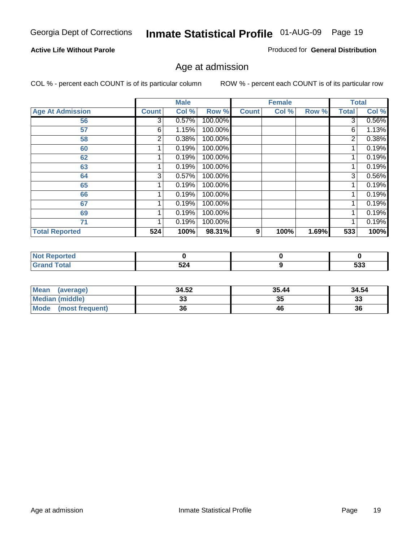#### **Active Life Without Parole**

Produced for **General Distribution**

### Age at admission

|                         |                | <b>Male</b> |         |              | <b>Female</b> |       |              | <b>Total</b> |
|-------------------------|----------------|-------------|---------|--------------|---------------|-------|--------------|--------------|
| <b>Age At Admission</b> | <b>Count</b>   | Col %       | Row %   | <b>Count</b> | Col %         | Row % | <b>Total</b> | Col %        |
| 56                      | 3              | 0.57%       | 100.00% |              |               |       | 3            | 0.56%        |
| 57                      | 6              | 1.15%       | 100.00% |              |               |       | 6            | 1.13%        |
| 58                      | 2              | 0.38%       | 100.00% |              |               |       | 2            | 0.38%        |
| 60                      |                | 0.19%       | 100.00% |              |               |       |              | 0.19%        |
| 62                      |                | 0.19%       | 100.00% |              |               |       |              | 0.19%        |
| 63                      |                | 0.19%       | 100.00% |              |               |       |              | 0.19%        |
| 64                      | 3 <sub>l</sub> | 0.57%       | 100.00% |              |               |       | 3            | 0.56%        |
| 65                      |                | 0.19%       | 100.00% |              |               |       |              | 0.19%        |
| 66                      |                | 0.19%       | 100.00% |              |               |       |              | 0.19%        |
| 67                      |                | 0.19%       | 100.00% |              |               |       |              | 0.19%        |
| 69                      |                | 0.19%       | 100.00% |              |               |       |              | 0.19%        |
| 71                      |                | 0.19%       | 100.00% |              |               |       |              | 0.19%        |
| <b>Total Reported</b>   | 524            | 100%        | 98.31%  | 9            | 100%          | 1.69% | 533          | 100%         |

| <b>rted</b> |                                           |     |
|-------------|-------------------------------------------|-----|
| `otal       | 524                                       | よつつ |
| _____       | $\sim$ $\sim$ $\sim$ $\sim$ $\sim$ $\sim$ | ააა |

| <b>Mean</b><br>(average)       | 34.52 | 35.44 | 34.54    |
|--------------------------------|-------|-------|----------|
| <b>Median (middle)</b>         |       | 35    | າາ<br>აა |
| <b>Mode</b><br>(most frequent) | 36    | 46    | 36       |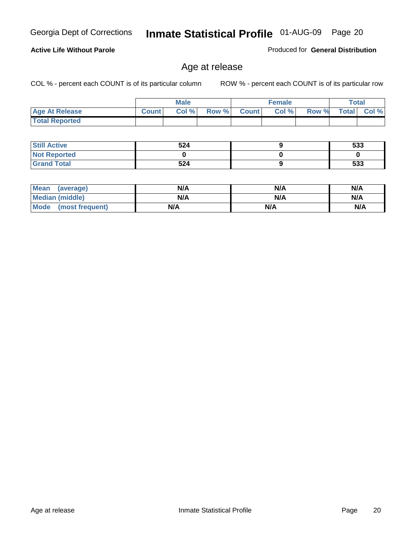#### **Active Life Without Parole**

Produced for **General Distribution**

### Age at release

|                       |              | <b>Male</b> |       |              | <b>Female</b> |       | Total        |          |
|-----------------------|--------------|-------------|-------|--------------|---------------|-------|--------------|----------|
| <b>Age At Release</b> | <b>Count</b> | Col%        | Row % | <b>Count</b> | Col %         | Row % | <b>Total</b> | Col $\%$ |
| <b>Total Reported</b> |              |             |       |              |               |       |              |          |

| <b>Still Active</b> | 524 | 533 |
|---------------------|-----|-----|
| <b>Not Reported</b> |     |     |
| <b>Grand Total</b>  | 524 | 533 |

| <b>Mean</b><br>(average) | N/A | N/A | N/A |
|--------------------------|-----|-----|-----|
| Median (middle)          | N/A | N/A | N/A |
| Mode<br>(most frequent)  | N/A | N/A | N/A |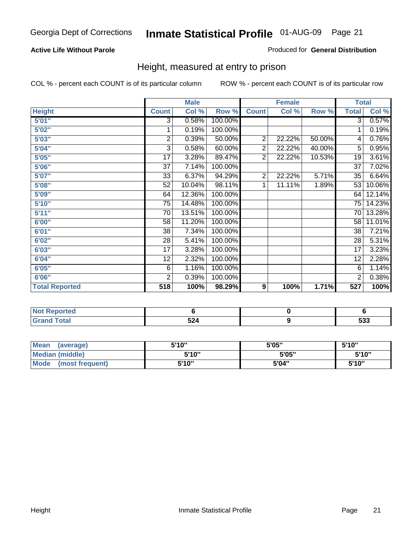#### **Active Life Without Parole**

#### Produced for **General Distribution**

### Height, measured at entry to prison

|                       |                         | <b>Male</b> |         |                | <b>Female</b> |        | <b>Total</b>    |        |
|-----------------------|-------------------------|-------------|---------|----------------|---------------|--------|-----------------|--------|
| <b>Height</b>         | <b>Count</b>            | Col %       | Row %   | <b>Count</b>   | Col %         | Row %  | <b>Total</b>    | Col %  |
| 5'01''                | $\overline{3}$          | 0.58%       | 100.00% |                |               |        | $\overline{3}$  | 0.57%  |
| 5'02"                 | 1                       | 0.19%       | 100.00% |                |               |        | 1               | 0.19%  |
| 5'03"                 | $\overline{\mathbf{c}}$ | 0.39%       | 50.00%  | $\overline{2}$ | 22.22%        | 50.00% | 4               | 0.76%  |
| 5'04"                 | 3                       | 0.58%       | 60.00%  | $\overline{2}$ | 22.22%        | 40.00% | 5               | 0.95%  |
| 5'05"                 | 17                      | 3.28%       | 89.47%  | $\overline{2}$ | 22.22%        | 10.53% | 19              | 3.61%  |
| 5'06"                 | $\overline{37}$         | 7.14%       | 100.00% |                |               |        | $\overline{37}$ | 7.02%  |
| 5'07''                | 33                      | 6.37%       | 94.29%  | $\overline{2}$ | 22.22%        | 5.71%  | 35              | 6.64%  |
| 5'08"                 | 52                      | 10.04%      | 98.11%  | 1              | 11.11%        | 1.89%  | 53              | 10.06% |
| 5'09"                 | 64                      | 12.36%      | 100.00% |                |               |        | 64              | 12.14% |
| 5'10''                | 75                      | 14.48%      | 100.00% |                |               |        | 75              | 14.23% |
| 5'11''                | 70                      | 13.51%      | 100.00% |                |               |        | 70              | 13.28% |
| 6'00"                 | 58                      | 11.20%      | 100.00% |                |               |        | 58              | 11.01% |
| 6'01''                | 38                      | 7.34%       | 100.00% |                |               |        | 38              | 7.21%  |
| 6'02"                 | 28                      | 5.41%       | 100.00% |                |               |        | 28              | 5.31%  |
| 6'03"                 | 17                      | 3.28%       | 100.00% |                |               |        | 17              | 3.23%  |
| 6'04"                 | 12                      | 2.32%       | 100.00% |                |               |        | 12              | 2.28%  |
| 6'05"                 | $\,6$                   | 1.16%       | 100.00% |                |               |        | 6               | 1.14%  |
| 6'06"                 | $\overline{2}$          | 0.39%       | 100.00% |                |               |        | 2               | 0.38%  |
| <b>Total Reported</b> | 518                     | 100%        | 98.29%  | 9              | 100%          | 1.71%  | 527             | 100%   |

| portea<br>. <b>.</b> . |           |                          |
|------------------------|-----------|--------------------------|
| $\sim$ 40 $\sim$       | 524<br>◡← | <b>roo</b><br><u>ააა</u> |

| <b>Mean</b><br>(average) | 5'10" | 5'05" | 5'10"  |
|--------------------------|-------|-------|--------|
| Median (middle)          | 5'10" | 5'05" | 5'10"  |
| Mode<br>(most frequent)  | 5'10" | 5'04" | 5'10'' |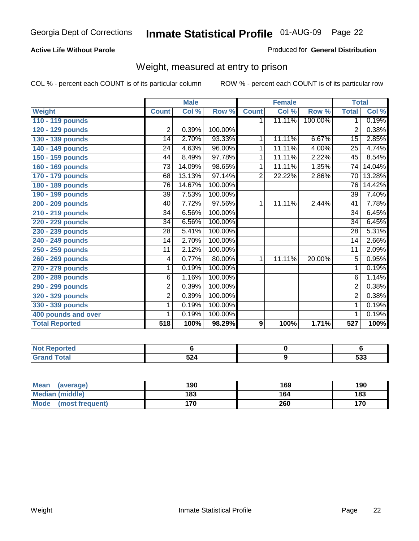#### **Active Life Without Parole**

#### Produced for **General Distribution**

### Weight, measured at entry to prison

|                       |                 | <b>Male</b> |         |                | <b>Female</b> |         | <b>Total</b>    |        |
|-----------------------|-----------------|-------------|---------|----------------|---------------|---------|-----------------|--------|
| <b>Weight</b>         | <b>Count</b>    | Col %       | Row %   | <b>Count</b>   | Col %         | Row %   | <b>Total</b>    | Col %  |
| 110 - 119 pounds      |                 |             |         | 1.             | 11.11%        | 100.00% | 1               | 0.19%  |
| 120 - 129 pounds      | $\overline{2}$  | 0.39%       | 100.00% |                |               |         | $\overline{2}$  | 0.38%  |
| 130 - 139 pounds      | 14              | 2.70%       | 93.33%  | 1              | 11.11%        | 6.67%   | 15              | 2.85%  |
| 140 - 149 pounds      | 24              | 4.63%       | 96.00%  | 1              | 11.11%        | 4.00%   | 25              | 4.74%  |
| 150 - 159 pounds      | 44              | 8.49%       | 97.78%  | 1              | 11.11%        | 2.22%   | 45              | 8.54%  |
| 160 - 169 pounds      | 73              | 14.09%      | 98.65%  | 1              | 11.11%        | 1.35%   | 74              | 14.04% |
| 170 - 179 pounds      | 68              | 13.13%      | 97.14%  | $\overline{2}$ | 22.22%        | 2.86%   | 70              | 13.28% |
| 180 - 189 pounds      | $\overline{76}$ | 14.67%      | 100.00% |                |               |         | $\overline{76}$ | 14.42% |
| 190 - 199 pounds      | 39              | 7.53%       | 100.00% |                |               |         | 39              | 7.40%  |
| 200 - 209 pounds      | 40              | 7.72%       | 97.56%  | 1              | 11.11%        | 2.44%   | 41              | 7.78%  |
| 210 - 219 pounds      | 34              | 6.56%       | 100.00% |                |               |         | 34              | 6.45%  |
| 220 - 229 pounds      | 34              | 6.56%       | 100.00% |                |               |         | $\overline{34}$ | 6.45%  |
| 230 - 239 pounds      | 28              | 5.41%       | 100.00% |                |               |         | 28              | 5.31%  |
| 240 - 249 pounds      | 14              | 2.70%       | 100.00% |                |               |         | 14              | 2.66%  |
| 250 - 259 pounds      | 11              | 2.12%       | 100.00% |                |               |         | 11              | 2.09%  |
| 260 - 269 pounds      | 4               | 0.77%       | 80.00%  | 1              | 11.11%        | 20.00%  | $\overline{5}$  | 0.95%  |
| 270 - 279 pounds      | $\mathbf{1}$    | 0.19%       | 100.00% |                |               |         | 1               | 0.19%  |
| 280 - 289 pounds      | 6               | 1.16%       | 100.00% |                |               |         | 6               | 1.14%  |
| 290 - 299 pounds      | $\overline{2}$  | 0.39%       | 100.00% |                |               |         | $\overline{2}$  | 0.38%  |
| 320 - 329 pounds      | $\overline{c}$  | 0.39%       | 100.00% |                |               |         | $\overline{2}$  | 0.38%  |
| 330 - 339 pounds      | 1               | 0.19%       | 100.00% |                |               |         | 1               | 0.19%  |
| 400 pounds and over   | 1               | 0.19%       | 100.00% |                |               |         | 1               | 0.19%  |
| <b>Total Reported</b> | 518             | 100%        | 98.29%  | 9              | 100%          | 1.71%   | 527             | 100%   |

| <b>Reported</b>       |     |     |
|-----------------------|-----|-----|
| <b>otal</b><br>$\sim$ | 524 | 533 |

| <b>Mean</b><br>(average) | 190 | 169 | 190 |
|--------------------------|-----|-----|-----|
| Median (middle)          | 183 | 164 | 183 |
| Mode<br>(most frequent)  | 170 | 260 | 170 |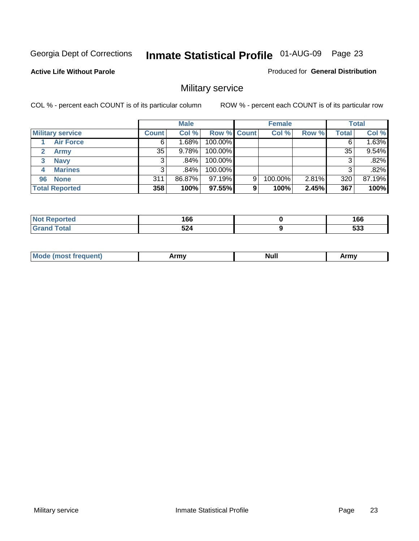**Active Life Without Parole** 

Produced for **General Distribution**

### Military service

|                         |              | <b>Male</b> |                    |   | <b>Female</b> |       |       | <b>Total</b> |
|-------------------------|--------------|-------------|--------------------|---|---------------|-------|-------|--------------|
| <b>Military service</b> | <b>Count</b> | Col %       | <b>Row % Count</b> |   | Col %         | Row % | Total | Col %        |
| <b>Air Force</b>        | 6            | 1.68%       | 100.00%            |   |               |       |       | 1.63%        |
| <b>Army</b>             | 35           | 9.78%       | 100.00%            |   |               |       | 35    | 9.54%        |
| <b>Navy</b><br>3        |              | ا 84%.      | 100.00%            |   |               |       |       | .82%         |
| <b>Marines</b><br>4     | 3            | .84%        | 100.00%            |   |               |       | 3     | .82%         |
| 96 None                 | 311          | 86.87%      | 97.19%             | 9 | 100.00%       | 2.81% | 320   | 87.19%       |
| <b>Total Reported</b>   | 358          | 100%        | 97.55%             | 9 | 100%          | 2.45% | 367   | 100%         |

| <b>orted</b> | 1 C C<br>l OO<br>__     | 166<br>$ -$              |
|--------------|-------------------------|--------------------------|
| $C = 4 - 7$  | <b>FA</b><br><b>524</b> | <b>raa</b><br><u>ეეე</u> |

| M<br><b>IVUII</b><br>.<br>. |
|-----------------------------|
|-----------------------------|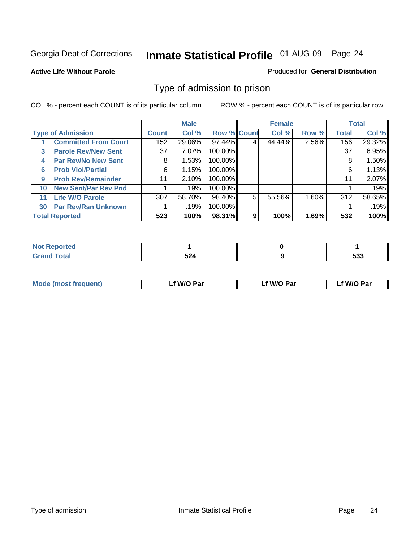#### **Active Life Without Parole**

#### Produced for **General Distribution**

### Type of admission to prison

|    |                             |                 | <b>Male</b> |                    |   | <b>Female</b> |       |              | <b>Total</b> |
|----|-----------------------------|-----------------|-------------|--------------------|---|---------------|-------|--------------|--------------|
|    | <b>Type of Admission</b>    | <b>Count</b>    | Col %       | <b>Row % Count</b> |   | Col %         | Row % | <b>Total</b> | Col %        |
|    | <b>Committed From Court</b> | 152             | 29.06%      | 97.44%             | 4 | 44.44%        | 2.56% | 156          | 29.32%       |
| 3  | <b>Parole Rev/New Sent</b>  | 37 <sup>1</sup> | 7.07%       | 100.00%            |   |               |       | 37           | 6.95%        |
| 4  | <b>Par Rev/No New Sent</b>  | 8               | 1.53%       | 100.00%            |   |               |       | 8            | 1.50%        |
| 6  | <b>Prob Viol/Partial</b>    | 6               | 1.15%       | 100.00%            |   |               |       | 6            | 1.13%        |
| 9  | <b>Prob Rev/Remainder</b>   | 11              | 2.10%       | 100.00%            |   |               |       | 11           | 2.07%        |
| 10 | <b>New Sent/Par Rev Pnd</b> |                 | .19%        | 100.00%            |   |               |       |              | .19%         |
| 11 | <b>Life W/O Parole</b>      | 307             | 58.70%      | 98.40%             | 5 | 55.56%        | 1.60% | 312          | 58.65%       |
| 30 | <b>Par Rev/Rsn Unknown</b>  |                 | .19%        | 100.00%            |   |               |       |              | .19%         |
|    | <b>Total Reported</b>       | 523             | 100%        | 98.31%             | 9 | 100%          | 1.69% | 532          | 100%         |

| Reported<br><b>NOT</b>        |              |                   |
|-------------------------------|--------------|-------------------|
| <b>Total</b><br>Gra<br>$\sim$ | - ^ ^<br>JZ4 | ran<br><u>ააა</u> |

| Mode (most frequent) | f W/O Par | Lf W/O Par | f W/O Par |
|----------------------|-----------|------------|-----------|
|                      |           |            |           |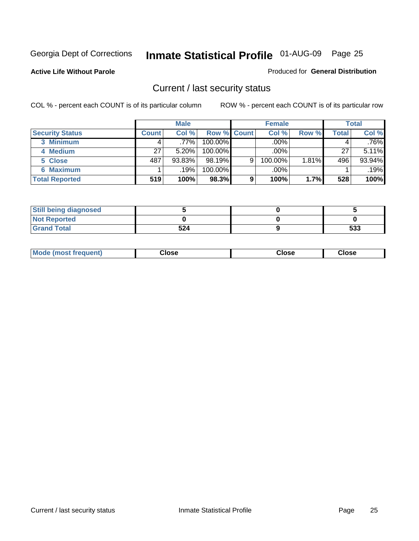**Active Life Without Parole** 

Produced for **General Distribution**

### Current / last security status

|                        |              | <b>Male</b> |                    |   | <b>Female</b> |       |       | <b>Total</b> |
|------------------------|--------------|-------------|--------------------|---|---------------|-------|-------|--------------|
| <b>Security Status</b> | <b>Count</b> | Col %       | <b>Row % Count</b> |   | Col %         | Row % | Total | Col %        |
| 3 Minimum              |              | .77%        | $100.00\%$         |   | .00%          |       |       | .76%         |
| 4 Medium               | 27           | 5.20%       | $100.00\%$         |   | $.00\%$       |       | 27    | 5.11%        |
| 5 Close                | 487          | 93.83%      | $98.19\%$          | 9 | 100.00%       | 1.81% | 496   | 93.94%       |
| 6 Maximum              |              | .19%        | 100.00%            |   | .00%          |       |       | .19%         |
| <b>Total Reported</b>  | 519          | 100%        | 98.3%              | 9 | 100%          | 1.7%  | 528   | 100%         |

| <b>Still being diagnosed</b> |     |     |
|------------------------------|-----|-----|
| <b>Not Reported</b>          |     |     |
| <b>Grand Total</b>           | 524 | 533 |

| <b>Mode</b><br><b>OSE</b><br>∵lose<br>(most frequent)<br>oseث<br>- - - -<br>- - - -<br>- - - - |  |
|------------------------------------------------------------------------------------------------|--|
|------------------------------------------------------------------------------------------------|--|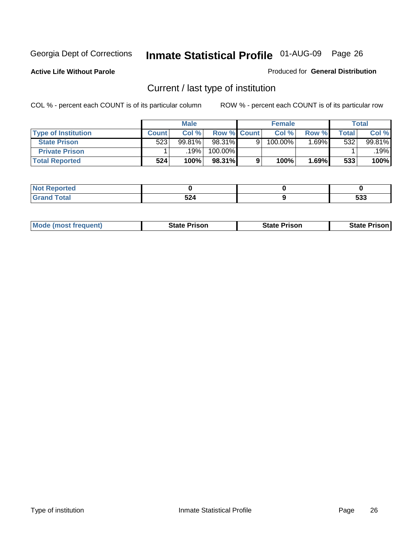**Active Life Without Parole** 

Produced for **General Distribution**

### Current / last type of institution

|                            |              | <b>Male</b> |                    | <b>Female</b> |       |       | <b>Total</b> |
|----------------------------|--------------|-------------|--------------------|---------------|-------|-------|--------------|
| <b>Type of Institution</b> | <b>Count</b> | Col %       | <b>Row % Count</b> | Col%          | Row % | Total | Col %        |
| <b>State Prison</b>        | 523          | 99.81%      | 98.31%             | 100.00%       | .69%  | 532   | 99.81%       |
| <b>Private Prison</b>      |              | 19%         | 100.00%            |               |       |       | 19%          |
| <b>Total Reported</b>      | 524          | 100%        | 98.31%             | 100%          | 1.69% | 533   | 100%         |

| н<br>.   |                   |            |
|----------|-------------------|------------|
| -<br>--- | - -<br>- -<br>◡▵┭ | ---<br>JJJ |

| <b>Mode (most frequent)</b> | State Prison | <b>State Prison</b> | <b>State Prison</b> |
|-----------------------------|--------------|---------------------|---------------------|
|                             |              |                     |                     |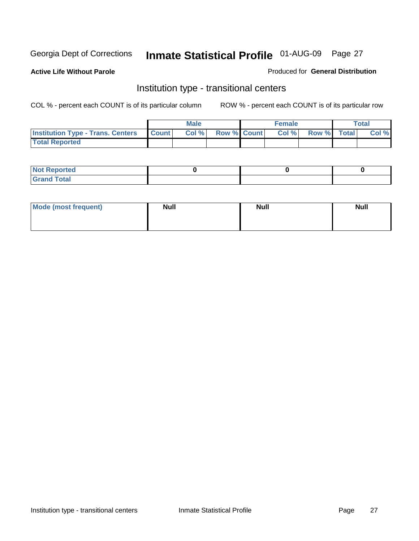**Active Life Without Parole** 

Produced for **General Distribution**

### Institution type - transitional centers

|                                          |              | Male  |                    | <b>Female</b> |             | <b>Total</b> |
|------------------------------------------|--------------|-------|--------------------|---------------|-------------|--------------|
| <b>Institution Type - Trans. Centers</b> | <b>Count</b> | Col % | <b>Row % Count</b> | Col %         | Row % Total | Col %        |
| <b>Total Reported</b>                    |              |       |                    |               |             |              |

| rtea<br>20 NGL 2<br>  |  |  |
|-----------------------|--|--|
| into!<br>---<br>_____ |  |  |

| Mode (most frequent) | <b>Null</b> | <b>Null</b> | <b>Null</b> |
|----------------------|-------------|-------------|-------------|
|                      |             |             |             |
|                      |             |             |             |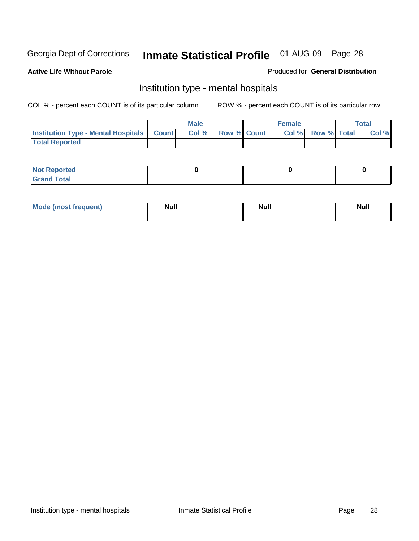**Active Life Without Parole** 

Produced for **General Distribution**

### Institution type - mental hospitals

|                                                    | Male |                    | <b>Female</b> |                    | <b>Total</b> |
|----------------------------------------------------|------|--------------------|---------------|--------------------|--------------|
| <b>Institution Type - Mental Hospitals Count  </b> | Col% | <b>Row % Count</b> | Col%          | <b>Row % Total</b> | Col %        |
| <b>Total Reported</b>                              |      |                    |               |                    |              |

| <b>Not Reported</b> |  |  |
|---------------------|--|--|
| <b>Fotal</b><br>Cro |  |  |

| Mode (most frequent) | <b>Null</b> | <b>Null</b> | <b>Null</b> |
|----------------------|-------------|-------------|-------------|
|                      |             |             |             |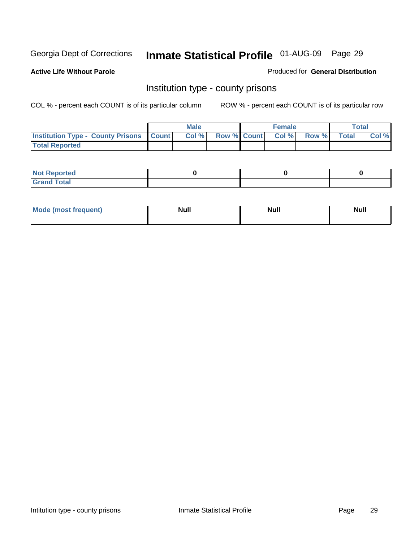**Active Life Without Parole** 

Produced for **General Distribution**

### Institution type - county prisons

|                                                    | <b>Male</b> |                          | <b>Female</b> |       |              | Total |
|----------------------------------------------------|-------------|--------------------------|---------------|-------|--------------|-------|
| <b>Institution Type - County Prisons   Count  </b> | Col %       | <b>Row % Count Col %</b> |               | Row % | <b>Total</b> | Col % |
| <b>Total Reported</b>                              |             |                          |               |       |              |       |

| <b>Not Reported</b>        |  |  |
|----------------------------|--|--|
| <b>Total</b><br>.Grar<br>_ |  |  |

| <b>Mo</b><br>frequent) | NI. . II<br>1u 11 | <b>Moll</b> | <b>Null</b> |
|------------------------|-------------------|-------------|-------------|
|                        |                   |             |             |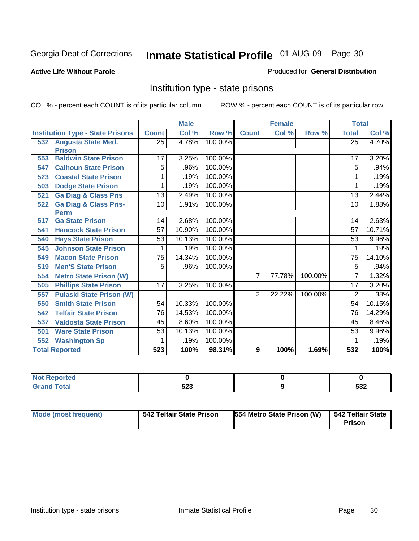#### **Active Life Without Parole**

#### Produced for **General Distribution**

### Institution type - state prisons

|     |                                         | <b>Male</b>     |                           | <b>Female</b> |                |        | <b>Total</b> |                 |          |
|-----|-----------------------------------------|-----------------|---------------------------|---------------|----------------|--------|--------------|-----------------|----------|
|     | <b>Institution Type - State Prisons</b> | <b>Count</b>    | $\overline{\text{Col}}$ % | Row %         | <b>Count</b>   | Col %  | Row %        | <b>Total</b>    | Col %    |
|     | 532 Augusta State Med.                  | $\overline{25}$ | 4.78%                     | 100.00%       |                |        |              | $\overline{25}$ | 4.70%    |
|     | <b>Prison</b>                           |                 |                           |               |                |        |              |                 |          |
| 553 | <b>Baldwin State Prison</b>             | 17              | 3.25%                     | 100.00%       |                |        |              | 17              | 3.20%    |
| 547 | <b>Calhoun State Prison</b>             | 5               | .96%                      | 100.00%       |                |        |              | 5               | .94%     |
| 523 | <b>Coastal State Prison</b>             |                 | .19%                      | 100.00%       |                |        |              |                 | .19%     |
| 503 | <b>Dodge State Prison</b>               | 1               | .19%                      | 100.00%       |                |        |              | 1               | .19%     |
| 521 | <b>Ga Diag &amp; Class Pris</b>         | $\overline{13}$ | 2.49%                     | 100.00%       |                |        |              | $\overline{13}$ | 2.44%    |
| 522 | <b>Ga Diag &amp; Class Pris-</b>        | 10              | 1.91%                     | 100.00%       |                |        |              | 10              | 1.88%    |
|     | <b>Perm</b>                             |                 |                           |               |                |        |              |                 |          |
| 517 | <b>Ga State Prison</b>                  | 14              | 2.68%                     | 100.00%       |                |        |              | 14              | 2.63%    |
| 541 | <b>Hancock State Prison</b>             | 57              | 10.90%                    | 100.00%       |                |        |              | 57              | 10.71%   |
| 540 | <b>Hays State Prison</b>                | 53              | 10.13%                    | 100.00%       |                |        |              | 53              | $9.96\%$ |
| 545 | <b>Johnson State Prison</b>             | 1               | .19%                      | 100.00%       |                |        |              | 1               | .19%     |
| 549 | <b>Macon State Prison</b>               | $\overline{75}$ | 14.34%                    | 100.00%       |                |        |              | $\overline{75}$ | 14.10%   |
| 519 | <b>Men'S State Prison</b>               | 5               | .96%                      | 100.00%       |                |        |              | 5               | .94%     |
| 554 | <b>Metro State Prison (W)</b>           |                 |                           |               | 7              | 77.78% | 100.00%      | 7               | 1.32%    |
| 505 | <b>Phillips State Prison</b>            | 17              | 3.25%                     | 100.00%       |                |        |              | 17              | 3.20%    |
| 557 | <b>Pulaski State Prison (W)</b>         |                 |                           |               | $\overline{2}$ | 22.22% | 100.00%      | 2               | .38%     |
| 550 | <b>Smith State Prison</b>               | 54              | 10.33%                    | 100.00%       |                |        |              | 54              | 10.15%   |
| 542 | <b>Telfair State Prison</b>             | 76              | 14.53%                    | 100.00%       |                |        |              | 76              | 14.29%   |
| 537 | <b>Valdosta State Prison</b>            | 45              | 8.60%                     | 100.00%       |                |        |              | 45              | 8.46%    |
| 501 | <b>Ware State Prison</b>                | $\overline{53}$ | 10.13%                    | 100.00%       |                |        |              | 53              | $9.96\%$ |
| 552 | <b>Washington Sp</b>                    | 1               | .19%                      | 100.00%       |                |        |              |                 | .19%     |
|     | <b>Total Reported</b>                   | 523             | 100%                      | 98.31%        | 9              | 100%   | 1.69%        | 532             | 100%     |

| <b>Reported</b><br> |            |             |
|---------------------|------------|-------------|
| <b>c</b> otal       | につつ<br>ວ∠ວ | roc.<br>◡◡▵ |

| Mode (most frequent) | 542 Telfair State Prison | <b>554 Metro State Prison (W)</b> | 542 Telfair State<br><b>Prison</b> |
|----------------------|--------------------------|-----------------------------------|------------------------------------|
|----------------------|--------------------------|-----------------------------------|------------------------------------|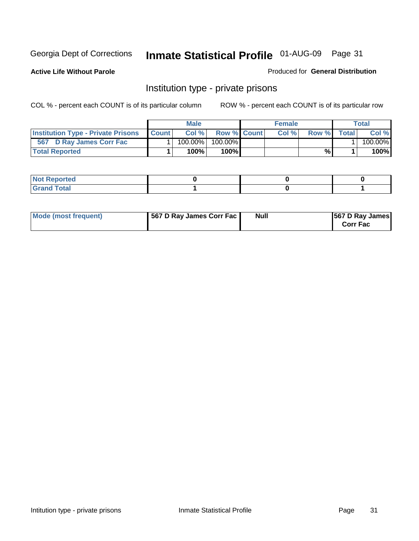**Active Life Without Parole** 

Produced for **General Distribution**

### Institution type - private prisons

|                                           |              | <b>Male</b> |                    | <b>Female</b> |              |       | Total   |
|-------------------------------------------|--------------|-------------|--------------------|---------------|--------------|-------|---------|
| <b>Institution Type - Private Prisons</b> | <b>Count</b> | Col %       | <b>Row % Count</b> | Col%          | <b>Row</b> % | Total | Col %   |
| 567 D Ray James Corr Fac                  |              | 100.00%     | $100.00\%$         |               |              |       | 100.00% |
| <b>Total Reported</b>                     |              | 100%        | 100%               |               | %            |       | 100%    |

| rtea<br>$\sim$<br>.      |  |  |
|--------------------------|--|--|
| int<br><b>TULAI</b><br>- |  |  |

| Mode (most frequent) | 567 D Ray James Corr Fac | <b>Null</b> | <b>567 D Ray James</b><br><b>Corr Fac</b> |
|----------------------|--------------------------|-------------|-------------------------------------------|
|----------------------|--------------------------|-------------|-------------------------------------------|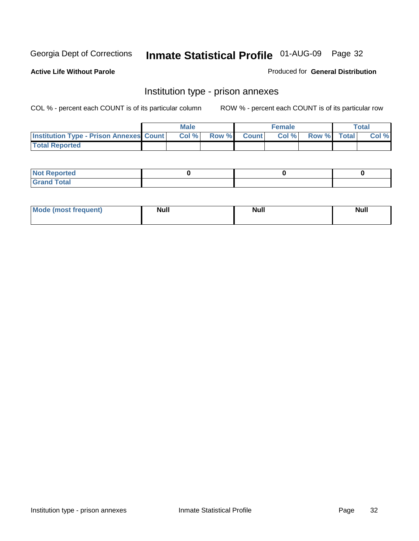**Active Life Without Parole** 

Produced for **General Distribution**

### Institution type - prison annexes

|                                                | <b>Male</b> |                    | <b>Female</b> |             | <b>Total</b> |
|------------------------------------------------|-------------|--------------------|---------------|-------------|--------------|
| <b>Institution Type - Prison Annexes Count</b> | Col %       | <b>Row % Count</b> | Col %         | Row % Total | Col %        |
| <b>Total Reported</b>                          |             |                    |               |             |              |

| <b>Not</b><br><b>Reported</b>    |  |  |
|----------------------------------|--|--|
| <b>Total</b><br>Gran<br>$\sim$ . |  |  |

| Mode (most frequent) | <b>Null</b> | <b>Null</b> | <b>Null</b> |
|----------------------|-------------|-------------|-------------|
|                      |             |             |             |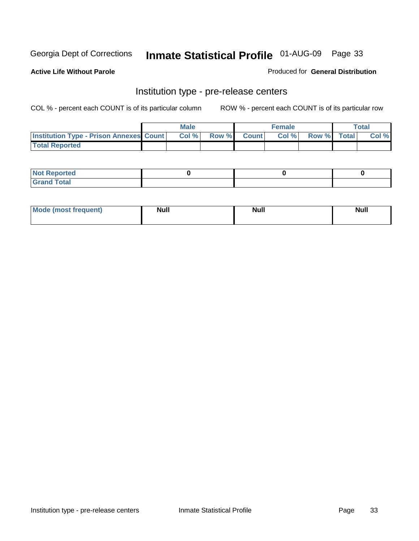**Active Life Without Parole** 

Produced for **General Distribution**

#### Institution type - pre-release centers

|                                                | <b>Male</b> |             | <b>Female</b> |             | <b>Total</b> |
|------------------------------------------------|-------------|-------------|---------------|-------------|--------------|
| <b>Institution Type - Prison Annexes Count</b> | Col %       | Row % Count | Col %         | Row % Total | Col %        |
| <b>Total Reported</b>                          |             |             |               |             |              |

| <b>Not</b><br><b>Reported</b>    |  |  |
|----------------------------------|--|--|
| <b>Total</b><br>Gran<br>$\sim$ . |  |  |

| Mode (most frequent) | <b>Null</b> | <b>Null</b> | <b>Null</b> |
|----------------------|-------------|-------------|-------------|
|                      |             |             |             |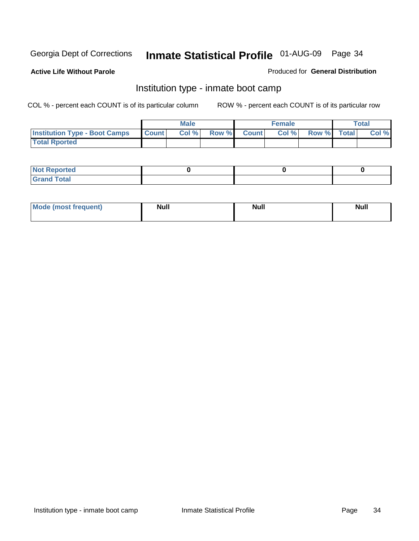**Active Life Without Parole** 

Produced for **General Distribution**

### Institution type - inmate boot camp

|                                      |              | Male  |             | <b>Female</b> |             | <b>Total</b> |
|--------------------------------------|--------------|-------|-------------|---------------|-------------|--------------|
| <b>Institution Type - Boot Camps</b> | <b>Count</b> | Col % | Row % Count | Col %         | Row % Total | Col %        |
| <b>Total Rported</b>                 |              |       |             |               |             |              |

| <b>Not Reported</b>           |  |  |
|-------------------------------|--|--|
| <b>Total</b><br>Gra<br>$\sim$ |  |  |

| <b>Mode (most frequent)</b> | <b>Null</b> | <b>Null</b> | <b>Null</b> |
|-----------------------------|-------------|-------------|-------------|
|                             |             |             |             |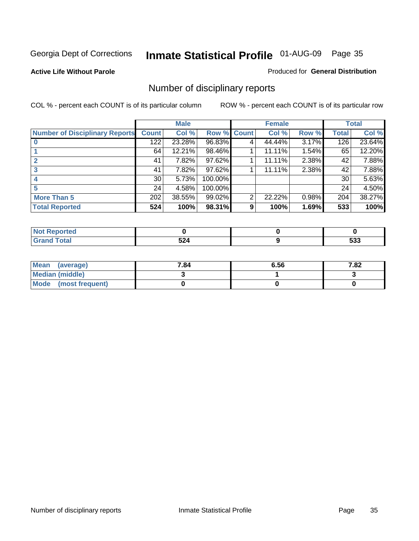#### **Active Life Without Parole**

#### Produced for **General Distribution**

### Number of disciplinary reports

|                                       |                 | <b>Male</b> |             |   | <b>Female</b> |          |              | <b>Total</b> |
|---------------------------------------|-----------------|-------------|-------------|---|---------------|----------|--------------|--------------|
| <b>Number of Disciplinary Reports</b> | <b>Count</b>    | Col %       | Row % Count |   | Col %         | Row %    | <b>Total</b> | Col %        |
|                                       | 122             | 23.28%      | 96.83%      | 4 | 44.44%        | 3.17%    | 126          | 23.64%       |
|                                       | 64              | 12.21%      | 98.46%      |   | 11.11%        | $1.54\%$ | 65           | 12.20%       |
|                                       | 41              | 7.82%       | 97.62%      |   | 11.11%        | 2.38%    | 42           | 7.88%        |
| 3                                     | 41              | 7.82%       | 97.62%      |   | 11.11%        | 2.38%    | 42           | 7.88%        |
|                                       | 30 <sub>1</sub> | 5.73%       | 100.00%     |   |               |          | 30           | 5.63%        |
| 5                                     | 24              | 4.58%       | 100.00%     |   |               |          | 24           | 4.50%        |
| <b>More Than 5</b>                    | 202             | 38.55%      | 99.02%      | 2 | 22.22%        | 0.98%    | 204          | 38.27%       |
| <b>Total Reported</b>                 | 524             | 100%        | 98.31%      | 9 | 100%          | 1.69%    | 533          | 100%         |

| .<br>N<br>тес  |                             |              |
|----------------|-----------------------------|--------------|
| T <sub>1</sub> | -^<br>JL-1<br>$\sim$ $\sim$ | r n n<br>უაა |

| Mean (average)       | 7.84 | 6.56 | 7.82 |
|----------------------|------|------|------|
| Median (middle)      |      |      |      |
| Mode (most frequent) |      |      |      |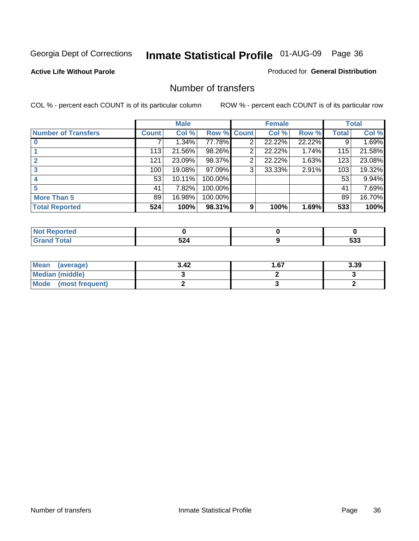#### **Active Life Without Parole**

#### Produced for **General Distribution**

#### Number of transfers

|                            |         | <b>Male</b> |         |              | <b>Female</b> |        |              | <b>Total</b> |
|----------------------------|---------|-------------|---------|--------------|---------------|--------|--------------|--------------|
| <b>Number of Transfers</b> | Count l | Col %       | Row %   | <b>Count</b> | Col %         | Row %  | <b>Total</b> | Col %        |
|                            |         | 1.34%       | 77.78%  | 2            | 22.22%        | 22.22% | 9            | 1.69%        |
|                            | 113     | 21.56%      | 98.26%  | 2            | 22.22%        | 1.74%  | 115          | 21.58%       |
|                            | 121     | 23.09%      | 98.37%  | 2            | 22.22%        | 1.63%  | 123          | 23.08%       |
|                            | 100     | 19.08%      | 97.09%  | 3            | 33.33%        | 2.91%  | 103          | 19.32%       |
|                            | 53      | 10.11%      | 100.00% |              |               |        | 53           | 9.94%        |
|                            | 41      | 7.82%       | 100.00% |              |               |        | 41           | 7.69%        |
| <b>More Than 5</b>         | 89      | 16.98%      | 100.00% |              |               |        | 89           | 16.70%       |
| <b>Total Reported</b>      | 524     | 100%        | 98.31%  | 9            | 100%          | 1.69%  | 533          | 100%         |

| .<br>N<br>тео    |                                                                     |            |
|------------------|---------------------------------------------------------------------|------------|
| $T \sim$ for $T$ | -^<br>--<br>$\sim$ $\sim$ $\sim$ $\sim$ $\sim$ $\sim$ $\sim$ $\sim$ | -^*<br>უაა |

| Mean (average)         | 3.42 | 1.67 | 3.39 |
|------------------------|------|------|------|
| <b>Median (middle)</b> |      |      |      |
| Mode (most frequent)   |      |      |      |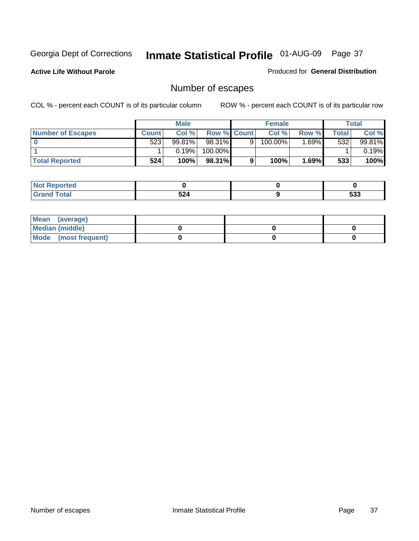**Active Life Without Parole** 

Produced for **General Distribution**

## Number of escapes

|                       |         | <b>Male</b> |                    |   | <b>Female</b> |          |              | <b>Total</b> |
|-----------------------|---------|-------------|--------------------|---|---------------|----------|--------------|--------------|
| Number of Escapes     | Count l | Col %       | <b>Row % Count</b> |   | Col %         | Row %    | <b>Total</b> | Col %        |
|                       | 523     | 99.81%      | $98.31\%$          | 9 | 100.00%       | $1.69\%$ | 532          | 99.81%       |
|                       |         | 0.19%       | 100.00%            |   |               |          |              | 0.19%        |
| <b>Total Reported</b> | 524     | 100%        | 98.31%             |   | 100%          | 1.69%    | 533          | 100%         |

| n eo             |     |            |
|------------------|-----|------------|
| <b>otal</b>      | -л  | r n n      |
| $\mathbf{v}$ and | ◡▴┭ | <u>ეაა</u> |

| Mean (average)       |  |  |
|----------------------|--|--|
| Median (middle)      |  |  |
| Mode (most frequent) |  |  |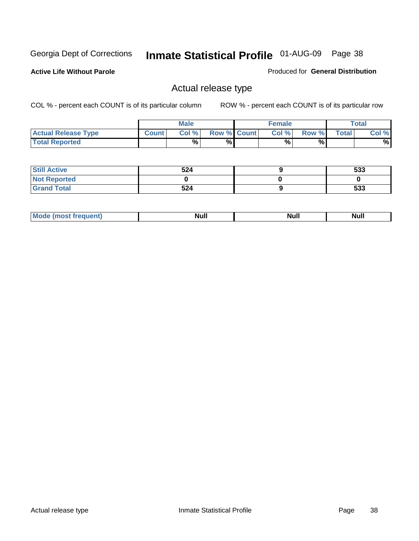**Active Life Without Parole** 

Produced for **General Distribution**

## Actual release type

|                            |              | <b>Male</b> |                    | <b>Female</b> |       |              | Total |
|----------------------------|--------------|-------------|--------------------|---------------|-------|--------------|-------|
| <b>Actual Release Type</b> | <b>Count</b> | Col %       | <b>Row % Count</b> | Col %         | Row % | <b>Total</b> | Col % |
| <b>Total Reported</b>      |              | $\%$        | %                  | %             | %     |              | %     |

| <b>Still Active</b> | 524 | 533 |
|---------------------|-----|-----|
| <b>Not Reported</b> |     |     |
| <b>Grand Total</b>  | 524 | 533 |

| M<br>_____<br>_____ | NI | Null | $\cdots$ |
|---------------------|----|------|----------|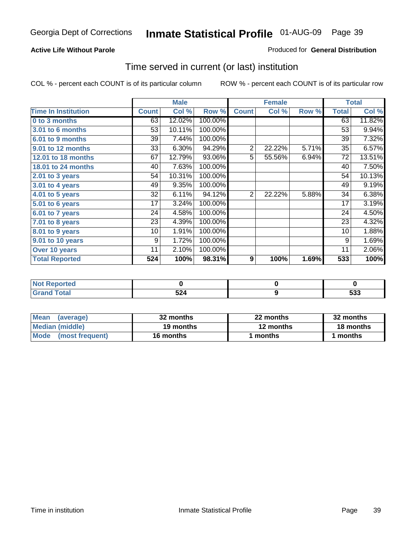#### **Active Life Without Parole**

#### Produced for **General Distribution**

## Time served in current (or last) institution

|                            |              | <b>Male</b> |         |                | <b>Female</b> |       |                 | <b>Total</b> |
|----------------------------|--------------|-------------|---------|----------------|---------------|-------|-----------------|--------------|
| <b>Time In Institution</b> | <b>Count</b> | Col %       | Row %   | <b>Count</b>   | Col %         | Row % | <b>Total</b>    | Col %        |
| 0 to 3 months              | 63           | 12.02%      | 100.00% |                |               |       | 63              | 11.82%       |
| 3.01 to 6 months           | 53           | 10.11%      | 100.00% |                |               |       | 53              | 9.94%        |
| 6.01 to 9 months           | 39           | 7.44%       | 100.00% |                |               |       | 39              | 7.32%        |
| 9.01 to 12 months          | 33           | 6.30%       | 94.29%  | $\overline{2}$ | 22.22%        | 5.71% | 35              | 6.57%        |
| 12.01 to 18 months         | 67           | 12.79%      | 93.06%  | $\overline{5}$ | 55.56%        | 6.94% | 72              | 13.51%       |
| 18.01 to 24 months         | 40           | 7.63%       | 100.00% |                |               |       | 40              | 7.50%        |
| $2.01$ to 3 years          | 54           | 10.31%      | 100.00% |                |               |       | 54              | 10.13%       |
| 3.01 to 4 years            | 49           | 9.35%       | 100.00% |                |               |       | 49              | 9.19%        |
| 4.01 to 5 years            | 32           | 6.11%       | 94.12%  | $\overline{2}$ | 22.22%        | 5.88% | 34              | 6.38%        |
| 5.01 to 6 years            | 17           | 3.24%       | 100.00% |                |               |       | 17              | 3.19%        |
| 6.01 to 7 years            | 24           | 4.58%       | 100.00% |                |               |       | 24              | 4.50%        |
| 7.01 to 8 years            | 23           | 4.39%       | 100.00% |                |               |       | 23              | 4.32%        |
| 8.01 to 9 years            | 10           | 1.91%       | 100.00% |                |               |       | 10 <sup>1</sup> | 1.88%        |
| 9.01 to 10 years           | 9            | 1.72%       | 100.00% |                |               |       | 9               | 1.69%        |
| Over 10 years              | 11           | 2.10%       | 100.00% |                |               |       | 11              | 2.06%        |
| <b>Total Reported</b>      | 524          | 100%        | 98.31%  | 9              | 100%          | 1.69% | 533             | 100%         |

| <b>Reported</b><br><b>Not</b> |     |                     |
|-------------------------------|-----|---------------------|
| <b>Total</b>                  | 524 | r n n<br><u>ააა</u> |

| <b>Mean</b><br>(average) | 32 months | 22 months | 32 months |  |
|--------------------------|-----------|-----------|-----------|--|
| Median (middle)          | 19 months | 12 months | 18 months |  |
| Mode (most frequent)     | 16 months | ' months  | months    |  |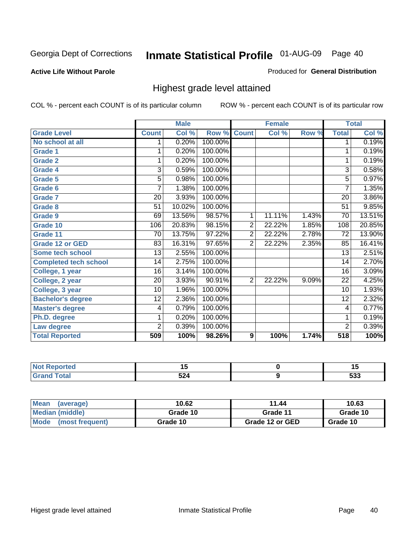#### **Active Life Without Parole**

#### Produced for **General Distribution**

## Highest grade level attained

|                              |                 | <b>Male</b> |         |                | <b>Female</b> |       |                 | <b>Total</b> |
|------------------------------|-----------------|-------------|---------|----------------|---------------|-------|-----------------|--------------|
| <b>Grade Level</b>           | <b>Count</b>    | Col %       | Row %   | <b>Count</b>   | Col %         | Row % | <b>Total</b>    | Col %        |
| No school at all             | 1               | 0.20%       | 100.00% |                |               |       | $\mathbf 1$     | 0.19%        |
| <b>Grade 1</b>               | 1               | 0.20%       | 100.00% |                |               |       | 1               | 0.19%        |
| <b>Grade 2</b>               | 1               | 0.20%       | 100.00% |                |               |       | 1               | 0.19%        |
| <b>Grade 4</b>               | 3               | 0.59%       | 100.00% |                |               |       | $\overline{3}$  | 0.58%        |
| Grade 5                      | 5               | 0.98%       | 100.00% |                |               |       | $\overline{5}$  | 0.97%        |
| Grade 6                      | 7               | 1.38%       | 100.00% |                |               |       | $\overline{7}$  | 1.35%        |
| <b>Grade 7</b>               | 20              | 3.93%       | 100.00% |                |               |       | 20              | 3.86%        |
| <b>Grade 8</b>               | 51              | 10.02%      | 100.00% |                |               |       | 51              | 9.85%        |
| <b>Grade 9</b>               | 69              | 13.56%      | 98.57%  | 1              | 11.11%        | 1.43% | 70              | 13.51%       |
| Grade 10                     | 106             | 20.83%      | 98.15%  | $\overline{2}$ | 22.22%        | 1.85% | 108             | 20.85%       |
| Grade 11                     | $\overline{70}$ | 13.75%      | 97.22%  | $\overline{2}$ | 22.22%        | 2.78% | $\overline{72}$ | 13.90%       |
| <b>Grade 12 or GED</b>       | 83              | 16.31%      | 97.65%  | $\overline{2}$ | 22.22%        | 2.35% | 85              | 16.41%       |
| <b>Some tech school</b>      | 13              | 2.55%       | 100.00% |                |               |       | 13              | 2.51%        |
| <b>Completed tech school</b> | 14              | 2.75%       | 100.00% |                |               |       | 14              | 2.70%        |
| College, 1 year              | $\overline{16}$ | 3.14%       | 100.00% |                |               |       | 16              | 3.09%        |
| College, 2 year              | $\overline{20}$ | 3.93%       | 90.91%  | $\overline{2}$ | 22.22%        | 9.09% | $\overline{22}$ | 4.25%        |
| College, 3 year              | 10              | 1.96%       | 100.00% |                |               |       | 10              | 1.93%        |
| <b>Bachelor's degree</b>     | 12              | 2.36%       | 100.00% |                |               |       | 12              | 2.32%        |
| <b>Master's degree</b>       | 4               | 0.79%       | 100.00% |                |               |       | 4               | 0.77%        |
| Ph.D. degree                 | 1               | 0.20%       | 100.00% |                |               |       | 1               | 0.19%        |
| Law degree                   | $\overline{2}$  | 0.39%       | 100.00% |                |               |       | $\overline{2}$  | 0.39%        |
| <b>Total Reported</b>        | 509             | 100%        | 98.26%  | 9              | 100%          | 1.74% | 518             | 100%         |

| and an additional and<br>orteo. | $\ddot{\phantom{1}}$<br>$\sim$ | '                    |
|---------------------------------|--------------------------------|----------------------|
| ั้วtaเ                          | -^<br>◡▴┭                      | r <u>n</u> n<br>ີວວວ |

| <b>Mean</b><br>(average) | 10.62    | 11.44           | 10.63    |
|--------------------------|----------|-----------------|----------|
| Median (middle)          | Grade 10 | Grade 11        | Grade 10 |
| Mode<br>(most frequent)  | Grade 10 | Grade 12 or GED | Grade 10 |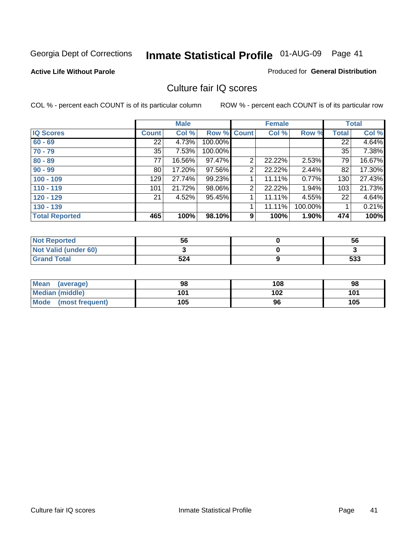#### **Active Life Without Parole**

#### Produced for **General Distribution**

## Culture fair IQ scores

|                       |              | <b>Male</b> |             |                | <b>Female</b> |          |              | <b>Total</b> |
|-----------------------|--------------|-------------|-------------|----------------|---------------|----------|--------------|--------------|
| <b>IQ Scores</b>      | <b>Count</b> | Col %       | Row % Count |                | Col %         | Row %    | <b>Total</b> | Col %        |
| $60 - 69$             | 22           | 4.73%       | 100.00%     |                |               |          | 22           | 4.64%        |
| $70 - 79$             | 35           | 7.53%       | 100.00%     |                |               |          | 35           | 7.38%        |
| $80 - 89$             | 77           | 16.56%      | 97.47%      | $\overline{2}$ | 22.22%        | $2.53\%$ | 79           | 16.67%       |
| $90 - 99$             | 80           | 17.20%      | 97.56%      | 2              | 22.22%        | 2.44%    | 82           | 17.30%       |
| $100 - 109$           | 129          | 27.74%      | 99.23%      |                | 11.11%        | 0.77%    | 130          | 27.43%       |
| $110 - 119$           | 101          | 21.72%      | 98.06%      | 2              | 22.22%        | 1.94%    | 103          | 21.73%       |
| $120 - 129$           | 21           | 4.52%       | 95.45%      | 1              | 11.11%        | 4.55%    | 22           | 4.64%        |
| $130 - 139$           |              |             |             |                | 11.11%        | 100.00%  |              | 0.21%        |
| <b>Total Reported</b> | 465          | 100%        | 98.10%      | 9              | 100%          | 1.90%    | 474          | 100%         |

| <b>Not Reported</b>  | 56  | 56  |
|----------------------|-----|-----|
| Not Valid (under 60) |     |     |
| <b>Grand Total</b>   | 524 | 533 |

| <b>Mean</b><br>(average) | 98  | 108 | 98  |
|--------------------------|-----|-----|-----|
| <b>Median (middle)</b>   | 101 | 102 | 101 |
| Mode (most frequent)     | 105 | 96  | 105 |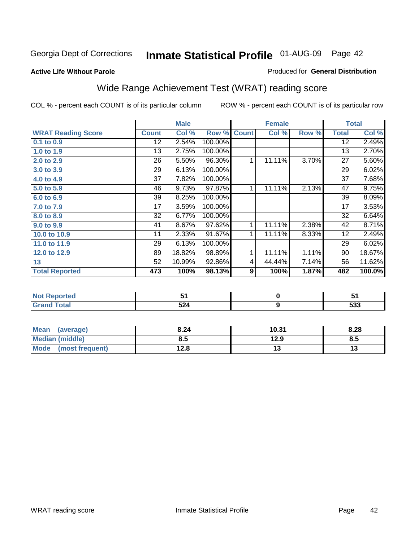#### **Active Life Without Parole**

### Produced for **General Distribution**

## Wide Range Achievement Test (WRAT) reading score

|                           |                 | <b>Male</b> |         |              | <b>Female</b> |       |                 | <b>Total</b> |
|---------------------------|-----------------|-------------|---------|--------------|---------------|-------|-----------------|--------------|
| <b>WRAT Reading Score</b> | <b>Count</b>    | Col %       | Row %   | <b>Count</b> | Col %         | Row % | <b>Total</b>    | Col %        |
| 0.1 to 0.9                | $\overline{12}$ | 2.54%       | 100.00% |              |               |       | $\overline{12}$ | 2.49%        |
| 1.0 to 1.9                | 13              | 2.75%       | 100.00% |              |               |       | 13              | 2.70%        |
| 2.0 to 2.9                | 26              | 5.50%       | 96.30%  | 1            | 11.11%        | 3.70% | $\overline{27}$ | 5.60%        |
| 3.0 to 3.9                | 29              | 6.13%       | 100.00% |              |               |       | 29              | 6.02%        |
| 4.0 to 4.9                | 37              | 7.82%       | 100.00% |              |               |       | 37              | 7.68%        |
| 5.0 to 5.9                | 46              | 9.73%       | 97.87%  | 1            | $11.11\%$     | 2.13% | 47              | 9.75%        |
| 6.0 to 6.9                | 39              | 8.25%       | 100.00% |              |               |       | 39              | 8.09%        |
| 7.0 to 7.9                | 17              | 3.59%       | 100.00% |              |               |       | 17              | 3.53%        |
| 8.0 to 8.9                | 32              | 6.77%       | 100.00% |              |               |       | 32              | 6.64%        |
| 9.0 to 9.9                | 41              | 8.67%       | 97.62%  | 1            | 11.11%        | 2.38% | 42              | 8.71%        |
| 10.0 to 10.9              | 11              | 2.33%       | 91.67%  | 1            | 11.11%        | 8.33% | 12              | 2.49%        |
| 11.0 to 11.9              | 29              | 6.13%       | 100.00% |              |               |       | 29              | 6.02%        |
| 12.0 to 12.9              | 89              | 18.82%      | 98.89%  | 1            | 11.11%        | 1.11% | 90              | 18.67%       |
| 13                        | 52              | 10.99%      | 92.86%  | 4            | 44.44%        | 7.14% | 56              | 11.62%       |
| <b>Total Reported</b>     | 473             | 100%        | 98.13%  | 9            | 100%          | 1.87% | 482             | 100.0%       |
|                           |                 |             |         |              |               |       |                 |              |
| <b>Not Reported</b>       |                 | 51          |         |              | $\pmb{0}$     |       |                 | 51           |
| <b>Grand Total</b>        |                 | 524         |         |              | 9             |       |                 | 533          |

| <b>Mean</b><br>(average)       | 8.24 | 10.31 | 8.28 |
|--------------------------------|------|-------|------|
| <b>Median (middle)</b>         | 8.5  | 12.9  | 8.5  |
| <b>Mode</b><br>(most frequent) | 12.8 | . J   |      |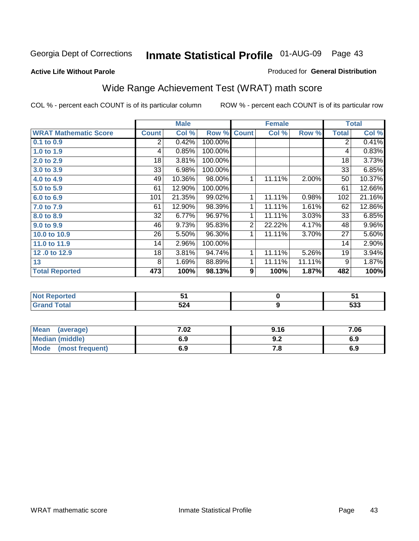## Georgia Dept of Corrections **Inmate Statistical Profile** 01-AUG-09 Page 43

#### **Active Life Without Parole**

#### Produced for **General Distribution**

## Wide Range Achievement Test (WRAT) math score

|                              |              | <b>Male</b> |         |                | <b>Female</b>    |        |                | <b>Total</b> |
|------------------------------|--------------|-------------|---------|----------------|------------------|--------|----------------|--------------|
| <b>WRAT Mathematic Score</b> | <b>Count</b> | Col %       | Row %   | <b>Count</b>   | Col %            | Row %  | <b>Total</b>   | Col %        |
| 0.1 to 0.9                   | 2            | 0.42%       | 100.00% |                |                  |        | $\overline{2}$ | 0.41%        |
| 1.0 to 1.9                   | 4            | 0.85%       | 100.00% |                |                  |        | 4              | 0.83%        |
| 2.0 to 2.9                   | 18           | 3.81%       | 100.00% |                |                  |        | 18             | 3.73%        |
| 3.0 to 3.9                   | 33           | 6.98%       | 100.00% |                |                  |        | 33             | 6.85%        |
| 4.0 to 4.9                   | 49           | 10.36%      | 98.00%  | 1              | 11.11%           | 2.00%  | 50             | 10.37%       |
| 5.0 to 5.9                   | 61           | 12.90%      | 100.00% |                |                  |        | 61             | 12.66%       |
| 6.0 to 6.9                   | 101          | 21.35%      | 99.02%  | 1              | 11.11%           | 0.98%  | 102            | 21.16%       |
| 7.0 to 7.9                   | 61           | 12.90%      | 98.39%  | 1              | 11.11%           | 1.61%  | 62             | 12.86%       |
| 8.0 to 8.9                   | 32           | 6.77%       | 96.97%  | $\mathbf{1}$   | 11.11%           | 3.03%  | 33             | 6.85%        |
| 9.0 to 9.9                   | 46           | 9.73%       | 95.83%  | $\overline{2}$ | 22.22%           | 4.17%  | 48             | 9.96%        |
| 10.0 to 10.9                 | 26           | 5.50%       | 96.30%  | 1              | 11.11%           | 3.70%  | 27             | 5.60%        |
| 11.0 to 11.9                 | 14           | 2.96%       | 100.00% |                |                  |        | 14             | 2.90%        |
| 12.0 to 12.9                 | 18           | 3.81%       | 94.74%  | 1              | 11.11%           | 5.26%  | 19             | 3.94%        |
| 13                           | 8            | 1.69%       | 88.89%  | 1 <sub>1</sub> | 11.11%           | 11.11% | 9              | 1.87%        |
| <b>Total Reported</b>        | 473          | 100%        | 98.13%  | 9              | 100%             | 1.87%  | 482            | 100%         |
|                              |              |             |         |                |                  |        |                |              |
| <b>Not Reported</b>          |              | 51          |         |                | $\pmb{0}$        |        |                | 51           |
| <b>Grand Total</b>           |              | 524         |         |                | $\boldsymbol{9}$ |        |                | 533          |

| Mean (average)       | 7.02 | 9.16 | 7.06 |
|----------------------|------|------|------|
| Median (middle)      | 6.9  | J.Z  | 6.9  |
| Mode (most frequent) | 6.9  | 1 .a | 6.9  |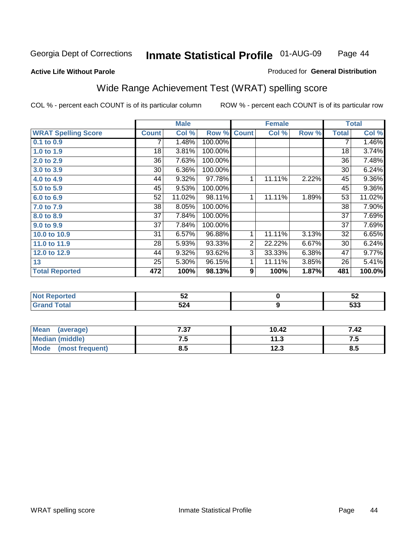#### **Active Life Without Parole**

#### Produced for **General Distribution**

## Wide Range Achievement Test (WRAT) spelling score

|                            |              | <b>Male</b> |         |                | <b>Female</b>    |       |              | <b>Total</b> |
|----------------------------|--------------|-------------|---------|----------------|------------------|-------|--------------|--------------|
| <b>WRAT Spelling Score</b> | <b>Count</b> | Col %       | Row %   | <b>Count</b>   | Col %            | Row % | <b>Total</b> | Col %        |
| 0.1 to 0.9                 |              | 1.48%       | 100.00% |                |                  |       | 7            | 1.46%        |
| 1.0 to 1.9                 | 18           | 3.81%       | 100.00% |                |                  |       | 18           | 3.74%        |
| 2.0 to 2.9                 | 36           | 7.63%       | 100.00% |                |                  |       | 36           | 7.48%        |
| 3.0 to 3.9                 | 30           | 6.36%       | 100.00% |                |                  |       | 30           | 6.24%        |
| 4.0 to 4.9                 | 44           | 9.32%       | 97.78%  | 1              | 11.11%           | 2.22% | 45           | $9.36\%$     |
| 5.0 to 5.9                 | 45           | 9.53%       | 100.00% |                |                  |       | 45           | 9.36%        |
| 6.0 to 6.9                 | 52           | 11.02%      | 98.11%  | 1              | 11.11%           | 1.89% | 53           | 11.02%       |
| 7.0 to 7.9                 | 38           | 8.05%       | 100.00% |                |                  |       | 38           | 7.90%        |
| 8.0 to 8.9                 | 37           | 7.84%       | 100.00% |                |                  |       | 37           | 7.69%        |
| 9.0 to 9.9                 | 37           | 7.84%       | 100.00% |                |                  |       | 37           | 7.69%        |
| 10.0 to 10.9               | 31           | 6.57%       | 96.88%  | $\mathbf{1}$   | 11.11%           | 3.13% | 32           | 6.65%        |
| 11.0 to 11.9               | 28           | 5.93%       | 93.33%  | $\overline{c}$ | 22.22%           | 6.67% | 30           | 6.24%        |
| 12.0 to 12.9               | 44           | 9.32%       | 93.62%  | $\overline{3}$ | 33.33%           | 6.38% | 47           | 9.77%        |
| 13                         | 25           | 5.30%       | 96.15%  | 1              | 11.11%           | 3.85% | 26           | 5.41%        |
| <b>Total Reported</b>      | 472          | 100%        | 98.13%  | 9              | 100%             | 1.87% | 481          | 100.0%       |
|                            |              |             |         |                |                  |       |              |              |
| <b>Not Reported</b>        |              | 52          |         |                | $\pmb{0}$        |       |              | 52           |
| <b>Grand Total</b>         |              | 524         |         |                | $\boldsymbol{9}$ |       |              | 533          |

| Mean (average)       | 7.37 | 10.42 | 7.42 |
|----------------------|------|-------|------|
| Median (middle)      | . J  | 11.3  | r. 1 |
| Mode (most frequent) | 8.5  | 12.3  | 8.5  |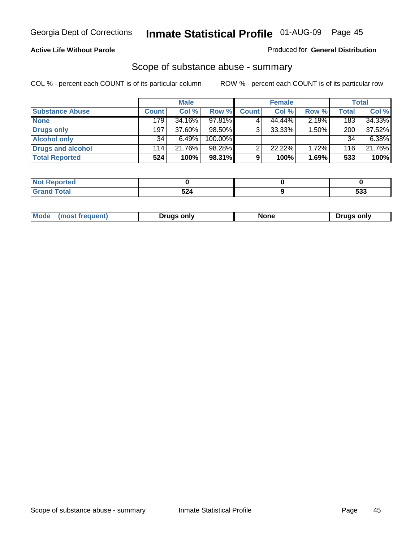#### **Active Life Without Parole**

#### Produced for **General Distribution**

## Scope of substance abuse - summary

|                        |              | <b>Male</b> |            |              | <b>Female</b> |       |       | <b>Total</b> |
|------------------------|--------------|-------------|------------|--------------|---------------|-------|-------|--------------|
| <b>Substance Abuse</b> | <b>Count</b> | Col %       | Row %      | <b>Count</b> | Col %         | Row % | Total | Col %        |
| <b>None</b>            | 179          | 34.16%      | 97.81%     |              | 44.44%        | 2.19% | 183   | 34.33%       |
| Drugs only             | 197          | 37.60%      | 98.50%     |              | $33.33\%$     | 1.50% | 200   | 37.52%       |
| <b>Alcohol only</b>    | 34           | 6.49%       | $100.00\%$ |              |               |       | 34    | 6.38%        |
| Drugs and alcohol      | 114          | 21.76%      | 98.28%     |              | $22.22\%$     | 1.72% | 116   | 21.76%       |
| <b>Total Reported</b>  | 524          | 100%        | 98.31%     | 9            | 100%          | 1.69% | 533   | 100%         |

| <b>Not</b><br>Reported         |                             |             |
|--------------------------------|-----------------------------|-------------|
| <b>Total</b><br><b>'</b> Gran⊾ | . .<br>ວ∠4<br>$\sim$ $\sim$ | - 20<br>უაა |

|  | Mode<br>ונוצוווי | Druas onlv | None | only<br>Pruas . |
|--|------------------|------------|------|-----------------|
|--|------------------|------------|------|-----------------|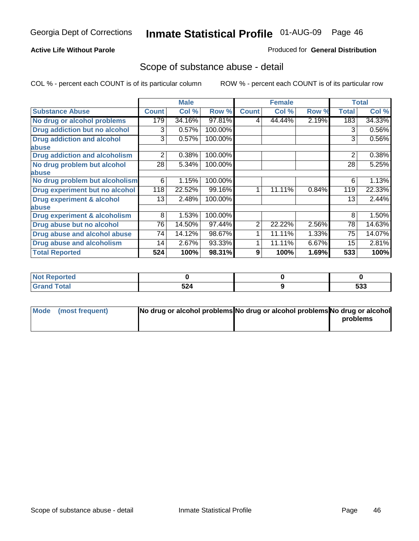#### **Active Life Without Parole**

#### Produced for **General Distribution**

## Scope of substance abuse - detail

|                                      |                | <b>Male</b> |         |              | <b>Female</b> |       |              | <b>Total</b> |
|--------------------------------------|----------------|-------------|---------|--------------|---------------|-------|--------------|--------------|
| <b>Substance Abuse</b>               | <b>Count</b>   | Col %       | Row %   | <b>Count</b> | Col %         | Row % | <b>Total</b> | Col %        |
| No drug or alcohol problems          | 179            | 34.16%      | 97.81%  | 4            | 44.44%        | 2.19% | 183          | 34.33%       |
| Drug addiction but no alcohol        | 3              | 0.57%       | 100.00% |              |               |       | 3            | 0.56%        |
| <b>Drug addiction and alcohol</b>    | 3              | 0.57%       | 100.00% |              |               |       | 3            | 0.56%        |
| abuse                                |                |             |         |              |               |       |              |              |
| <b>Drug addiction and alcoholism</b> | $\overline{2}$ | 0.38%       | 100.00% |              |               |       | 2            | 0.38%        |
| No drug problem but alcohol          | 28             | 5.34%       | 100.00% |              |               |       | 28           | 5.25%        |
| abuse                                |                |             |         |              |               |       |              |              |
| No drug problem but alcoholism       | 6              | 1.15%       | 100.00% |              |               |       | 6            | 1.13%        |
| Drug experiment but no alcohol       | 118            | 22.52%      | 99.16%  | 1            | 11.11%        | 0.84% | 119          | 22.33%       |
| <b>Drug experiment &amp; alcohol</b> | 13             | 2.48%       | 100.00% |              |               |       | 13           | 2.44%        |
| abuse                                |                |             |         |              |               |       |              |              |
| Drug experiment & alcoholism         | 8              | 1.53%       | 100.00% |              |               |       | 8            | 1.50%        |
| Drug abuse but no alcohol            | 76             | 14.50%      | 97.44%  | 2            | 22.22%        | 2.56% | 78           | 14.63%       |
| Drug abuse and alcohol abuse         | 74             | 14.12%      | 98.67%  |              | 11.11%        | 1.33% | 75           | 14.07%       |
| Drug abuse and alcoholism            | 14             | 2.67%       | 93.33%  |              | 11.11%        | 6.67% | 15           | 2.81%        |
| <b>Total Reported</b>                | 524            | 100%        | 98.31%  | 9            | 100%          | 1.69% | 533          | 100%         |

| <b>Not Reported</b> |             |                   |
|---------------------|-------------|-------------------|
| <b>Total</b>        | ra 1<br>524 | にへへ<br><u>ააა</u> |

| Mode (most frequent) | No drug or alcohol problems No drug or alcohol problems No drug or alcohol |          |
|----------------------|----------------------------------------------------------------------------|----------|
|                      |                                                                            | problems |
|                      |                                                                            |          |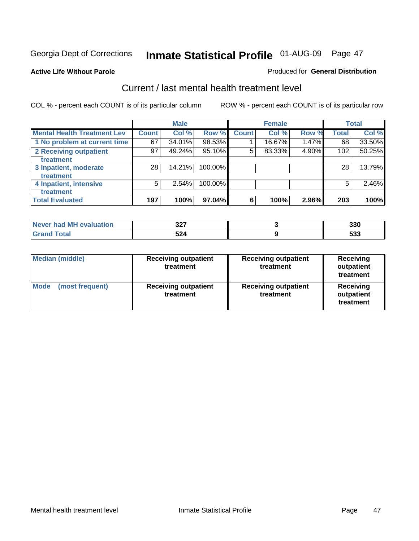#### **Active Life Without Parole**

#### Produced for **General Distribution**

## Current / last mental health treatment level

|                                    |              | <b>Male</b> |           |              | <b>Female</b> |       |              | <b>Total</b> |
|------------------------------------|--------------|-------------|-----------|--------------|---------------|-------|--------------|--------------|
| <b>Mental Health Treatment Lev</b> | <b>Count</b> | Col %       | Row %     | <b>Count</b> | Col %         | Row % | <b>Total</b> | Col %        |
| 1 No problem at current time       | 67           | 34.01%      | $98.53\%$ |              | 16.67%        | 1.47% | 68           | 33.50%       |
| 2 Receiving outpatient             | 97           | 49.24%      | 95.10%    | 5            | 83.33%        | 4.90% | 102          | 50.25%       |
| treatment                          |              |             |           |              |               |       |              |              |
| 3 Inpatient, moderate              | 28           | 14.21%      | 100.00%   |              |               |       | 28           | 13.79%       |
| treatment                          |              |             |           |              |               |       |              |              |
| 4 Inpatient, intensive             | 5            | 2.54%       | 100.00%   |              |               |       | 5            | 2.46%        |
| treatment                          |              |             |           |              |               |       |              |              |
| <b>Total Evaluated</b>             | 197          | 100%        | 97.04%    | 6            | 100%          | 2.96% | 203          | 100%         |

| Never had MH evaluation | - פח<br>JL I | 330         |
|-------------------------|--------------|-------------|
| $T0+0$                  | 524          | - 22<br>ააა |

| <b>Median (middle)</b>         | <b>Receiving outpatient</b><br>treatment | <b>Receiving outpatient</b><br>treatment | Receiving<br>outpatient<br>treatment |
|--------------------------------|------------------------------------------|------------------------------------------|--------------------------------------|
| <b>Mode</b><br>(most frequent) | <b>Receiving outpatient</b><br>treatment | <b>Receiving outpatient</b><br>treatment | Receiving<br>outpatient<br>treatment |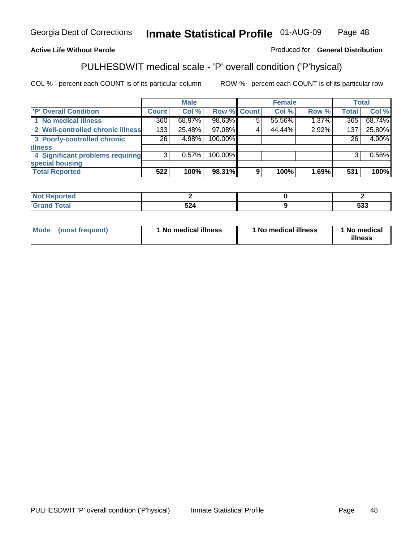### **Active Life Without Parole**

### Produced for **General Distribution**

## PULHESDWIT medical scale - 'P' overall condition ('P'hysical)

|                                   |                 | <b>Male</b> |             |   | <b>Female</b> |       |                 | <b>Total</b> |
|-----------------------------------|-----------------|-------------|-------------|---|---------------|-------|-----------------|--------------|
| 'P' Overall Condition             | Count l         | Col %       | Row % Count |   | Col %         | Row % | <b>Total</b>    | Col %        |
| 1 No medical illness              | 360             | 68.97%      | 98.63%      | 5 | 55.56%        | 1.37% | 365             | 68.74%       |
| 2 Well-controlled chronic illness | 133             | 25.48%      | 97.08%      |   | 44.44%        | 2.92% | 137             | 25.80%       |
| 3 Poorly-controlled chronic       | 26 <sub>1</sub> | 4.98%       | 100.00%     |   |               |       | 26 <sub>1</sub> | 4.90%        |
| <b>illness</b>                    |                 |             |             |   |               |       |                 |              |
| 4 Significant problems requiring  | 3               | 0.57%       | 100.00%     |   |               |       | 3               | $0.56\%$     |
| special housing                   |                 |             |             |   |               |       |                 |              |
| <b>Total Reported</b>             | 522             | 100%        | 98.31%      | 9 | 100%          | 1.69% | 531             | 100%         |

| Not Reported |                    |                   |
|--------------|--------------------|-------------------|
| <b>otal</b>  | <b>FO.</b><br>-525 | につつ<br><u>ეაა</u> |

| Mode<br>(most frequent) | 1 No medical illness | 1 No medical illness | 1 No medical<br>illness |
|-------------------------|----------------------|----------------------|-------------------------|
|-------------------------|----------------------|----------------------|-------------------------|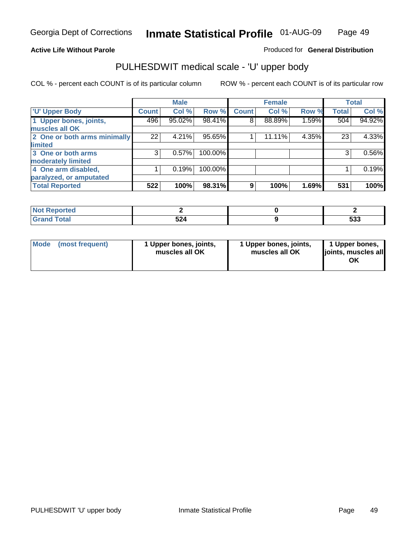### **Active Life Without Parole**

Produced for **General Distribution**

## PULHESDWIT medical scale - 'U' upper body

|                              |              | <b>Male</b> |         |              | <b>Female</b> |       |              | <b>Total</b> |
|------------------------------|--------------|-------------|---------|--------------|---------------|-------|--------------|--------------|
| <b>U' Upper Body</b>         | <b>Count</b> | Col %       | Row %   | <b>Count</b> | Col %         | Row % | <b>Total</b> | Col %        |
| 1 Upper bones, joints,       | 496          | 95.02%      | 98.41%  | 8            | 88.89%        | 1.59% | 504          | 94.92%       |
| muscles all OK               |              |             |         |              |               |       |              |              |
| 2 One or both arms minimally | 22           | 4.21%       | 95.65%  |              | 11.11%        | 4.35% | 23           | 4.33%        |
| limited                      |              |             |         |              |               |       |              |              |
| 3 One or both arms           | 3            | 0.57%       | 100.00% |              |               |       | 3            | 0.56%        |
| moderately limited           |              |             |         |              |               |       |              |              |
| 4 One arm disabled,          |              | 0.19%       | 100.00% |              |               |       |              | 0.19%        |
| paralyzed, or amputated      |              |             |         |              |               |       |              |              |
| <b>Total Reported</b>        | 522          | 100%        | 98.31%  | 9            | 100%          | 1.69% | 531          | 100%         |

| N <sub>of</sub><br><b>Reported</b><br>$\sim$ |                       |             |
|----------------------------------------------|-----------------------|-------------|
| T <sub>ofol</sub>                            | EN A<br>344<br>$\sim$ | につつ<br>. აა |

|  | Mode (most frequent) | 1 Upper bones, joints,<br>muscles all OK | 1 Upper bones, joints,<br>muscles all OK | 1 Upper bones,<br>joints, muscles all<br>ΟK |
|--|----------------------|------------------------------------------|------------------------------------------|---------------------------------------------|
|--|----------------------|------------------------------------------|------------------------------------------|---------------------------------------------|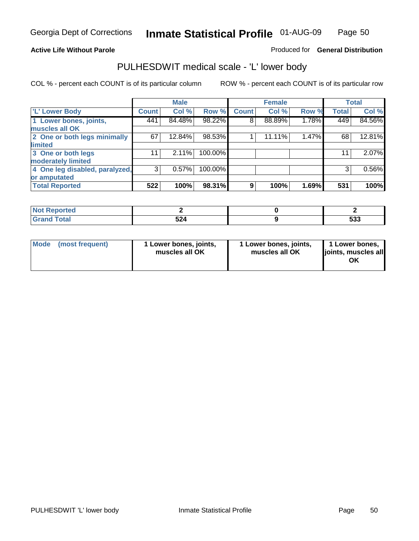#### **Active Life Without Parole**

#### Produced for **General Distribution**

## PULHESDWIT medical scale - 'L' lower body

|                                |              | <b>Male</b> |         |              | <b>Female</b> |       |              | <b>Total</b> |
|--------------------------------|--------------|-------------|---------|--------------|---------------|-------|--------------|--------------|
| 'L' Lower Body                 | <b>Count</b> | Col %       | Row %   | <b>Count</b> | Col %         | Row % | <b>Total</b> | Col %        |
| 1 Lower bones, joints,         | 441          | 84.48%      | 98.22%  | 8            | 88.89%        | 1.78% | 449          | 84.56%       |
| muscles all OK                 |              |             |         |              |               |       |              |              |
| 2 One or both legs minimally   | 67           | 12.84%      | 98.53%  |              | 11.11%        | 1.47% | 68           | 12.81%       |
| limited                        |              |             |         |              |               |       |              |              |
| 3 One or both legs             | 11           | 2.11%       | 100.00% |              |               |       | 11           | 2.07%        |
| moderately limited             |              |             |         |              |               |       |              |              |
| 4 One leg disabled, paralyzed, | 3            | 0.57%       | 100.00% |              |               |       | 3            | 0.56%        |
| or amputated                   |              |             |         |              |               |       |              |              |
| <b>Total Reported</b>          | 522          | 100%        | 98.31%  | 9            | 100%          | 1.69% | 531          | 100%         |

| <b>rted</b><br>w                             |             |                   |
|----------------------------------------------|-------------|-------------------|
| $f \wedge f \wedge f$<br><b>TULAI</b><br>. . | ra 1<br>524 | rae<br><u>ააა</u> |

|  | Mode (most frequent) | 1 Lower bones, joints,<br>muscles all OK | 1 Lower bones, joints,<br>muscles all OK | 1 Lower bones,<br>joints, muscles all<br>OK |
|--|----------------------|------------------------------------------|------------------------------------------|---------------------------------------------|
|--|----------------------|------------------------------------------|------------------------------------------|---------------------------------------------|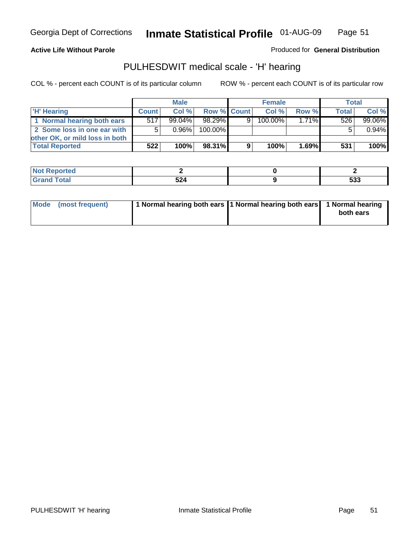**Active Life Without Parole** 

Produced for **General Distribution**

## PULHESDWIT medical scale - 'H' hearing

|                                |              | <b>Male</b> |             |   | <b>Female</b> |          | Total |        |
|--------------------------------|--------------|-------------|-------------|---|---------------|----------|-------|--------|
| 'H' Hearing                    | <b>Count</b> | Col%        | Row % Count |   | Col%          | Row %    | Total | Col %  |
| 1 Normal hearing both ears     | 517          | $99.04\%$   | 98.29%      | 9 | $100.00\%$    | $1.71\%$ | 526   | 99.06% |
| 2 Some loss in one ear with    | 5            | $0.96\%$    | 100.00%     |   |               |          |       | 0.94%  |
| other OK, or mild loss in both |              |             |             |   |               |          |       |        |
| <b>Total Reported</b>          | 522          | 100%        | 98.31%      |   | 100%          | 1.69%    | 531   | 100%   |

| <b>orted</b><br>$\sim$ |                                  |     |
|------------------------|----------------------------------|-----|
| <b>c</b> otal          | <b>FA</b><br>--<br>$\sim$ $\sim$ | 533 |

| Mode (most frequent) | 1 Normal hearing both ears 1 Normal hearing both ears 1 Normal hearing | both ears |
|----------------------|------------------------------------------------------------------------|-----------|
|                      |                                                                        |           |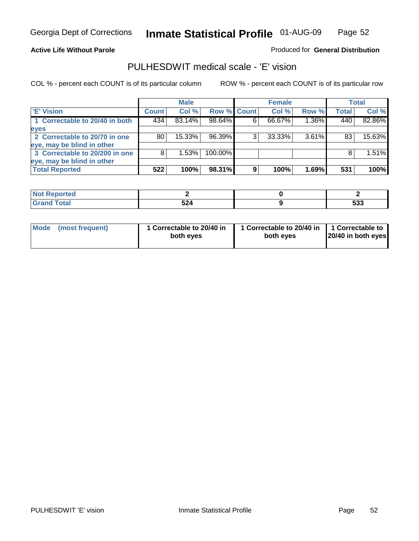#### **Active Life Without Parole**

#### Produced for **General Distribution**

## PULHESDWIT medical scale - 'E' vision

|                                |              | <b>Male</b> |             |   | <b>Female</b> |          |              | Total  |
|--------------------------------|--------------|-------------|-------------|---|---------------|----------|--------------|--------|
| <b>E' Vision</b>               | <b>Count</b> | Col %       | Row % Count |   | Col %         | Row %    | <b>Total</b> | Col %  |
| 1 Correctable to 20/40 in both | 434          | 83.14%      | 98.64%      |   | 66.67%        | 1.36%    | 440          | 82.86% |
| eyes                           |              |             |             |   |               |          |              |        |
| 2 Correctable to 20/70 in one  | 80           | $15.33\%$   | 96.39%      |   | 33.33%        | $3.61\%$ | 83           | 15.63% |
| eye, may be blind in other     |              |             |             |   |               |          |              |        |
| 3 Correctable to 20/200 in one | 8            | 1.53%       | 100.00%     |   |               |          |              | 1.51%  |
| eye, may be blind in other     |              |             |             |   |               |          |              |        |
| <b>Total Reported</b>          | 522          | 100%        | 98.31%      | 9 | 100%          | 1.69%    | 531          | 100%   |

| <b>prted</b>                    |             |                   |
|---------------------------------|-------------|-------------------|
| <b>otal</b><br>$\mathbf{v}$ and | 524<br>JL-1 | raa<br><u>ააა</u> |

| Mode (most frequent) | 1 Correctable to 20/40 in<br>both eyes | 1 Correctable to 20/40 in   1 Correctable to<br>both eves | 20/40 in both eyes |
|----------------------|----------------------------------------|-----------------------------------------------------------|--------------------|
|----------------------|----------------------------------------|-----------------------------------------------------------|--------------------|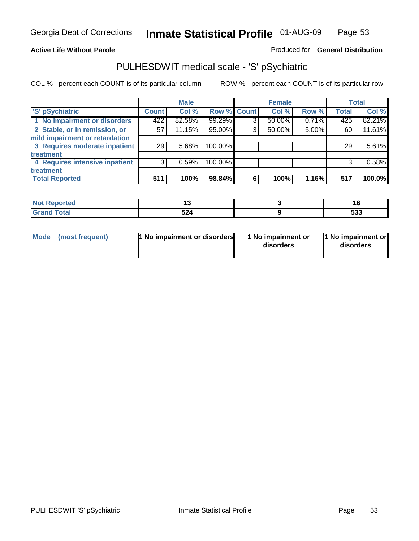### **Active Life Without Parole**

### Produced for **General Distribution**

## PULHESDWIT medical scale - 'S' pSychiatric

|                                |              | <b>Male</b> |                    |   | <b>Female</b> |       |              | <b>Total</b> |
|--------------------------------|--------------|-------------|--------------------|---|---------------|-------|--------------|--------------|
| 'S' pSychiatric                | <b>Count</b> | Col %       | <b>Row % Count</b> |   | Col %         | Row % | <b>Total</b> | Col %        |
| 1 No impairment or disorders   | 422          | 82.58%      | 99.29%             | 3 | 50.00%        | 0.71% | 425          | 82.21%       |
| 2 Stable, or in remission, or  | 57           | 11.15%      | 95.00%             | 3 | 50.00%        | 5.00% | 60           | 11.61%       |
| mild impairment or retardation |              |             |                    |   |               |       |              |              |
| 3 Requires moderate inpatient  | 29           | 5.68%       | 100.00%            |   |               |       | 29           | 5.61%        |
| treatment                      |              |             |                    |   |               |       |              |              |
| 4 Requires intensive inpatient | 3            | 0.59%       | 100.00%            |   |               |       | 3            | 0.58%        |
| treatment                      |              |             |                    |   |               |       |              |              |
| <b>Total Reported</b>          | 511          | 100%        | 98.84%             | 6 | 100%          | 1.16% | 517          | 100.0%       |

| prtea       |           | יי                |
|-------------|-----------|-------------------|
| <b>otal</b> | ミウム<br>ےכ | <b>FOO</b><br>ຉຉຉ |

| <b>1 No impairment or disorders</b> | 1 No impairment or | 1 No impairment or |
|-------------------------------------|--------------------|--------------------|
| Mode (most frequent)                | disorders          | disorders          |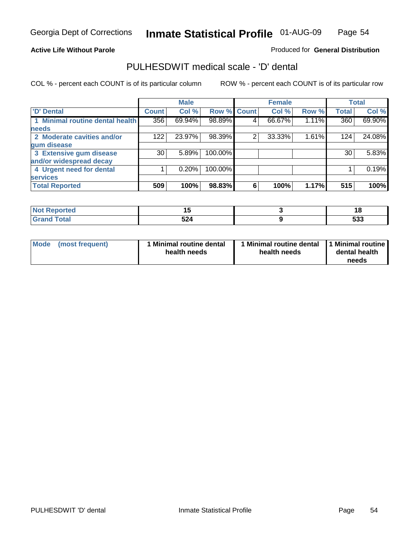#### **Active Life Without Parole**

Produced for **General Distribution**

## PULHESDWIT medical scale - 'D' dental

|                                 |              | <b>Male</b> |             |   | <b>Female</b> |       |              | <b>Total</b> |
|---------------------------------|--------------|-------------|-------------|---|---------------|-------|--------------|--------------|
| <b>D' Dental</b>                | <b>Count</b> | Col %       | Row % Count |   | Col %         | Row % | <b>Total</b> | Col %        |
| 1 Minimal routine dental health | 356          | 69.94%      | 98.89%      | 4 | 66.67%        | 1.11% | 360          | 69.90%       |
| <b>needs</b>                    |              |             |             |   |               |       |              |              |
| 2 Moderate cavities and/or      | 122          | 23.97%      | 98.39%      | 2 | 33.33%        | 1.61% | 124          | 24.08%       |
| gum disease                     |              |             |             |   |               |       |              |              |
| 3 Extensive gum disease         | 30           | 5.89%       | 100.00%     |   |               |       | 30           | 5.83%        |
| and/or widespread decay         |              |             |             |   |               |       |              |              |
| 4 Urgent need for dental        |              | 0.20%       | 100.00%     |   |               |       |              | 0.19%        |
| <b>services</b>                 |              |             |             |   |               |       |              |              |
| <b>Total Reported</b>           | 509          | 100%        | 98.83%      | 6 | 100%          | 1.17% | 515          | 100%         |

| <b>Reported</b><br>-N. | . .   | нο         |
|------------------------|-------|------------|
| <b>otal</b>            | $-2A$ | -00        |
| $\sim$ .               | --    | <u>ააა</u> |

| <b>Mode</b> | (most frequent) | <b>Minimal routine dental</b><br>health needs | 1 Minimal routine dental 1 Minimal routine<br>health needs | dental health<br>needs |
|-------------|-----------------|-----------------------------------------------|------------------------------------------------------------|------------------------|
|             |                 |                                               |                                                            |                        |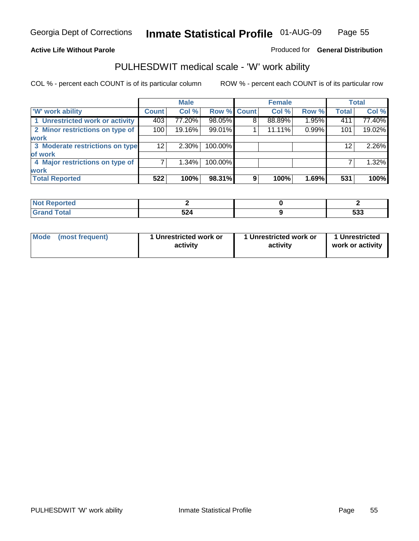### **Active Life Without Parole**

### Produced for **General Distribution**

## PULHESDWIT medical scale - 'W' work ability

|                                 |                 | <b>Male</b> |             |   | <b>Female</b> |       |              | <b>Total</b> |
|---------------------------------|-----------------|-------------|-------------|---|---------------|-------|--------------|--------------|
| <b>W' work ability</b>          | <b>Count</b>    | Col %       | Row % Count |   | Col %         | Row % | <b>Total</b> | Col %        |
| 1 Unrestricted work or activity | 403             | 77.20%      | 98.05%      | 8 | 88.89%        | 1.95% | 411          | 77.40%       |
| 2 Minor restrictions on type of | 100             | 19.16%      | 99.01%      |   | 11.11%        | 0.99% | 101          | 19.02%       |
| <b>work</b>                     |                 |             |             |   |               |       |              |              |
| 3 Moderate restrictions on type | 12 <sup>2</sup> | $2.30\%$    | 100.00%     |   |               |       | $12 \,$      | 2.26%        |
| of work                         |                 |             |             |   |               |       |              |              |
| 4 Major restrictions on type of |                 | $1.34\%$    | 100.00%     |   |               |       |              | 1.32%        |
| <b>work</b>                     |                 |             |             |   |               |       |              |              |
| <b>Total Reported</b>           | 522             | 100%        | 98.31%      | 9 | 100%          | 1.69% | 531          | 100%         |

| <b>Reported</b><br>NOT. |     |                   |
|-------------------------|-----|-------------------|
| <b>Total</b><br>C-r-    | 524 | raa<br><u>ააა</u> |

| Mode            | 1 Unrestricted work or | 1 Unrestricted work or | 1 Unrestricted   |
|-----------------|------------------------|------------------------|------------------|
| (most frequent) | activity               | activity               | work or activity |
|                 |                        |                        |                  |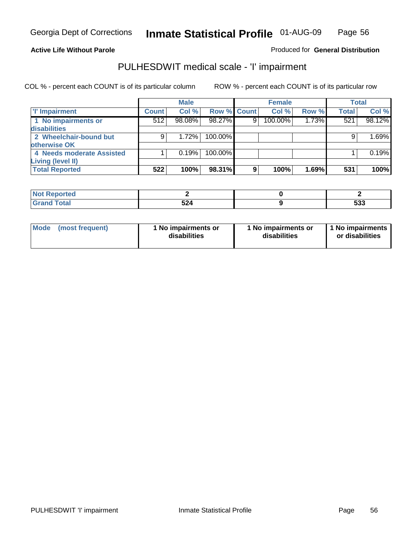#### **Active Life Without Parole**

### Produced for **General Distribution**

## PULHESDWIT medical scale - 'I' impairment

|                           |              | <b>Male</b> |                    |   | <b>Female</b> |       |              | <b>Total</b> |
|---------------------------|--------------|-------------|--------------------|---|---------------|-------|--------------|--------------|
| <b>T' Impairment</b>      | <b>Count</b> | Col %       | <b>Row % Count</b> |   | Col %         | Row % | <b>Total</b> | Col %        |
| 1 No impairments or       | 512          | 98.08%      | 98.27%             | 9 | 100.00%       | 1.73% | 521          | 98.12%       |
| disabilities              |              |             |                    |   |               |       |              |              |
| 2 Wheelchair-bound but    | 9            | 1.72%       | 100.00%            |   |               |       | 9            | 1.69%        |
| otherwise OK              |              |             |                    |   |               |       |              |              |
| 4 Needs moderate Assisted |              | 0.19%       | 100.00%            |   |               |       |              | 0.19%        |
| Living (level II)         |              |             |                    |   |               |       |              |              |
| <b>Total Reported</b>     | 522          | 100%        | 98.31%             | 9 | 100%          | 1.69% | 531          | 100%         |

| Reported<br>. |                  |            |
|---------------|------------------|------------|
| <b>Total</b>  | <b>ra</b><br>524 | rae<br>ააა |

| Mode            | 1 No impairments or | 1 No impairments or | 1 No impairments |
|-----------------|---------------------|---------------------|------------------|
| (most frequent) | disabilities        | disabilities        | or disabilities  |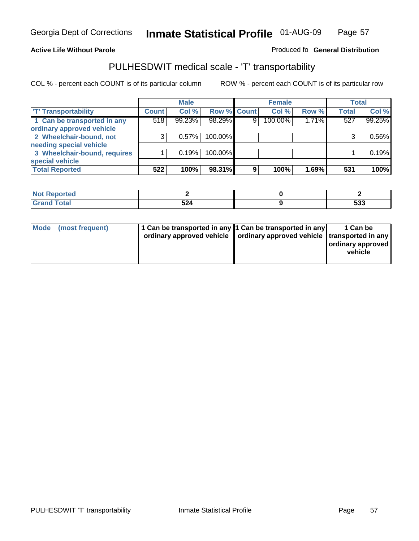#### **Inmate Statistical Profile** 01-AUG-09 Page Page 57

### **Active Life Without Parole Produced fo Seneral Distribution**

## PULHESDWIT medical scale - 'T' transportability

|                              |              | <b>Male</b> |             |                | <b>Female</b> |       |              | <b>Total</b> |
|------------------------------|--------------|-------------|-------------|----------------|---------------|-------|--------------|--------------|
| <b>T' Transportability</b>   | <b>Count</b> | Col %       | Row % Count |                | Col %         | Row % | <b>Total</b> | Col %        |
| 1 Can be transported in any  | 518          | 99.23%      | 98.29%      | 9 <sub>1</sub> | 100.00%       | 1.71% | 527          | 99.25%       |
| ordinary approved vehicle    |              |             |             |                |               |       |              |              |
| 2 Wheelchair-bound, not      | 3            | 0.57%       | 100.00%     |                |               |       |              | 0.56%        |
| needing special vehicle      |              |             |             |                |               |       |              |              |
| 3 Wheelchair-bound, requires |              | 0.19%       | 100.00%     |                |               |       |              | 0.19%        |
| special vehicle              |              |             |             |                |               |       |              |              |
| <b>Total Reported</b>        | 522          | 100%        | 98.31%      | 9              | 100%          | 1.69% | 531          | 100%         |

| Reported<br><b>NOT</b><br>$\cdots$ |             |            |
|------------------------------------|-------------|------------|
| `otal                              | co i<br>◡∠┭ | raa<br>უაა |

| Mode (most frequent) | 1 Can be transported in any 1 Can be transported in any | ordinary approved vehicle   ordinary approved vehicle   transported in any | 1 Can be<br>  ordinary approved  <br>vehicle |
|----------------------|---------------------------------------------------------|----------------------------------------------------------------------------|----------------------------------------------|
|----------------------|---------------------------------------------------------|----------------------------------------------------------------------------|----------------------------------------------|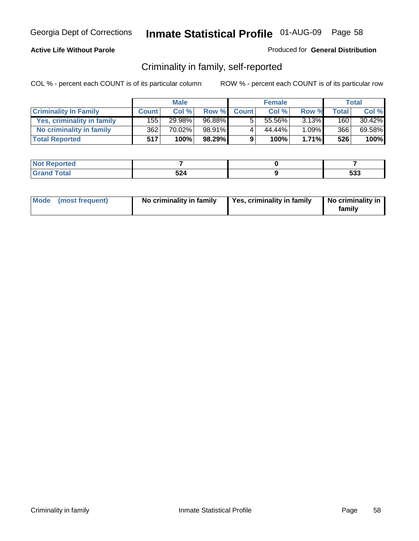#### **Active Life Without Parole**

#### Produced for **General Distribution**

## Criminality in family, self-reported

|                              |              | <b>Male</b> |        |              | <b>Female</b> |          |       | Total  |
|------------------------------|--------------|-------------|--------|--------------|---------------|----------|-------|--------|
| <b>Criminality In Family</b> | <b>Count</b> | Col %       | Row %  | <b>Count</b> | Col %         | Row %    | Total | Col %  |
| Yes, criminality in family   | 1551         | 29.98%      | 96.88% |              | 55.56%        | $3.13\%$ | 160   | 30.42% |
| No criminality in family     | 362          | 70.02%      | 98.91% | 4            | 44.44%        | 1.09%    | 366   | 69.58% |
| <b>Total Reported</b>        | 517'         | 100%        | 98.29% | 9            | 100%          | 1.71%    | 526   | 100%   |

| ported<br><b>NOT</b><br><b>IJCK</b> |                  |                     |
|-------------------------------------|------------------|---------------------|
| <b>otal</b><br>Gran<br>$\sim$       | 524<br>JLT<br>__ | r n n<br><u>ააა</u> |

|  | Mode (most frequent) | No criminality in family | Yes, criminality in family | No criminality in<br>family |
|--|----------------------|--------------------------|----------------------------|-----------------------------|
|--|----------------------|--------------------------|----------------------------|-----------------------------|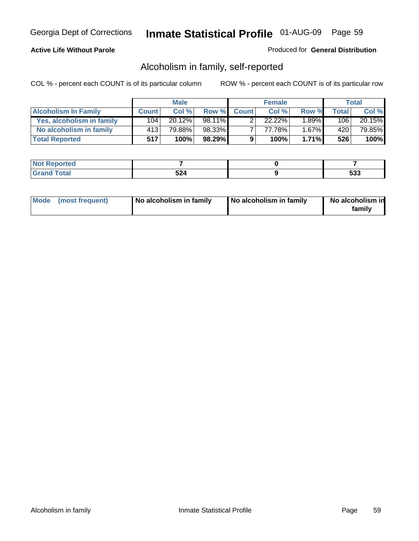#### **Active Life Without Parole**

#### Produced for **General Distribution**

## Alcoholism in family, self-reported

|                             |              | <b>Male</b> |        |              | <b>Female</b> |          |                  | Total  |
|-----------------------------|--------------|-------------|--------|--------------|---------------|----------|------------------|--------|
| <b>Alcoholism In Family</b> | <b>Count</b> | Col %       | Row %  | <b>Count</b> | Col %         | Row %    | Total            | Col %  |
| Yes, alcoholism in family   | 104          | $20.12\%$   | 98.11% |              | 22.22%        | $1.89\%$ | 106              | 20.15% |
| No alcoholism in family     | 413          | 79.88%      | 98.33% |              | 77.78%        | $1.67\%$ | 420 <sup>1</sup> | 79.85% |
| <b>Total Reported</b>       | 517          | 100%        | 98.29% | 9            | 100%          | 1.71%    | 526              | 100%   |

| <b>Not Reported</b> |     |       |
|---------------------|-----|-------|
| <b>Cotal</b>        | ドウオ | r n n |
| Cran                |     | ാാക   |

|  | Mode (most frequent) | No alcoholism in family | No alcoholism in family | No alcoholism in<br>familv |
|--|----------------------|-------------------------|-------------------------|----------------------------|
|--|----------------------|-------------------------|-------------------------|----------------------------|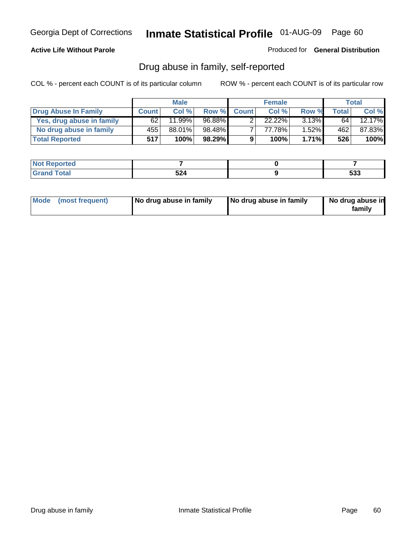#### **Active Life Without Parole**

Produced for **General Distribution**

## Drug abuse in family, self-reported

|                           |              | <b>Male</b> |        |              | <b>Female</b> |          |              | Total  |
|---------------------------|--------------|-------------|--------|--------------|---------------|----------|--------------|--------|
| Drug Abuse In Family      | <b>Count</b> | Col %       | Row %  | <b>Count</b> | Col %         | Row %    | <b>Total</b> | Col %  |
| Yes, drug abuse in family | 62           | 11.99%      | 96.88% |              | $22.22\%$     | $3.13\%$ | 64 l         | 12.17% |
| No drug abuse in family   | 455'         | 88.01%      | 98.48% | ⇁            | 77.78%        | $1.52\%$ | 462          | 87.83% |
| <b>Total Reported</b>     | 517          | 100%        | 98.29% | 9            | 100%          | $1.71\%$ | 526          | 100%   |

| oorted<br><b>NOT</b><br><b>NGI</b> |                   |              |
|------------------------------------|-------------------|--------------|
| <b>c</b> otal<br>Gran<br>$\sim$    | 72A<br>JLT<br>--- | $-00$<br>JJJ |

|  | Mode (most frequent) | No drug abuse in family | No drug abuse in family | No drug abuse in<br>family |
|--|----------------------|-------------------------|-------------------------|----------------------------|
|--|----------------------|-------------------------|-------------------------|----------------------------|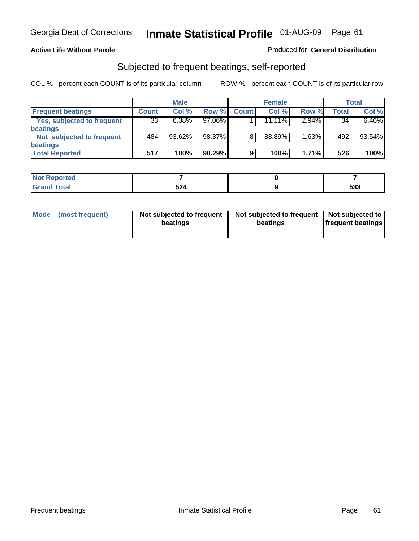#### **Active Life Without Parole**

#### Produced for **General Distribution**

## Subjected to frequent beatings, self-reported

|                            |              | <b>Male</b> |           |              | <b>Female</b> |       |       | <b>Total</b> |
|----------------------------|--------------|-------------|-----------|--------------|---------------|-------|-------|--------------|
| <b>Frequent beatings</b>   | <b>Count</b> | Col%        | Row %     | <b>Count</b> | Col%          | Row % | Total | Col %        |
| Yes, subjected to frequent | 33           | 6.38%       | $97.06\%$ |              | $11.11\%$     | 2.94% | 34    | 6.46%        |
| beatings                   |              |             |           |              |               |       |       |              |
| Not subjected to frequent  | 484          | $93.62\%$   | 98.37%    | 8            | 88.89%        | 1.63% | 492   | 93.54%       |
| beatings                   |              |             |           |              |               |       |       |              |
| <b>Total Reported</b>      | 517          | 100%        | 98.29%    | 9            | 100%          | 1.71% | 526   | 100%         |

| <b>Not Reported</b> |     |     |
|---------------------|-----|-----|
| <b>Grond Total</b>  | 524 | 533 |

| Mode<br>(most frequent) | beatings | Not subjected to frequent | Not subjected to frequent<br>beatings | Not subjected to<br><b>frequent beatings</b> |
|-------------------------|----------|---------------------------|---------------------------------------|----------------------------------------------|
|                         |          |                           |                                       |                                              |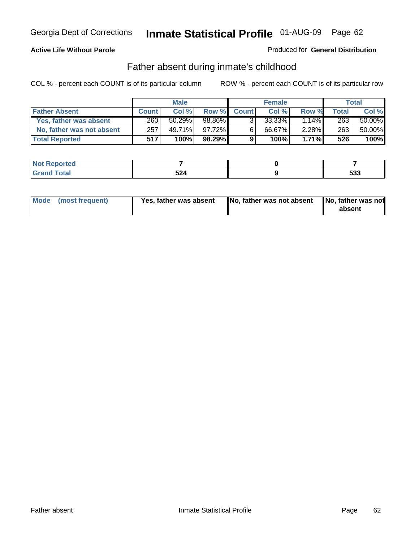### **Active Life Without Parole**

#### Produced for **General Distribution**

## Father absent during inmate's childhood

|                           |              | <b>Male</b> |         |              | <b>Female</b> |          |       | Total  |
|---------------------------|--------------|-------------|---------|--------------|---------------|----------|-------|--------|
| <b>Father Absent</b>      | <b>Count</b> | Col%        | Row %   | <b>Count</b> | Col %         | Row %    | Total | Col %  |
| Yes, father was absent    | 260          | 50.29%      | 98.86%  | 3            | 33.33%        | $14\%$   | 263   | 50.00% |
| No, father was not absent | 257          | 49.71%      | 97.72%  | $6^{\circ}$  | 66.67%        | $2.28\%$ | 263   | 50.00% |
| <b>Total Reported</b>     | 517          | $100\%$     | 98.29%I | 9            | 100%          | $1.71\%$ | 526   | 100%   |

| <b>Not Reported</b> |                                           |       |
|---------------------|-------------------------------------------|-------|
| Total               | 524                                       | r n n |
| Grano               | $\sim$ $\sim$ $\sim$ $\sim$ $\sim$ $\sim$ | ຉຉຉ   |

| Mode (most frequent) | Yes, father was absent | No, father was not absent No, father was not | absent |
|----------------------|------------------------|----------------------------------------------|--------|
|                      |                        |                                              |        |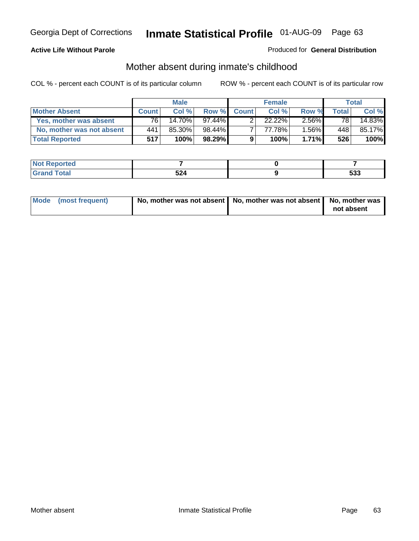#### **Active Life Without Parole**

#### Produced for **General Distribution**

# Mother absent during inmate's childhood

|                           |              | <b>Male</b> |           |              | <b>Female</b> |          |       | Total  |
|---------------------------|--------------|-------------|-----------|--------------|---------------|----------|-------|--------|
| <b>Mother Absent</b>      | <b>Count</b> | Col %       | Row %     | <b>Count</b> | Col%          | Row %    | Total | Col %  |
| Yes, mother was absent    | 76           | 14.70%      | $97.44\%$ |              | $22.22\%$     | $2.56\%$ | 78    | 14.83% |
| No, mother was not absent | 441          | 85.30%      | 98.44%    |              | 77.78%        | $1.56\%$ | 448   | 85.17% |
| <b>Total Reported</b>     | 517          | 100%        | 98.29%    | 9            | 100%          | 1.71%    | 526   | 100%   |

| <b>Not Reported</b> |                    |             |
|---------------------|--------------------|-------------|
| fotal<br>_____      | ドクオ<br>JL-1<br>___ | - 20<br>უაა |

| Mode (most frequent) | No, mother was not absent $\vert$ No, mother was not absent $\vert$ No, mother was | not absent |
|----------------------|------------------------------------------------------------------------------------|------------|
|                      |                                                                                    |            |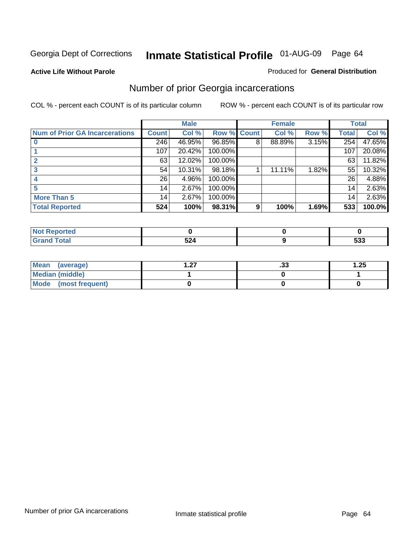#### **Active Life Without Parole**

#### Produced for **General Distribution**

## Number of prior Georgia incarcerations

|                                       |              | <b>Male</b> |                    |   | <b>Female</b> |       |       | <b>Total</b> |
|---------------------------------------|--------------|-------------|--------------------|---|---------------|-------|-------|--------------|
| <b>Num of Prior GA Incarcerations</b> | <b>Count</b> | Col %       | <b>Row % Count</b> |   | Col %         | Row % | Total | Col %        |
|                                       | 246          | 46.95%      | 96.85%             | 8 | 88.89%        | 3.15% | 254   | 47.65%       |
|                                       | 107          | 20.42%      | 100.00%            |   |               |       | 107   | 20.08%       |
|                                       | 63           | 12.02%      | 100.00%            |   |               |       | 63    | 11.82%       |
| 3                                     | 54           | 10.31%      | 98.18%             |   | 11.11%        | 1.82% | 55    | 10.32%       |
|                                       | 26           | 4.96%       | 100.00%            |   |               |       | 26    | 4.88%        |
|                                       | 14           | 2.67%       | 100.00%            |   |               |       | 14    | 2.63%        |
| <b>More Than 5</b>                    | 14           | 2.67%       | 100.00%            |   |               |       | 14    | 2.63%        |
| <b>Total Reported</b>                 | 524          | 100%        | 98.31%             | 9 | 100%          | 1.69% | 533   | 100.0%       |

| 4 - 1<br><b>Reported</b><br>-na |     |            |
|---------------------------------|-----|------------|
| <b>otal</b><br>$\sim$ .         | ◡▵┑ | にへへ<br>ააა |

| Mean (average)       | - 27<br>. . <i>.</i> . | . JJ | 1.25 |
|----------------------|------------------------|------|------|
| Median (middle)      |                        |      |      |
| Mode (most frequent) |                        |      |      |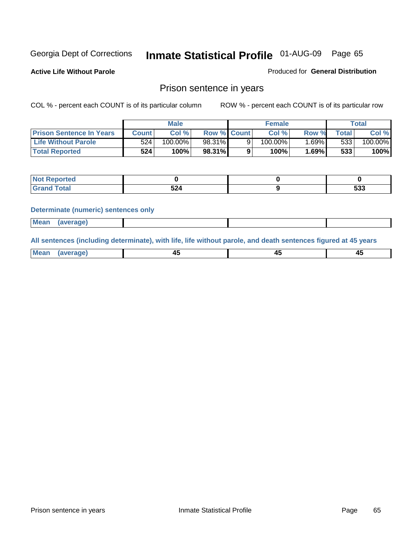**Active Life Without Parole** 

Produced for **General Distribution**

## Prison sentence in years

COL % - percent each COUNT is of its particular column ROW % - percent each COUNT is of its particular row

|                                 |                  | <b>Male</b> |                    | <b>Female</b> |       |             | Total   |
|---------------------------------|------------------|-------------|--------------------|---------------|-------|-------------|---------|
| <b>Prison Sentence In Years</b> | <b>Count</b>     | Col %       | <b>Row % Count</b> | Col %         | Row % | $\tau$ otal | Col %   |
| <b>Life Without Parole</b>      | 524 <sub>1</sub> | $100.00\%$  | 98.31%             | 100.00%       | 1.69% | 533         | 100.00% |
| <b>Total Reported</b>           | 524              | 100%        | 98.31%             | 100%          | 1.69% | 533         | 100%    |

| <b>Reported</b>  |       |     |
|------------------|-------|-----|
| <b>Total</b>     | E Q 1 | につつ |
| $\mathsf{C}$ and | ЭZ    | ააა |

#### **Determinate (numeric) sentences only**

| <b>Mean</b> | (average) |  |  |
|-------------|-----------|--|--|

**All sentences (including determinate), with life, life without parole, and death sentences figured at 45 years**

| Me           |             |        |              |
|--------------|-------------|--------|--------------|
| mе<br>.<br>. | ᠇<br>$\sim$ | $\sim$ | т.<br>$\sim$ |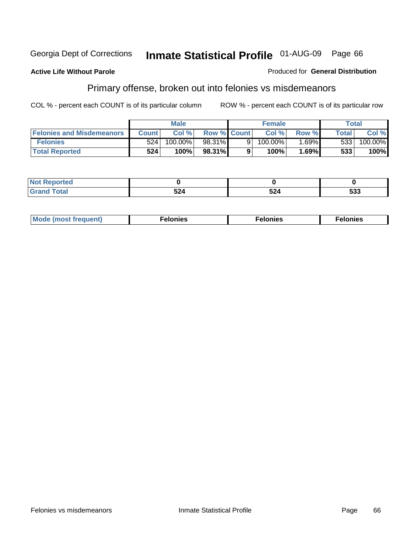#### **Active Life Without Parole**

#### Produced for **General Distribution**

## Primary offense, broken out into felonies vs misdemeanors

|                                  | <b>Male</b> |         |                    |    | <b>Female</b> | Total    |              |            |
|----------------------------------|-------------|---------|--------------------|----|---------------|----------|--------------|------------|
| <b>Felonies and Misdemeanors</b> | Count l     | Col %   | <b>Row % Count</b> |    | Col%          | Row %    | <b>Total</b> | Col %      |
| <b>Felonies</b>                  | 524         | 100.00% | 98.31%             | 91 | 100.00%       | $1.69\%$ | 533          | $100.00\%$ |
| <b>Total Reported</b>            | 524         | 100%    | 98.31%             |    | 100%          | .69%     | 533          | 100%       |

| <b>Not Reported</b>  |      |                |     |
|----------------------|------|----------------|-----|
| <b>otal</b><br>Grand | v. T | $-$ .<br>24۰ ن | 533 |

| M <sub>0</sub><br>. | צאור<br>. | . |
|---------------------|-----------|---|
|---------------------|-----------|---|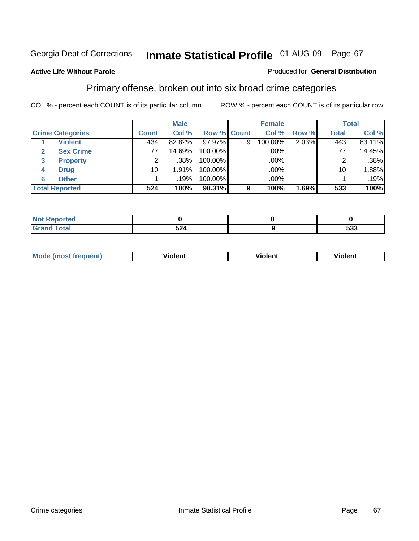#### **Active Life Without Parole**

#### Produced for **General Distribution**

## Primary offense, broken out into six broad crime categories

|                                  | <b>Male</b>  |        |             | <b>Female</b> |         |       | <b>Total</b> |         |  |
|----------------------------------|--------------|--------|-------------|---------------|---------|-------|--------------|---------|--|
| <b>Crime Categories</b>          | <b>Count</b> | Col %  | Row % Count |               | Col %   | Row % | <b>Total</b> | Col %   |  |
| <b>Violent</b>                   | 434          | 82.82% | 97.97%      | 9             | 100.00% | 2.03% | 443          | 83.11%  |  |
| <b>Sex Crime</b><br>$\mathbf{2}$ | 77           | 14.69% | 100.00%     |               | .00%    |       | 77           | 14.45%  |  |
| <b>Property</b><br>3             |              | .38%   | 100.00%     |               | .00%    |       |              | $.38\%$ |  |
| <b>Drug</b><br>4                 | 10           | 1.91%  | 100.00%     |               | .00%    |       | 10           | 1.88%   |  |
| <b>Other</b><br>6                |              | .19%   | 100.00%     |               | .00%    |       |              | .19%    |  |
| <b>Total Reported</b>            | 524          | 100%   | 98.31%      | 9             | 100%    | 1.69% | 533          | 100%    |  |

| Reported<br>NOT<br>$\sim$ |                     |     |
|---------------------------|---------------------|-----|
| <b>Total</b><br>Grand     | <u>-n.l.</u><br>524 | 533 |

| Mc | - - | 'חםור |  |
|----|-----|-------|--|
|    |     |       |  |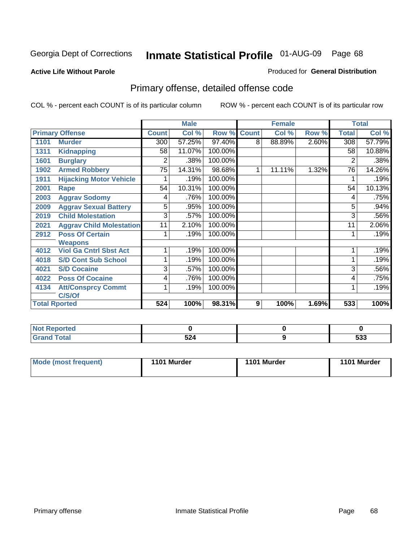#### **Active Life Without Parole**

#### Produced for **General Distribution**

## Primary offense, detailed offense code

|      |                                 |                 | <b>Male</b> |         |              | <b>Female</b> |       |              | <b>Total</b> |
|------|---------------------------------|-----------------|-------------|---------|--------------|---------------|-------|--------------|--------------|
|      | <b>Primary Offense</b>          | <b>Count</b>    | Col %       | Row %   | <b>Count</b> | Col %         | Row % | <b>Total</b> | Col %        |
| 1101 | <b>Murder</b>                   | 300             | 57.25%      | 97.40%  | 8            | 88.89%        | 2.60% | 308          | 57.79%       |
| 1311 | <b>Kidnapping</b>               | 58              | 11.07%      | 100.00% |              |               |       | 58           | 10.88%       |
| 1601 | <b>Burglary</b>                 | 2               | .38%        | 100.00% |              |               |       | 2            | .38%         |
| 1902 | <b>Armed Robbery</b>            | $\overline{75}$ | 14.31%      | 98.68%  | 1            | 11.11%        | 1.32% | 76           | 14.26%       |
| 1911 | <b>Hijacking Motor Vehicle</b>  |                 | .19%        | 100.00% |              |               |       |              | .19%         |
| 2001 | Rape                            | 54              | 10.31%      | 100.00% |              |               |       | 54           | 10.13%       |
| 2003 | <b>Aggrav Sodomy</b>            | 4               | .76%        | 100.00% |              |               |       | 4            | .75%         |
| 2009 | <b>Aggrav Sexual Battery</b>    | 5               | .95%        | 100.00% |              |               |       | 5            | .94%         |
| 2019 | <b>Child Molestation</b>        | $\overline{3}$  | .57%        | 100.00% |              |               |       | 3            | .56%         |
| 2021 | <b>Aggrav Child Molestation</b> | 11              | 2.10%       | 100.00% |              |               |       | 11           | 2.06%        |
| 2912 | <b>Poss Of Certain</b>          |                 | .19%        | 100.00% |              |               |       |              | .19%         |
|      | <b>Weapons</b>                  |                 |             |         |              |               |       |              |              |
| 4012 | <b>Viol Ga Cntrl Sbst Act</b>   |                 | .19%        | 100.00% |              |               |       |              | .19%         |
| 4018 | <b>S/D Cont Sub School</b>      |                 | .19%        | 100.00% |              |               |       |              | .19%         |
| 4021 | <b>S/D Cocaine</b>              | 3               | .57%        | 100.00% |              |               |       | 3            | .56%         |
| 4022 | <b>Poss Of Cocaine</b>          | 4               | .76%        | 100.00% |              |               |       | 4            | .75%         |
| 4134 | <b>Att/Consprcy Commt</b>       | 1               | .19%        | 100.00% |              |               |       | 1            | .19%         |
|      | C/S/Of                          |                 |             |         |              |               |       |              |              |
|      | <b>Total Rported</b>            | 524             | 100%        | 98.31%  | 9            | 100%          | 1.69% | 533          | 100%         |

| <b>Not</b><br><b>Reported</b> |           |      |
|-------------------------------|-----------|------|
| <b>Total</b>                  | <b>-0</b> | - 22 |
| $\sim$ .                      | 944       | ააა  |

| Mode (most frequent) | 1101 Murder | 1101 Murder | 1101 Murder |
|----------------------|-------------|-------------|-------------|
|----------------------|-------------|-------------|-------------|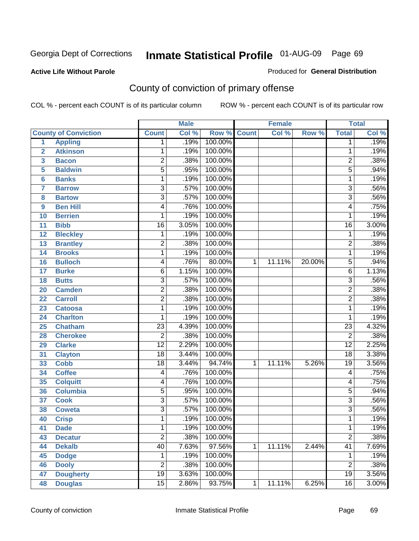**Active Life Without Parole** 

Produced for **General Distribution**

## County of conviction of primary offense

|                         |                             |                 | <b>Male</b> |             |              | <b>Female</b> |        |                 | <b>Total</b> |
|-------------------------|-----------------------------|-----------------|-------------|-------------|--------------|---------------|--------|-----------------|--------------|
|                         | <b>County of Conviction</b> | <b>Count</b>    | Col %       | Row % Count |              | Col %         | Row %  | <b>Total</b>    | Col %        |
| 1                       | <b>Appling</b>              | 1               | .19%        | 100.00%     |              |               |        | 1               | .19%         |
| $\overline{2}$          | <b>Atkinson</b>             | 1               | .19%        | 100.00%     |              |               |        | 1               | .19%         |
| $\overline{\mathbf{3}}$ | <b>Bacon</b>                | $\overline{2}$  | .38%        | 100.00%     |              |               |        | $\overline{2}$  | .38%         |
| 5                       | <b>Baldwin</b>              | $\overline{5}$  | .95%        | 100.00%     |              |               |        | $\overline{5}$  | .94%         |
| 6                       | <b>Banks</b>                | 1               | .19%        | 100.00%     |              |               |        | $\mathbf{1}$    | .19%         |
| $\overline{7}$          | <b>Barrow</b>               | $\overline{3}$  | .57%        | 100.00%     |              |               |        | $\overline{3}$  | .56%         |
| 8                       | <b>Bartow</b>               | $\overline{3}$  | .57%        | 100.00%     |              |               |        | $\overline{3}$  | .56%         |
| 9                       | <b>Ben Hill</b>             | 4               | .76%        | 100.00%     |              |               |        | 4               | .75%         |
| 10                      | <b>Berrien</b>              | 1               | .19%        | 100.00%     |              |               |        | 1               | .19%         |
| 11                      | <b>Bibb</b>                 | $\overline{16}$ | 3.05%       | 100.00%     |              |               |        | $\overline{16}$ | 3.00%        |
| 12                      | <b>Bleckley</b>             | $\mathbf 1$     | .19%        | 100.00%     |              |               |        | $\mathbf 1$     | .19%         |
| 13                      | <b>Brantley</b>             | $\overline{2}$  | .38%        | 100.00%     |              |               |        | $\overline{2}$  | .38%         |
| $\overline{14}$         | <b>Brooks</b>               | 1               | .19%        | 100.00%     |              |               |        | $\mathbf{1}$    | .19%         |
| 16                      | <b>Bulloch</b>              | 4               | .76%        | 80.00%      | 1            | 11.11%        | 20.00% | 5               | .94%         |
| 17                      | <b>Burke</b>                | $\overline{6}$  | 1.15%       | 100.00%     |              |               |        | 6               | 1.13%        |
| 18                      | <b>Butts</b>                | 3               | .57%        | 100.00%     |              |               |        | $\overline{3}$  | .56%         |
| 20                      | <b>Camden</b>               | $\overline{2}$  | .38%        | 100.00%     |              |               |        | $\overline{2}$  | .38%         |
| 22                      | <b>Carroll</b>              | $\overline{2}$  | .38%        | 100.00%     |              |               |        | $\overline{2}$  | .38%         |
| 23                      | <b>Catoosa</b>              | 1               | .19%        | 100.00%     |              |               |        | $\mathbf{1}$    | .19%         |
| 24                      | <b>Charlton</b>             | 1               | .19%        | 100.00%     |              |               |        | 1               | .19%         |
| 25                      | <b>Chatham</b>              | $\overline{23}$ | 4.39%       | 100.00%     |              |               |        | $\overline{23}$ | 4.32%        |
| 28                      | <b>Cherokee</b>             | $\overline{2}$  | .38%        | 100.00%     |              |               |        | $\overline{2}$  | .38%         |
| 29                      | <b>Clarke</b>               | $\overline{12}$ | 2.29%       | 100.00%     |              |               |        | $\overline{12}$ | 2.25%        |
| 31                      | <b>Clayton</b>              | $\overline{18}$ | 3.44%       | 100.00%     |              |               |        | 18              | 3.38%        |
| 33                      | <b>Cobb</b>                 | $\overline{18}$ | 3.44%       | 94.74%      | $\mathbf{1}$ | 11.11%        | 5.26%  | $\overline{19}$ | 3.56%        |
| 34                      | <b>Coffee</b>               | 4               | .76%        | 100.00%     |              |               |        | 4               | .75%         |
| 35                      | <b>Colquitt</b>             | 4               | .76%        | 100.00%     |              |               |        | 4               | .75%         |
| 36                      | <b>Columbia</b>             | 5               | .95%        | 100.00%     |              |               |        | $\overline{5}$  | .94%         |
| 37                      | <b>Cook</b>                 | $\overline{3}$  | .57%        | 100.00%     |              |               |        | $\overline{3}$  | .56%         |
| 38                      | <b>Coweta</b>               | 3               | .57%        | 100.00%     |              |               |        | $\overline{3}$  | .56%         |
| 40                      | <b>Crisp</b>                | 1               | .19%        | 100.00%     |              |               |        | 1               | .19%         |
| 41                      | <b>Dade</b>                 | 1               | .19%        | 100.00%     |              |               |        | 1               | .19%         |
| 43                      | <b>Decatur</b>              | $\overline{2}$  | .38%        | 100.00%     |              |               |        | $\overline{2}$  | .38%         |
| 44                      | <b>Dekalb</b>               | 40              | 7.63%       | 97.56%      | $\mathbf{1}$ | 11.11%        | 2.44%  | $\overline{41}$ | 7.69%        |
| 45                      | <b>Dodge</b>                | $\mathbf 1$     | .19%        | 100.00%     |              |               |        | 1               | .19%         |
| 46                      | <b>Dooly</b>                | $\overline{2}$  | .38%        | 100.00%     |              |               |        | $\overline{2}$  | .38%         |
| 47                      | <b>Dougherty</b>            | $\overline{19}$ | 3.63%       | 100.00%     |              |               |        | 19              | 3.56%        |
| 48                      | <b>Douglas</b>              | $\overline{15}$ | 2.86%       | 93.75%      | $\mathbf{1}$ | 11.11%        | 6.25%  | 16              | 3.00%        |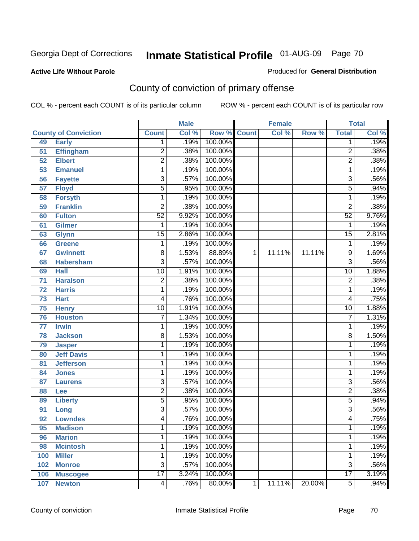#### **Active Life Without Parole**

#### Produced for **General Distribution**

## County of conviction of primary offense

|                 |                             | <b>Male</b>     |       | <b>Female</b>      |   | <b>Total</b> |        |                 |       |
|-----------------|-----------------------------|-----------------|-------|--------------------|---|--------------|--------|-----------------|-------|
|                 | <b>County of Conviction</b> | <b>Count</b>    | Col % | <b>Row % Count</b> |   | Col %        | Row %  | <b>Total</b>    | Col % |
| 49              | <b>Early</b>                | 1               | .19%  | 100.00%            |   |              |        | 1               | .19%  |
| 51              | <b>Effingham</b>            | 2               | .38%  | 100.00%            |   |              |        | $\overline{2}$  | .38%  |
| 52              | <b>Elbert</b>               | $\overline{2}$  | .38%  | 100.00%            |   |              |        | $\overline{2}$  | .38%  |
| 53              | <b>Emanuel</b>              | 1               | .19%  | 100.00%            |   |              |        | 1               | .19%  |
| 56              | <b>Fayette</b>              | 3               | .57%  | 100.00%            |   |              |        | $\overline{3}$  | .56%  |
| $\overline{57}$ | <b>Floyd</b>                | 5               | .95%  | 100.00%            |   |              |        | 5               | .94%  |
| 58              | <b>Forsyth</b>              | 1               | .19%  | 100.00%            |   |              |        | 1               | .19%  |
| 59              | <b>Franklin</b>             | $\overline{2}$  | .38%  | 100.00%            |   |              |        | $\overline{2}$  | .38%  |
| 60              | <b>Fulton</b>               | $\overline{52}$ | 9.92% | 100.00%            |   |              |        | $\overline{52}$ | 9.76% |
| 61              | Gilmer                      | 1               | .19%  | 100.00%            |   |              |        | 1               | .19%  |
| 63              | <b>Glynn</b>                | $\overline{15}$ | 2.86% | 100.00%            |   |              |        | $\overline{15}$ | 2.81% |
| 66              | <b>Greene</b>               | 1               | .19%  | 100.00%            |   |              |        | 1               | .19%  |
| 67              | <b>Gwinnett</b>             | 8               | 1.53% | 88.89%             | 1 | 11.11%       | 11.11% | 9               | 1.69% |
| 68              | <b>Habersham</b>            | $\overline{3}$  | .57%  | 100.00%            |   |              |        | $\overline{3}$  | .56%  |
| 69              | <b>Hall</b>                 | $\overline{10}$ | 1.91% | 100.00%            |   |              |        | $\overline{10}$ | 1.88% |
| 71              | <b>Haralson</b>             | $\overline{2}$  | .38%  | 100.00%            |   |              |        | $\overline{2}$  | .38%  |
| $\overline{72}$ | <b>Harris</b>               | 1               | .19%  | 100.00%            |   |              |        | 1               | .19%  |
| 73              | <b>Hart</b>                 | 4               | .76%  | 100.00%            |   |              |        | 4               | .75%  |
| 75              | <b>Henry</b>                | $\overline{10}$ | 1.91% | 100.00%            |   |              |        | 10              | 1.88% |
| 76              | <b>Houston</b>              | 7               | 1.34% | 100.00%            |   |              |        | $\overline{7}$  | 1.31% |
| 77              | <b>Irwin</b>                | 1               | .19%  | 100.00%            |   |              |        | 1               | .19%  |
| 78              | <b>Jackson</b>              | 8               | 1.53% | 100.00%            |   |              |        | 8               | 1.50% |
| 79              | <b>Jasper</b>               | 1               | .19%  | 100.00%            |   |              |        | 1               | .19%  |
| 80              | <b>Jeff Davis</b>           | 1               | .19%  | 100.00%            |   |              |        | 1               | .19%  |
| 81              | <b>Jefferson</b>            | 1               | .19%  | 100.00%            |   |              |        | 1               | .19%  |
| 84              | <b>Jones</b>                | 1               | .19%  | 100.00%            |   |              |        | 1               | .19%  |
| 87              | <b>Laurens</b>              | $\overline{3}$  | .57%  | 100.00%            |   |              |        | 3               | .56%  |
| 88              | Lee                         | $\overline{2}$  | .38%  | 100.00%            |   |              |        | $\overline{2}$  | .38%  |
| 89              | <b>Liberty</b>              | 5               | .95%  | 100.00%            |   |              |        | $\overline{5}$  | .94%  |
| 91              | Long                        | $\overline{3}$  | .57%  | 100.00%            |   |              |        | $\overline{3}$  | .56%  |
| 92              | <b>Lowndes</b>              | 4               | .76%  | 100.00%            |   |              |        | 4               | .75%  |
| 95              | <b>Madison</b>              | 1               | .19%  | 100.00%            |   |              |        | 1               | .19%  |
| 96              | <b>Marion</b>               | 1               | .19%  | 100.00%            |   |              |        | 1               | .19%  |
| 98              | <b>Mcintosh</b>             | 1               | .19%  | 100.00%            |   |              |        | 1               | .19%  |
| 100             | <b>Miller</b>               | 1               | .19%  | 100.00%            |   |              |        | 1               | .19%  |
| 102             | <b>Monroe</b>               | $\overline{3}$  | .57%  | 100.00%            |   |              |        | $\overline{3}$  | .56%  |
| 106             | <b>Muscogee</b>             | $\overline{17}$ | 3.24% | 100.00%            |   |              |        | $\overline{17}$ | 3.19% |
| 107             | <b>Newton</b>               | $\overline{4}$  | .76%  | 80.00%             | 1 | 11.11%       | 20.00% | $\overline{5}$  | .94%  |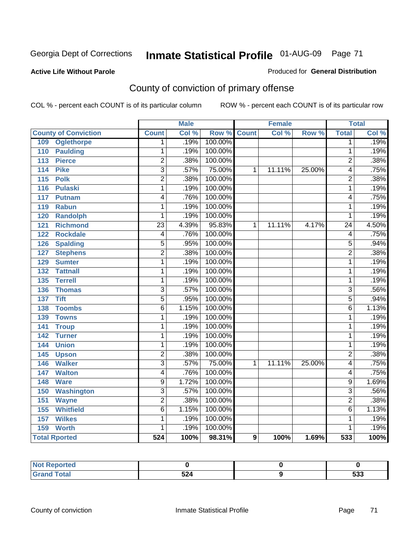#### **Active Life Without Parole**

#### Produced for **General Distribution**

## County of conviction of primary offense

|                                     |                         | <b>Male</b> |         |              | <b>Female</b> |        |                 | <b>Total</b> |
|-------------------------------------|-------------------------|-------------|---------|--------------|---------------|--------|-----------------|--------------|
| <b>County of Conviction</b>         | <b>Count</b>            | Col %       | Row %   | <b>Count</b> | Col %         | Row %  | <b>Total</b>    | Col %        |
| 109<br><b>Oglethorpe</b>            | 1                       | .19%        | 100.00% |              |               |        | 1               | .19%         |
| <b>Paulding</b><br>110              | 1                       | .19%        | 100.00% |              |               |        | 1               | .19%         |
| <b>Pierce</b><br>113                | $\overline{2}$          | .38%        | 100.00% |              |               |        | $\overline{2}$  | .38%         |
| <b>Pike</b><br>114                  | $\overline{\mathbf{3}}$ | .57%        | 75.00%  | 1            | 11.11%        | 25.00% | 4               | .75%         |
| $\overline{115}$<br><b>Polk</b>     | $\overline{2}$          | .38%        | 100.00% |              |               |        | $\overline{2}$  | .38%         |
| <b>Pulaski</b><br>116               | 1                       | .19%        | 100.00% |              |               |        | 1               | .19%         |
| 117<br><b>Putnam</b>                | 4                       | .76%        | 100.00% |              |               |        | 4               | .75%         |
| 119<br><b>Rabun</b>                 | 1                       | .19%        | 100.00% |              |               |        | 1               | .19%         |
| <b>Randolph</b><br>120              | 1                       | .19%        | 100.00% |              |               |        | 1               | .19%         |
| <b>Richmond</b><br>$\overline{121}$ | $\overline{23}$         | 4.39%       | 95.83%  | 1            | 11.11%        | 4.17%  | $\overline{24}$ | 4.50%        |
| <b>Rockdale</b><br>122              | 4                       | .76%        | 100.00% |              |               |        | 4               | .75%         |
| <b>Spalding</b><br>126              | 5                       | .95%        | 100.00% |              |               |        | 5               | .94%         |
| <b>Stephens</b><br>127              | $\overline{2}$          | .38%        | 100.00% |              |               |        | $\overline{2}$  | .38%         |
| 129<br><b>Sumter</b>                | 1                       | .19%        | 100.00% |              |               |        | $\mathbf{1}$    | .19%         |
| <b>Tattnall</b><br>132              | $\overline{1}$          | .19%        | 100.00% |              |               |        | $\mathbf{1}$    | .19%         |
| 135<br><b>Terrell</b>               | 1                       | .19%        | 100.00% |              |               |        | 1               | .19%         |
| 136<br><b>Thomas</b>                | $\overline{3}$          | .57%        | 100.00% |              |               |        | $\overline{3}$  | .56%         |
| $\overline{137}$<br><b>Tift</b>     | $\overline{5}$          | .95%        | 100.00% |              |               |        | $\overline{5}$  | .94%         |
| <b>Toombs</b><br>138                | $\overline{6}$          | 1.15%       | 100.00% |              |               |        | 6               | 1.13%        |
| 139<br><b>Towns</b>                 | 1                       | .19%        | 100.00% |              |               |        | 1               | .19%         |
| 141<br><b>Troup</b>                 | 1                       | .19%        | 100.00% |              |               |        | $\mathbf{1}$    | .19%         |
| $\overline{142}$<br><b>Turner</b>   | $\overline{1}$          | .19%        | 100.00% |              |               |        | $\overline{1}$  | .19%         |
| <b>Union</b><br>144                 | 1                       | .19%        | 100.00% |              |               |        | 1               | .19%         |
| 145<br><b>Upson</b>                 | $\overline{2}$          | .38%        | 100.00% |              |               |        | $\overline{2}$  | .38%         |
| <b>Walker</b><br>146                | $\overline{3}$          | .57%        | 75.00%  | 1            | 11.11%        | 25.00% | 4               | .75%         |
| <b>Walton</b><br>147                | 4                       | .76%        | 100.00% |              |               |        | 4               | .75%         |
| <b>Ware</b><br>148                  | 9                       | 1.72%       | 100.00% |              |               |        | 9               | 1.69%        |
| <b>Washington</b><br>150            | $\overline{3}$          | .57%        | 100.00% |              |               |        | $\overline{3}$  | .56%         |
| 151<br><b>Wayne</b>                 | $\overline{2}$          | .38%        | 100.00% |              |               |        | $\overline{2}$  | .38%         |
| <b>Whitfield</b><br>155             | $\overline{6}$          | 1.15%       | 100.00% |              |               |        | $\overline{6}$  | 1.13%        |
| <b>Wilkes</b><br>157                | 1                       | .19%        | 100.00% |              |               |        | 1               | .19%         |
| 159<br><b>Worth</b>                 | 1                       | .19%        | 100.00% |              |               |        | 1               | .19%         |
| <b>Total Rported</b>                | 524                     | 100%        | 98.31%  | 9            | 100%          | 1.69%  | 533             | 100%         |

| ' Teo        |             |            |
|--------------|-------------|------------|
| <b>Total</b> | ミウル<br>JL-1 | raa<br>ააა |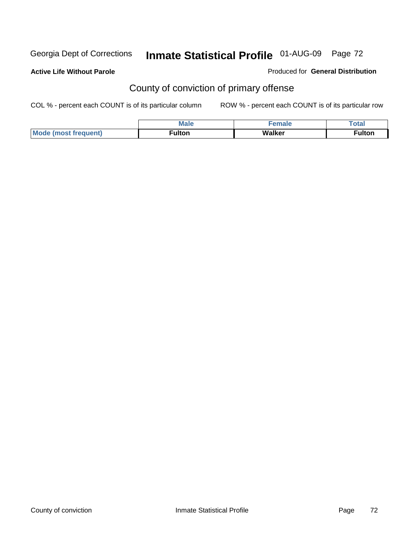**Active Life Without Parole** 

Produced for **General Distribution**

## County of conviction of primary offense

|                             | <b>Male</b>        | <b>SPACE</b> | Total                          |
|-----------------------------|--------------------|--------------|--------------------------------|
| Mode<br>`frequent)<br>lmost | ulton <sup>-</sup> | Walker       | $\overline{\phantom{a}}$ ulton |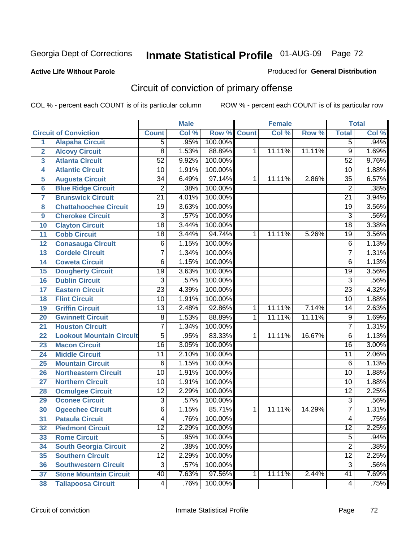#### **Active Life Without Parole**

#### Produced for **General Distribution**

# Circuit of conviction of primary offense

|                         |                                 |                 | <b>Male</b> |         |              | <b>Female</b> |        |                 | <b>Total</b> |
|-------------------------|---------------------------------|-----------------|-------------|---------|--------------|---------------|--------|-----------------|--------------|
|                         | <b>Circuit of Conviction</b>    | <b>Count</b>    | Col %       | Row %   | <b>Count</b> | Col %         | Row %  | <b>Total</b>    | Col %        |
| 1                       | <b>Alapaha Circuit</b>          | $\overline{5}$  | .95%        | 100.00% |              |               |        | 5               | .94%         |
| $\overline{2}$          | <b>Alcovy Circuit</b>           | $\overline{8}$  | 1.53%       | 88.89%  | 1            | 11.11%        | 11.11% | $\overline{9}$  | 1.69%        |
| $\overline{\mathbf{3}}$ | <b>Atlanta Circuit</b>          | $\overline{52}$ | 9.92%       | 100.00% |              |               |        | $\overline{52}$ | 9.76%        |
| 4                       | <b>Atlantic Circuit</b>         | $\overline{10}$ | 1.91%       | 100.00% |              |               |        | 10              | 1.88%        |
| 5                       | <b>Augusta Circuit</b>          | $\overline{34}$ | 6.49%       | 97.14%  | 1            | 11.11%        | 2.86%  | $\overline{35}$ | 6.57%        |
| $6\phantom{a}$          | <b>Blue Ridge Circuit</b>       | $\overline{2}$  | .38%        | 100.00% |              |               |        | $\overline{2}$  | .38%         |
| $\overline{\mathbf{7}}$ | <b>Brunswick Circuit</b>        | $\overline{21}$ | 4.01%       | 100.00% |              |               |        | $\overline{21}$ | 3.94%        |
| 8                       | <b>Chattahoochee Circuit</b>    | $\overline{19}$ | 3.63%       | 100.00% |              |               |        | $\overline{19}$ | 3.56%        |
| 9                       | <b>Cherokee Circuit</b>         | $\overline{3}$  | .57%        | 100.00% |              |               |        | $\overline{3}$  | .56%         |
| 10                      | <b>Clayton Circuit</b>          | $\overline{18}$ | 3.44%       | 100.00% |              |               |        | $\overline{18}$ | 3.38%        |
| 11                      | <b>Cobb Circuit</b>             | 18              | 3.44%       | 94.74%  | 1            | 11.11%        | 5.26%  | 19              | 3.56%        |
| 12                      | <b>Conasauga Circuit</b>        | $\overline{6}$  | 1.15%       | 100.00% |              |               |        | 6               | 1.13%        |
| $\overline{13}$         | <b>Cordele Circuit</b>          | 7               | 1.34%       | 100.00% |              |               |        | $\overline{7}$  | 1.31%        |
| 14                      | <b>Coweta Circuit</b>           | $\overline{6}$  | 1.15%       | 100.00% |              |               |        | $\overline{6}$  | 1.13%        |
| 15                      | <b>Dougherty Circuit</b>        | $\overline{19}$ | 3.63%       | 100.00% |              |               |        | $\overline{19}$ | 3.56%        |
| 16                      | <b>Dublin Circuit</b>           | $\overline{3}$  | .57%        | 100.00% |              |               |        | $\overline{3}$  | .56%         |
| 17                      | <b>Eastern Circuit</b>          | $\overline{23}$ | 4.39%       | 100.00% |              |               |        | $\overline{23}$ | 4.32%        |
| 18                      | <b>Flint Circuit</b>            | $\overline{10}$ | 1.91%       | 100.00% |              |               |        | 10              | 1.88%        |
| 19                      | <b>Griffin Circuit</b>          | $\overline{13}$ | 2.48%       | 92.86%  | $\mathbf{1}$ | 11.11%        | 7.14%  | 14              | 2.63%        |
| 20                      | <b>Gwinnett Circuit</b>         | $\overline{8}$  | 1.53%       | 88.89%  | 1            | 11.11%        | 11.11% | $\overline{9}$  | 1.69%        |
| 21                      | <b>Houston Circuit</b>          | 7               | 1.34%       | 100.00% |              |               |        | $\overline{7}$  | 1.31%        |
| 22                      | <b>Lookout Mountain Circuit</b> | $\overline{5}$  | .95%        | 83.33%  | 1            | 11.11%        | 16.67% | $\overline{6}$  | 1.13%        |
| 23                      | <b>Macon Circuit</b>            | $\overline{16}$ | 3.05%       | 100.00% |              |               |        | $\overline{16}$ | 3.00%        |
| 24                      | <b>Middle Circuit</b>           | 11              | 2.10%       | 100.00% |              |               |        | $\overline{11}$ | 2.06%        |
| 25                      | <b>Mountain Circuit</b>         | 6               | 1.15%       | 100.00% |              |               |        | $\overline{6}$  | 1.13%        |
| 26                      | <b>Northeastern Circuit</b>     | $\overline{10}$ | 1.91%       | 100.00% |              |               |        | $\overline{10}$ | 1.88%        |
| 27                      | <b>Northern Circuit</b>         | 10              | 1.91%       | 100.00% |              |               |        | 10              | 1.88%        |
| 28                      | <b>Ocmulgee Circuit</b>         | $\overline{12}$ | 2.29%       | 100.00% |              |               |        | $\overline{12}$ | 2.25%        |
| 29                      | <b>Oconee Circuit</b>           | $\overline{3}$  | .57%        | 100.00% |              |               |        | $\overline{3}$  | .56%         |
| 30                      | <b>Ogeechee Circuit</b>         | $\overline{6}$  | 1.15%       | 85.71%  | 1            | 11.11%        | 14.29% | $\overline{7}$  | 1.31%        |
| $\overline{31}$         | <b>Pataula Circuit</b>          | 4               | .76%        | 100.00% |              |               |        | 4               | .75%         |
| 32                      | <b>Piedmont Circuit</b>         | 12              | 2.29%       | 100.00% |              |               |        | 12              | 2.25%        |
| 33                      | <b>Rome Circuit</b>             | $\overline{5}$  | .95%        | 100.00% |              |               |        | $\overline{5}$  | .94%         |
| 34                      | <b>South Georgia Circuit</b>    | $\overline{2}$  | .38%        | 100.00% |              |               |        | $\overline{2}$  | .38%         |
| 35                      | <b>Southern Circuit</b>         | $\overline{12}$ | 2.29%       | 100.00% |              |               |        | $\overline{12}$ | 2.25%        |
| 36                      | <b>Southwestern Circuit</b>     | $\overline{3}$  | .57%        | 100.00% |              |               |        | $\overline{3}$  | .56%         |
| 37                      | <b>Stone Mountain Circuit</b>   | 40              | 7.63%       | 97.56%  | 1            | 11.11%        | 2.44%  | $\overline{41}$ | 7.69%        |
| 38                      | <b>Tallapoosa Circuit</b>       | 4               | .76%        | 100.00% |              |               |        | 4               | .75%         |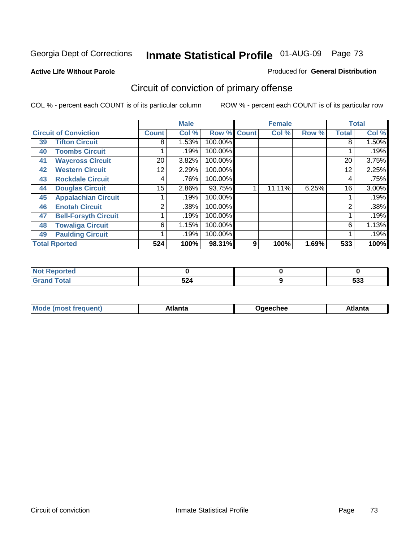#### **Active Life Without Parole**

#### Produced for **General Distribution**

# Circuit of conviction of primary offense

|                      |                              |                 | <b>Male</b> |         |              | <b>Female</b> |       |              | <b>Total</b> |
|----------------------|------------------------------|-----------------|-------------|---------|--------------|---------------|-------|--------------|--------------|
|                      | <b>Circuit of Conviction</b> | <b>Count</b>    | Col %       | Row %   | <b>Count</b> | Col %         | Row % | <b>Total</b> | Col %        |
| 39                   | <b>Tifton Circuit</b>        | 8               | 1.53%       | 100.00% |              |               |       | 8            | $1.50\%$     |
| 40                   | <b>Toombs Circuit</b>        |                 | .19%        | 100.00% |              |               |       |              | .19%         |
| 41                   | <b>Waycross Circuit</b>      | 20              | 3.82%       | 100.00% |              |               |       | 20           | 3.75%        |
| 42                   | <b>Western Circuit</b>       | 12              | 2.29%       | 100.00% |              |               |       | 12           | 2.25%        |
| 43                   | <b>Rockdale Circuit</b>      | 4               | .76%        | 100.00% |              |               |       | 4            | .75%         |
| 44                   | <b>Douglas Circuit</b>       | 15 <sub>1</sub> | 2.86%       | 93.75%  |              | 11.11%        | 6.25% | 16           | 3.00%        |
| 45                   | <b>Appalachian Circuit</b>   |                 | .19%        | 100.00% |              |               |       |              | .19%         |
| 46                   | <b>Enotah Circuit</b>        | $\overline{2}$  | .38%        | 100.00% |              |               |       | 2            | .38%         |
| 47                   | <b>Bell-Forsyth Circuit</b>  |                 | .19%        | 100.00% |              |               |       |              | .19%         |
| 48                   | <b>Towaliga Circuit</b>      | 6               | 1.15%       | 100.00% |              |               |       | 6            | 1.13%        |
| 49                   | <b>Paulding Circuit</b>      |                 | .19%        | 100.00% |              |               |       |              | .19%         |
| <b>Total Rported</b> |                              | 524             | 100%        | 98.31%  | 9            | 100%          | 1.69% | 533          | 100%         |

| <b>eported</b><br>w      |     |     |
|--------------------------|-----|-----|
| <b>otal</b>              | 591 | -^^ |
| $\sim$ . $\sim$ . $\sim$ | JZ4 | ააა |

|  | M | *****<br>⊡alilu | chee | .<br>''ILC |
|--|---|-----------------|------|------------|
|--|---|-----------------|------|------------|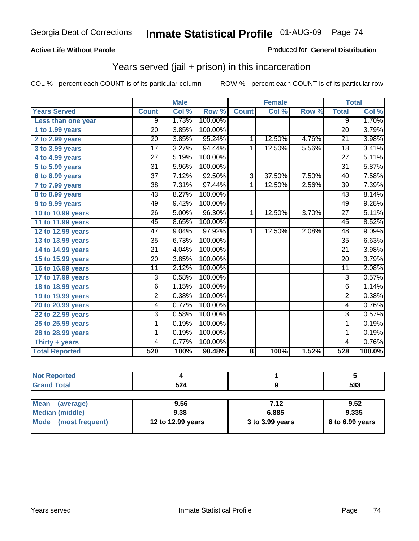### **Active Life Without Parole**

#### Produced for **General Distribution**

## Years served (jail + prison) in this incarceration

|                       | <b>Male</b>     |       | <b>Female</b> |                |        | <b>Total</b>        |                 |        |
|-----------------------|-----------------|-------|---------------|----------------|--------|---------------------|-----------------|--------|
| <b>Years Served</b>   | <b>Count</b>    | Col % | Row %         | <b>Count</b>   | Col %  | Row %               | <b>Total</b>    | Col %  |
| Less than one year    | $\overline{9}$  | 1.73% | 100.00%       |                |        |                     | $\overline{9}$  | 1.70%  |
| 1 to 1.99 years       | 20              | 3.85% | 100.00%       |                |        |                     | 20              | 3.79%  |
| 2 to 2.99 years       | 20              | 3.85% | 95.24%        | 1              | 12.50% | 4.76%               | 21              | 3.98%  |
| 3 to 3.99 years       | $\overline{17}$ | 3.27% | 94.44%        | $\mathbf{1}$   | 12.50% | 5.56%               | $\overline{18}$ | 3.41%  |
| 4 to 4.99 years       | 27              | 5.19% | 100.00%       |                |        |                     | $\overline{27}$ | 5.11%  |
| 5 to 5.99 years       | 31              | 5.96% | 100.00%       |                |        |                     | 31              | 5.87%  |
| $6$ to $6.99$ years   | $\overline{37}$ | 7.12% | 92.50%        | $\overline{3}$ | 37.50% | 7.50%               | 40              | 7.58%  |
| 7 to 7.99 years       | $\overline{38}$ | 7.31% | 97.44%        | 1              | 12.50% | 2.56%               | $\overline{39}$ | 7.39%  |
| 8 to 8.99 years       | 43              | 8.27% | 100.00%       |                |        |                     | 43              | 8.14%  |
| 9 to 9.99 years       | 49              | 9.42% | 100.00%       |                |        |                     | 49              | 9.28%  |
| 10 to 10.99 years     | 26              | 5.00% | 96.30%        | 1              | 12.50% | 3.70%               | $\overline{27}$ | 5.11%  |
| 11 to 11.99 years     | 45              | 8.65% | 100.00%       |                |        |                     | 45              | 8.52%  |
| 12 to 12.99 years     | $\overline{47}$ | 9.04% | 97.92%        | $\overline{1}$ | 12.50% | 2.08%               | $\overline{48}$ | 9.09%  |
| 13 to 13.99 years     | 35              | 6.73% | 100.00%       |                |        |                     | $\overline{35}$ | 6.63%  |
| 14 to 14.99 years     | 21              | 4.04% | 100.00%       |                |        |                     | 21              | 3.98%  |
| 15 to 15.99 years     | $\overline{20}$ | 3.85% | 100.00%       |                |        |                     | $\overline{20}$ | 3.79%  |
| 16 to 16.99 years     | 11              | 2.12% | 100.00%       |                |        |                     | $\overline{11}$ | 2.08%  |
| 17 to 17.99 years     | 3               | 0.58% | 100.00%       |                |        |                     | $\overline{3}$  | 0.57%  |
| 18 to 18.99 years     | $\overline{6}$  | 1.15% | 100.00%       |                |        |                     | $\overline{6}$  | 1.14%  |
| 19 to 19.99 years     | 2               | 0.38% | 100.00%       |                |        |                     | $\overline{2}$  | 0.38%  |
| 20 to 20.99 years     | 4               | 0.77% | 100.00%       |                |        |                     | 4               | 0.76%  |
| 22 to 22.99 years     | $\overline{3}$  | 0.58% | 100.00%       |                |        |                     | $\overline{3}$  | 0.57%  |
| 25 to 25.99 years     | 1               | 0.19% | 100.00%       |                |        |                     | 1               | 0.19%  |
| 28 to 28.99 years     | 1               | 0.19% | 100.00%       |                |        |                     | 1               | 0.19%  |
| Thirty + years        | 4               | 0.77% | 100.00%       |                |        |                     | 4               | 0.76%  |
| <b>Total Reported</b> | 520             | 100%  | 98.48%        | 8              | 100%   | $\overline{1.52\%}$ | 528             | 100.0% |

| 'No<br><b>Reported</b>      |     |            |
|-----------------------------|-----|------------|
| <b>Total</b><br><b>Gran</b> | 524 | にへへ<br>უაა |
|                             |     |            |

| <b>Mean</b><br>(average) | 9.56              | 7.12            | 9.52                |
|--------------------------|-------------------|-----------------|---------------------|
| Median (middle)          | 9.38              | 6.885           | 9.335               |
| Mode (most frequent)     | 12 to 12.99 years | 3 to 3.99 years | $6$ to $6.99$ years |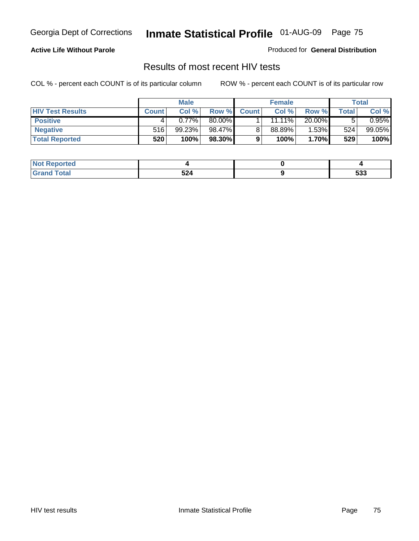### **Active Life Without Parole**

Produced for **General Distribution**

## Results of most recent HIV tests

|                         | <b>Male</b>  |        | <b>Female</b> |              |           | Total  |       |          |
|-------------------------|--------------|--------|---------------|--------------|-----------|--------|-------|----------|
| <b>HIV Test Results</b> | <b>Count</b> | Col %  | Row %         | <b>Count</b> | Col %     | Row %  | Total | Col %    |
| <b>Positive</b>         |              | 0.77%  | 80.00%        |              | $11.11\%$ | 20.00% |       | $0.95\%$ |
| <b>Negative</b>         | 516          | 99.23% | 98.47%        |              | $88.89\%$ | 1.53%  | 524   | 99.05%   |
| <b>Total Reported</b>   | 520          | 100%   | 98.30%        |              | 100%      | 1.70%  | 529   | 100%     |

| <b>Not Reported</b> |             |              |
|---------------------|-------------|--------------|
| <b>Grand Total</b>  | 524<br>$ -$ | r n n<br>ააა |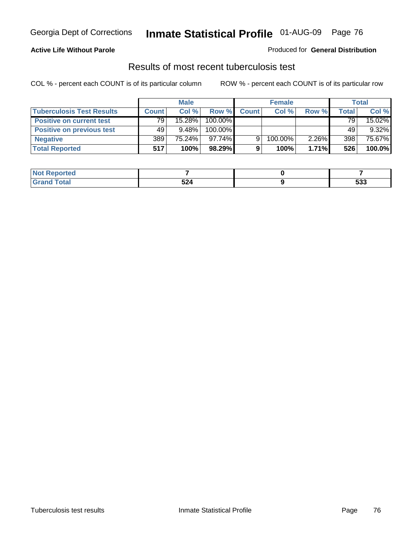### **Active Life Without Parole**

#### Produced for **General Distribution**

## Results of most recent tuberculosis test

|                                  | <b>Male</b>  |           | <b>Female</b> |              |         | Total |       |          |
|----------------------------------|--------------|-----------|---------------|--------------|---------|-------|-------|----------|
| <b>Tuberculosis Test Results</b> | <b>Count</b> | Col %     | Row %         | <b>Count</b> | Col%    | Row % | Total | Col %    |
| <b>Positive on current test</b>  | 79           | $15.28\%$ | 100.00%       |              |         |       | 79    | 15.02%   |
| <b>Positive on previous test</b> | 49           | $9.48\%$  | 100.00%       |              |         |       | 49    | $9.32\%$ |
| <b>Negative</b>                  | 389          | 75.24%    | 97.74%        | 9            | 100.00% | 2.26% | 398   | 75.67%   |
| <b>Total Reported</b>            | 517          | 100%      | 98.29%        |              | 100%    | 1.71% | 526   | 100.0%   |

| <b>Not</b><br>Reported |     |     |
|------------------------|-----|-----|
| <b>Total</b>           | 524 | 533 |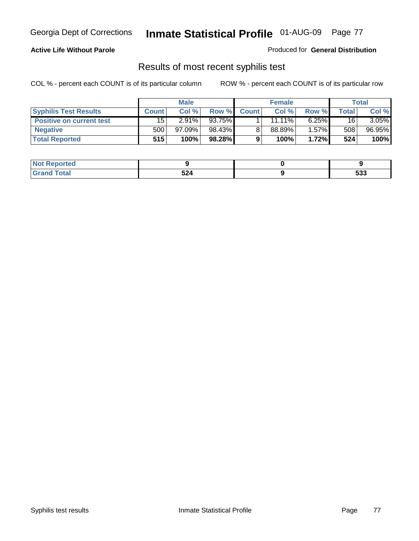### **Active Life Without Parole**

Produced for **General Distribution**

## Results of most recent syphilis test

|                                 | <b>Male</b>  |           | <b>Female</b> |              |           | Total    |       |          |
|---------------------------------|--------------|-----------|---------------|--------------|-----------|----------|-------|----------|
| <b>Syphilis Test Results</b>    | <b>Count</b> | Col %     | Row %         | <b>Count</b> | Col %     | Row %    | Total | Col %    |
| <b>Positive on current test</b> | 15           | $2.91\%$  | 93.75%        |              | $11.11\%$ | $6.25\%$ | 16    | $3.05\%$ |
| <b>Negative</b>                 | 500          | $97.09\%$ | 98.43%        |              | 88.89%    | 1.57%    | 508   | 96.95%   |
| <b>Total Reported</b>           | 515          | 100%      | 98.28%        |              | 100%      | 1.72%    | 524   | 100%     |

| <b>Not Reported</b> |     |            |
|---------------------|-----|------------|
| <b>Total</b>        | 524 | につつ<br>ააა |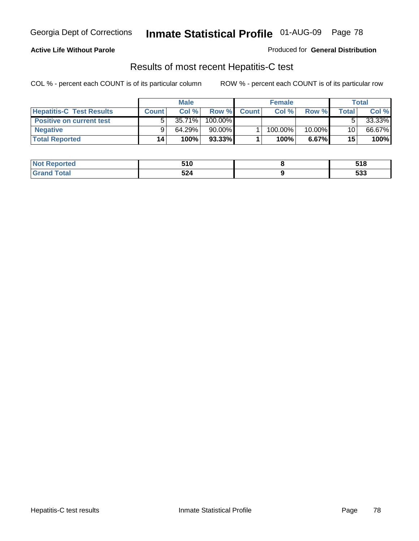### **Active Life Without Parole**

Produced for **General Distribution**

## Results of most recent Hepatitis-C test

|                                 |              | <b>Male</b> |           |              | <b>Female</b> |           |       | Total  |
|---------------------------------|--------------|-------------|-----------|--------------|---------------|-----------|-------|--------|
| <b>Hepatitis-C Test Results</b> | <b>Count</b> | Col %       | Row %     | <b>Count</b> | Col %         | Row %     | Total | Col %  |
| <b>Positive on current test</b> |              | $35.71\%$   | 100.00%   |              |               |           |       | 33.33% |
| <b>Negative</b>                 |              | 64.29%      | $90.00\%$ |              | 100.00%       | $10.00\%$ | 10    | 66.67% |
| <b>Total Reported</b>           | 14           | 100%        | 93.33%    |              | 100%          | 6.67%     | 15    | 100%   |

| <b>Not</b><br>: Reported | 510 | 54 Q<br>JIU         |
|--------------------------|-----|---------------------|
| <b>Total</b>             | 524 | r <u>n</u> n<br>ააა |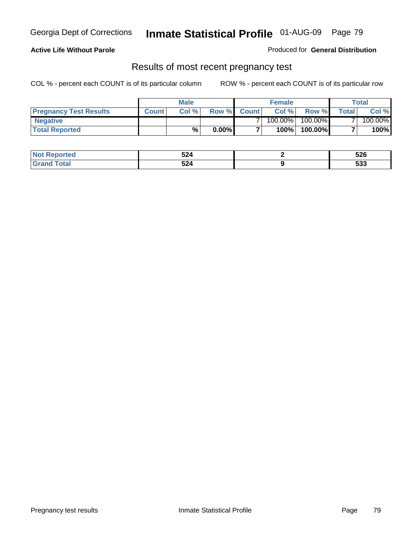### **Active Life Without Parole**

Produced for **General Distribution**

## Results of most recent pregnancy test

|                               |              | <b>Male</b> |          |                | <b>Female</b> |         |                | <b>Total</b> |
|-------------------------------|--------------|-------------|----------|----------------|---------------|---------|----------------|--------------|
| <b>Pregnancy Test Results</b> | <b>Count</b> | Col%        | Row %    | <b>Count</b> Ⅰ | Col %         | Row %   | <b>Total</b> I | Col %        |
| <b>Negative</b>               |              |             |          |                | $100.00\%$    | 100.00% |                | 100.00%      |
| <b>Total Reported</b>         |              | %           | $0.00\%$ |                | 100%          | 100.00% |                | 100%         |

| <b>Reported</b><br><b>NOT</b> | 524<br>$\sim$ $\sim$ | 526        |
|-------------------------------|----------------------|------------|
| 「otal                         | 524                  | にへへ<br>೨೨೨ |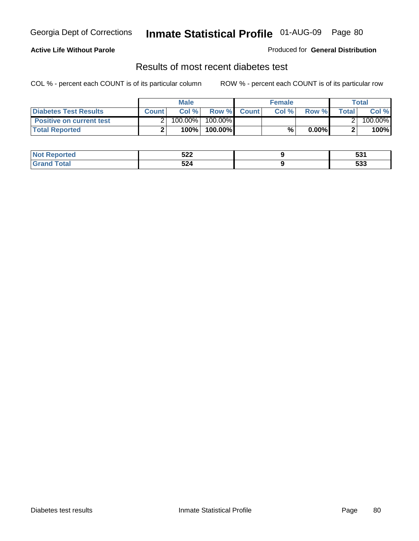### **Active Life Without Parole**

#### Produced for **General Distribution**

## Results of most recent diabetes test

|                                 |              | <b>Male</b> |            |             | <b>Female</b> |          |              | Total   |
|---------------------------------|--------------|-------------|------------|-------------|---------------|----------|--------------|---------|
| <b>Diabetes Test Results</b>    | <b>Count</b> | Col %       |            | Row % Count | Col%          | Row %    | <b>Total</b> | Col %   |
| <b>Positive on current test</b> |              | 100.00%     | $100.00\%$ |             |               |          |              | 100.00% |
| <b>Total Reported</b>           |              | 100%        | 100.00%    |             | %,            | $0.00\%$ |              | 100%    |

| <b>Reported</b>  | にへへ<br>JZZ | EO 4<br>JJ, |
|------------------|------------|-------------|
| <b>otal</b><br>. | 524        | につつ<br>უკ   |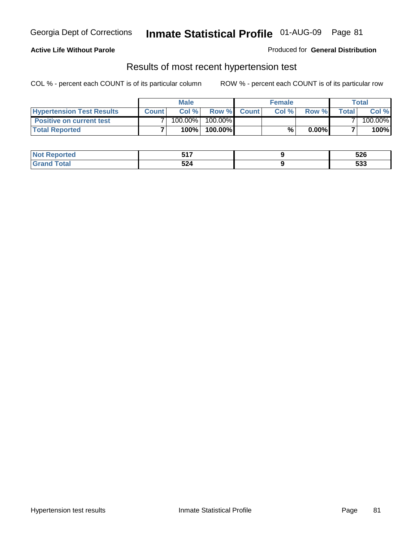### **Active Life Without Parole**

#### Produced for **General Distribution**

## Results of most recent hypertension test

|                                  |              | <b>Male</b> |            |             | <b>Female</b> |          |        | <b>Total</b> |
|----------------------------------|--------------|-------------|------------|-------------|---------------|----------|--------|--------------|
| <b>Hypertension Test Results</b> | <b>Count</b> | Col %       |            | Row % Count | Col%          | Row %    | Totall | Col %        |
| <b>Positive on current test</b>  |              | 100.00%     | $100.00\%$ |             |               |          |        | 100.00%      |
| <b>Total Reported</b>            |              | 100%        | 100.00%    |             | %             | $0.00\%$ |        | 100%         |

| orted      | <b>EA7</b><br>$\sim$ | 526                 |
|------------|----------------------|---------------------|
| <b>ota</b> | 524                  | r n n<br><u>ეკა</u> |